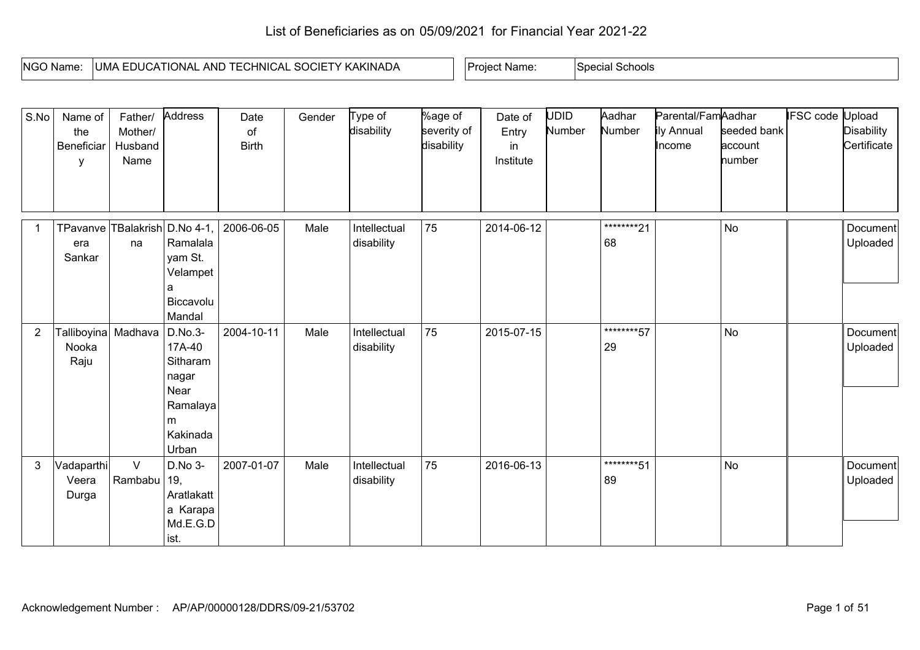## List of Beneficiaries as on 05/09/2021 for Financial Year 2021-22

| NGO Name: | ' KAKINADA<br>SOCII<br><b>HNICAL</b><br>'ional<br>AND<br>∟ AM∟<br>ॱ⊢<br>$\mathbf{v}$<br>⊤∟ภเ<br>$\cdot \cdot$<br>$\cdot$ | : Name:<br>Project | Schools<br>Special |
|-----------|--------------------------------------------------------------------------------------------------------------------------|--------------------|--------------------|

| S.No           | Name of<br>the<br>Beneficiar<br>у              | Father/<br>Mother/<br>Husband<br>Name | Address                                                                              | Date<br>of<br><b>Birth</b> | Gender | Type of<br>disability      | %age of<br>severity of<br>disability | Date of<br>Entry<br>in<br>Institute | <b>UDID</b><br>Number | Aadhar<br>Number  | Parental/FamAadhar<br>ily Annual<br>Income | seeded bank<br>account<br>number | <b>IFSC code Upload</b> | <b>Disability</b><br>Certificate |
|----------------|------------------------------------------------|---------------------------------------|--------------------------------------------------------------------------------------|----------------------------|--------|----------------------------|--------------------------------------|-------------------------------------|-----------------------|-------------------|--------------------------------------------|----------------------------------|-------------------------|----------------------------------|
|                | TPavanve TBalakrish D.No 4-1,<br>era<br>Sankar | na                                    | Ramalala<br>yam St.<br>Velampet<br>a<br>Biccavolu<br>Mandal                          | 2006-06-05                 | Male   | Intellectual<br>disability | 75                                   | 2014-06-12                          |                       | *********21<br>68 |                                            | No                               |                         | Document<br>Uploaded             |
| $\overline{2}$ | Talliboyina Madhava<br>Nooka<br>Raju           |                                       | D.No.3-<br>17A-40<br>Sitharam<br>nagar<br>Near<br>Ramalaya<br>m<br>Kakinada<br>Urban | 2004-10-11                 | Male   | Intellectual<br>disability | 75                                   | 2015-07-15                          |                       | ********57<br>29  |                                            | <b>No</b>                        |                         | Document<br>Uploaded             |
| $\mathbf{3}$   | Vadaparthi<br>Veera<br>Durga                   | $\vee$<br>Rambabu                     | D.No 3-<br>19,<br>Aratlakatt<br>a Karapa<br>Md.E.G.D<br>ist.                         | 2007-01-07                 | Male   | Intellectual<br>disability | 75                                   | 2016-06-13                          |                       | ********51<br>89  |                                            | <b>No</b>                        |                         | Document<br>Uploaded             |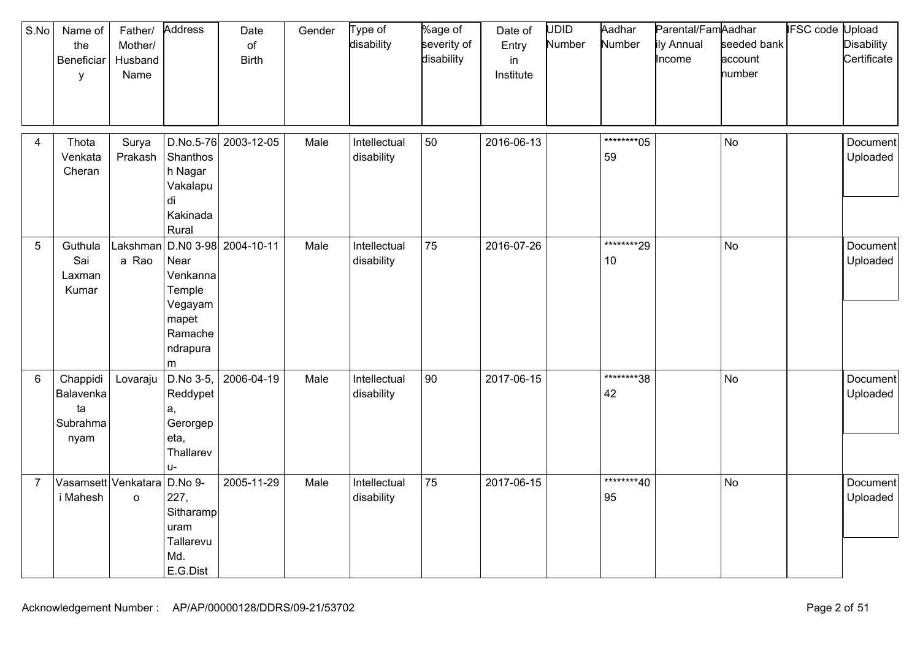| S.No<br>Name of<br>the<br>Beneficiar<br>y            | Father/<br>Mother/<br>Husband<br>Name | Address                                                                    | Date<br>of<br><b>Birth</b> | Gender | Type of<br>disability      | %age of<br>severity of<br>disability | Date of<br>Entry<br>in<br>Institute | <b>UDID</b><br>Number | Aadhar<br>Number  | Parental/FamAadhar<br>ily Annual<br>Income | seeded bank<br>account<br>number | <b>IFSC</b> code | Upload<br><b>Disability</b><br>Certificate |
|------------------------------------------------------|---------------------------------------|----------------------------------------------------------------------------|----------------------------|--------|----------------------------|--------------------------------------|-------------------------------------|-----------------------|-------------------|--------------------------------------------|----------------------------------|------------------|--------------------------------------------|
| Thota<br>$\overline{4}$<br>Venkata<br>Cheran         | Surya<br>Prakash                      | Shanthos<br>h Nagar<br>Vakalapu<br>di<br>Kakinada<br>Rural                 | D.No.5-76 2003-12-05       | Male   | Intellectual<br>disability | 50                                   | 2016-06-13                          |                       | *********05<br>59 |                                            | <b>No</b>                        |                  | Document<br>Uploaded                       |
| 5<br>Guthula<br>Sai<br>Laxman<br>Kumar               | Lakshman<br>a Rao                     | Near<br>Venkanna<br>Temple<br>Vegayam<br>mapet<br>Ramache<br>ndrapura<br>m | D.N0 3-98 2004-10-11       | Male   | Intellectual<br>disability | 75                                   | 2016-07-26                          |                       | ********29<br>10  |                                            | No                               |                  | Document<br>Uploaded                       |
| 6<br>Chappidi<br>Balavenka<br>ta<br>Subrahma<br>nyam | Lovaraju                              | D.No 3-5,<br>Reddypet<br>a,<br>Gerorgep<br>eta,<br>Thallarev<br>u-         | 2006-04-19                 | Male   | Intellectual<br>disability | 90                                   | 2017-06-15                          |                       | ********38<br>42  |                                            | <b>No</b>                        |                  | Document<br>Uploaded                       |
| $\overline{7}$<br>i Mahesh                           | Vasamsett Venkatara<br>$\circ$        | D.No 9-<br>227,<br>Sitharamp<br>uram<br>Tallarevu<br>Md.<br>E.G.Dist       | 2005-11-29                 | Male   | Intellectual<br>disability | 75                                   | 2017-06-15                          |                       | *********40<br>95 |                                            | No                               |                  | Document<br>Uploaded                       |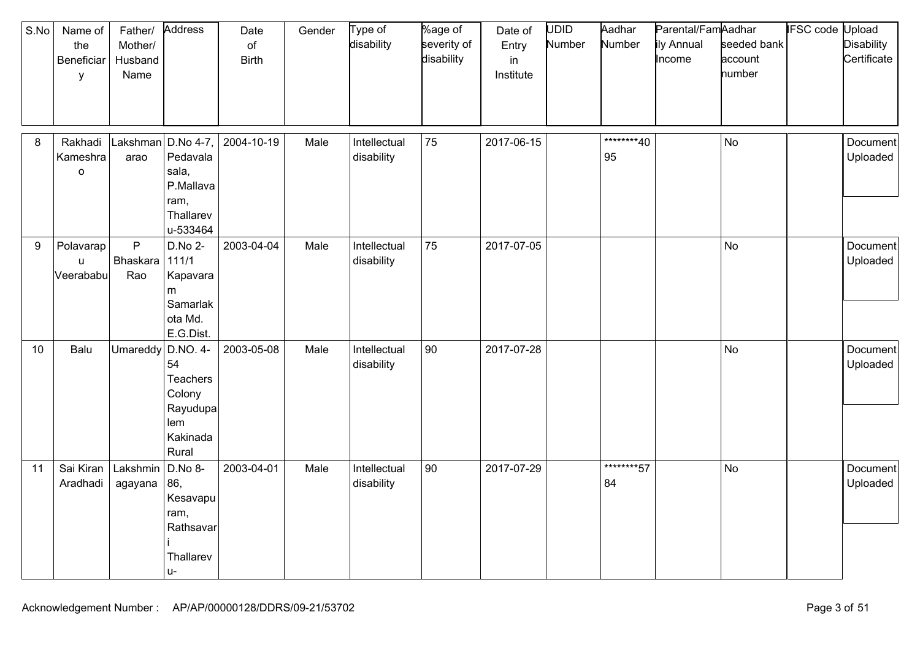| S.No | Name of<br>the<br>Beneficiar<br>y   | Father/<br>Mother/<br>Husband<br>Name | Address                                                                      | Date<br>$\circ$ f<br><b>Birth</b> | Gender | Type of<br>disability      | %age of<br>severity of<br>disability | Date of<br>Entry<br>in<br>Institute | UDID<br>Number | Aadhar<br>Number | Parental/FamAadhar<br>ily Annual<br>Income | seeded bank<br>account<br>number | <b>IFSC</b> code Upload | <b>Disability</b><br>Certificate |
|------|-------------------------------------|---------------------------------------|------------------------------------------------------------------------------|-----------------------------------|--------|----------------------------|--------------------------------------|-------------------------------------|----------------|------------------|--------------------------------------------|----------------------------------|-------------------------|----------------------------------|
| 8    | Rakhadi<br>Kameshra<br>$\mathsf{o}$ | Lakshman<br>arao                      | D.No 4-7,<br>Pedavala<br>sala,<br>P.Mallava<br>ram,<br>Thallarev<br>u-533464 | 2004-10-19                        | Male   | Intellectual<br>disability | 75                                   | 2017-06-15                          |                | ********40<br>95 |                                            | <b>No</b>                        |                         | Document<br>Uploaded             |
| 9    | Polavarap<br>u<br>Veerababu         | P<br>Bhaskara<br>Rao                  | D.No 2-<br>111/1<br>Kapavara<br>m<br>Samarlak<br>ota Md.<br>E.G.Dist.        | 2003-04-04                        | Male   | Intellectual<br>disability | 75                                   | 2017-07-05                          |                |                  |                                            | <b>No</b>                        |                         | Document<br>Uploaded             |
| 10   | Balu                                | Umareddy                              | D.NO. 4-<br>54<br>Teachers<br>Colony<br>Rayudupa<br>lem<br>Kakinada<br>Rural | 2003-05-08                        | Male   | Intellectual<br>disability | 90                                   | 2017-07-28                          |                |                  |                                            | <b>No</b>                        |                         | Document<br>Uploaded             |
| 11   | Sai Kiran<br>Aradhadi               | Lakshmin<br>agayana                   | D.No 8-<br>86,<br>Kesavapu<br>ram,<br>Rathsavar<br>Thallarev<br>$U -$        | 2003-04-01                        | Male   | Intellectual<br>disability | 90                                   | 2017-07-29                          |                | ********57<br>84 |                                            | <b>No</b>                        |                         | Document<br>Uploaded             |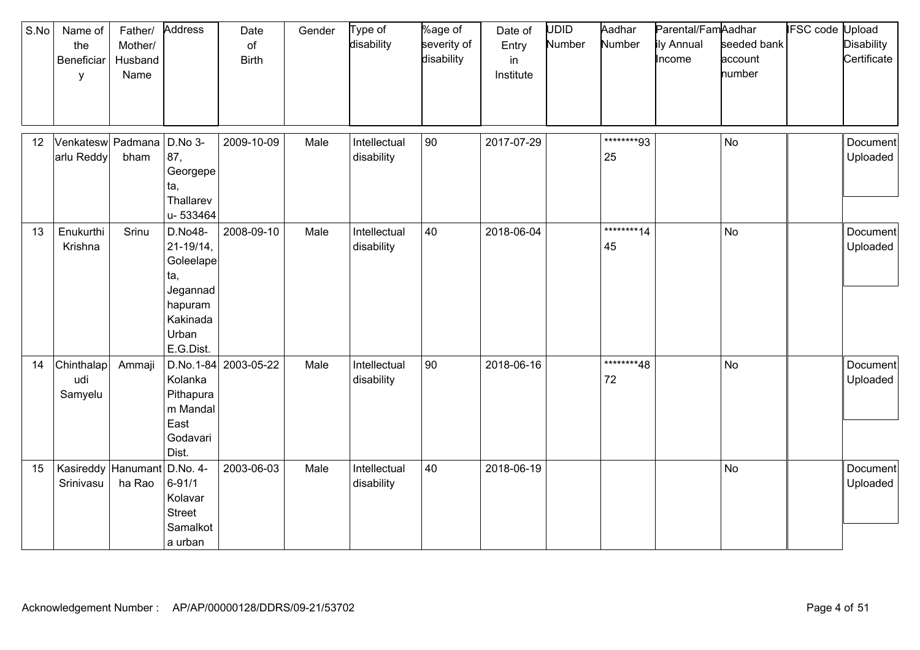| S.No | Name of<br>the<br>Beneficiar<br>у | Father/<br>Mother/<br>Husband<br>Name | Address                                                                                                | Date<br>of<br><b>Birth</b> | Gender | Type of<br>disability      | %age of<br>severity of<br>disability | Date of<br>Entry<br>in<br>Institute | <b>UDID</b><br>Number | Aadhar<br>Number  | Parental/FamAadhar<br>ily Annual<br>Income | seeded bank<br>account<br>number | <b>IFSC code Upload</b> | <b>Disability</b><br>Certificate |
|------|-----------------------------------|---------------------------------------|--------------------------------------------------------------------------------------------------------|----------------------------|--------|----------------------------|--------------------------------------|-------------------------------------|-----------------------|-------------------|--------------------------------------------|----------------------------------|-------------------------|----------------------------------|
| 12   | Venkatesw Padmana<br>arlu Reddy   | bham                                  | D.No 3-<br>87,<br>Georgepe<br>ta,<br>Thallarev<br>u-533464                                             | 2009-10-09                 | Male   | Intellectual<br>disability | 90                                   | 2017-07-29                          |                       | ********93<br>25  |                                            | <b>No</b>                        |                         | Document<br>Uploaded             |
| 13   | Enukurthi<br>Krishna              | Srinu                                 | D.No48-<br>$21 - 19/14$ ,<br>Goleelape<br>ta,<br>Jegannad<br>hapuram<br>Kakinada<br>Urban<br>E.G.Dist. | 2008-09-10                 | Male   | Intellectual<br>disability | 40                                   | 2018-06-04                          |                       | *********14<br>45 |                                            | <b>No</b>                        |                         | Document<br>Uploaded             |
| 14   | Chinthalap<br>udi<br>Samyelu      | Ammaji                                | Kolanka<br>Pithapura<br>m Mandal<br>East<br>Godavari<br>Dist.                                          | D.No.1-84 2003-05-22       | Male   | Intellectual<br>disability | 90                                   | 2018-06-16                          |                       | ********48<br>72  |                                            | <b>No</b>                        |                         | Document<br>Uploaded             |
| 15   | Kasireddy Hanumant<br>Srinivasu   | ha Rao                                | D.No. 4-<br>$6 - 91/1$<br>Kolavar<br><b>Street</b><br>Samalkot<br>a urban                              | 2003-06-03                 | Male   | Intellectual<br>disability | 40                                   | 2018-06-19                          |                       |                   |                                            | <b>No</b>                        |                         | Document<br>Uploaded             |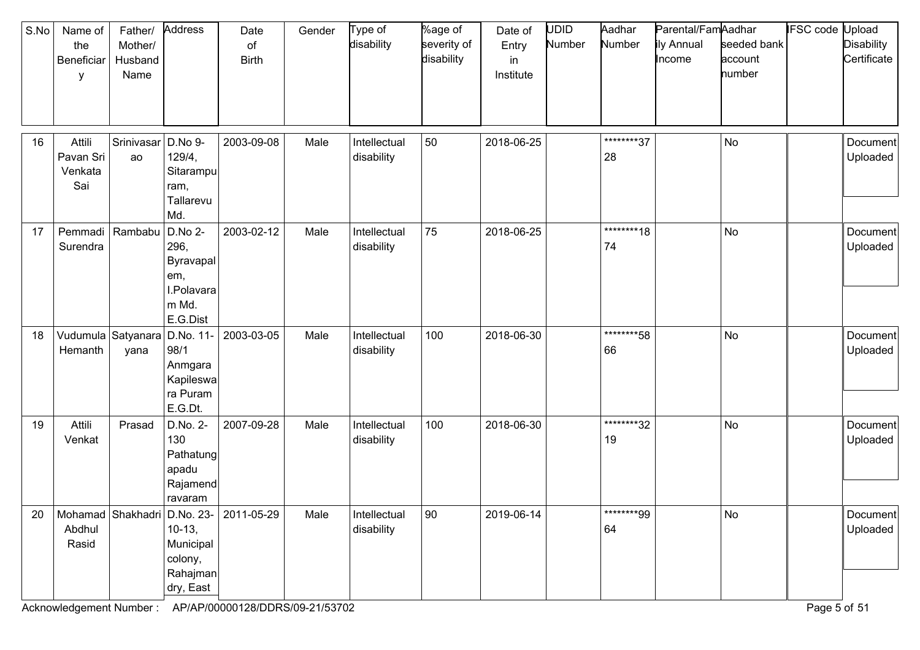| S.No | Name of<br>the<br>Beneficiar<br>y     | Father/<br>Mother/<br>Husband<br>Name | Address                                                                | Date<br>of<br><b>Birth</b>                   | Gender | Type of<br>disability      | %age of<br>severity of<br>disability | Date of<br>Entry<br>in<br>Institute | UDID<br>Number | Aadhar<br>Number  | Parental/FamAadhar<br>ily Annual<br>Income | seeded bank<br>account<br>number | IFSC code Upload | <b>Disability</b><br>Certificate |
|------|---------------------------------------|---------------------------------------|------------------------------------------------------------------------|----------------------------------------------|--------|----------------------------|--------------------------------------|-------------------------------------|----------------|-------------------|--------------------------------------------|----------------------------------|------------------|----------------------------------|
| 16   | Attili<br>Pavan Sri<br>Venkata<br>Sai | Srinivasar<br>ao                      | D.No 9-<br>129/4,<br>Sitarampu<br>ram,<br>Tallarevu<br>Md.             | 2003-09-08                                   | Male   | Intellectual<br>disability | 50                                   | 2018-06-25                          |                | ********37<br>28  |                                            | <b>No</b>                        |                  | Document<br>Uploaded             |
| 17   | Pemmadi<br>Surendra                   | Rambabu                               | D.No 2-<br>296,<br>Byravapal<br>em,<br>I.Polavara<br>m Md.<br>E.G.Dist | 2003-02-12                                   | Male   | Intellectual<br>disability | 75                                   | 2018-06-25                          |                | *********18<br>74 |                                            | <b>No</b>                        |                  | Document<br>Uploaded             |
| 18   | Vudumula<br>Hemanth                   | Satyanara<br>yana                     | D.No. 11-<br>98/1<br>Anmgara<br>Kapileswa<br>ra Puram<br>E.G.Dt.       | 2003-03-05                                   | Male   | Intellectual<br>disability | 100                                  | 2018-06-30                          |                | ********58<br>66  |                                            | No                               |                  | Document<br>Uploaded             |
| 19   | Attili<br>Venkat                      | Prasad                                | D.No. 2-<br>130<br>Pathatung<br>apadu<br>Rajamend<br>ravaram           | 2007-09-28                                   | Male   | Intellectual<br>disability | 100                                  | 2018-06-30                          |                | ********32<br>19  |                                            | No                               |                  | Document<br>Uploaded             |
| 20   | Abdhul<br>Rasid                       |                                       | $10-13,$<br>Municipal<br>colony,<br>Rahajman<br>dry, East              | Mohamad   Shakhadri   D.No. 23-   2011-05-29 | Male   | Intellectual<br>disability | 90                                   | 2019-06-14                          |                | ********99<br>64  |                                            | No                               |                  | Document<br>Uploaded             |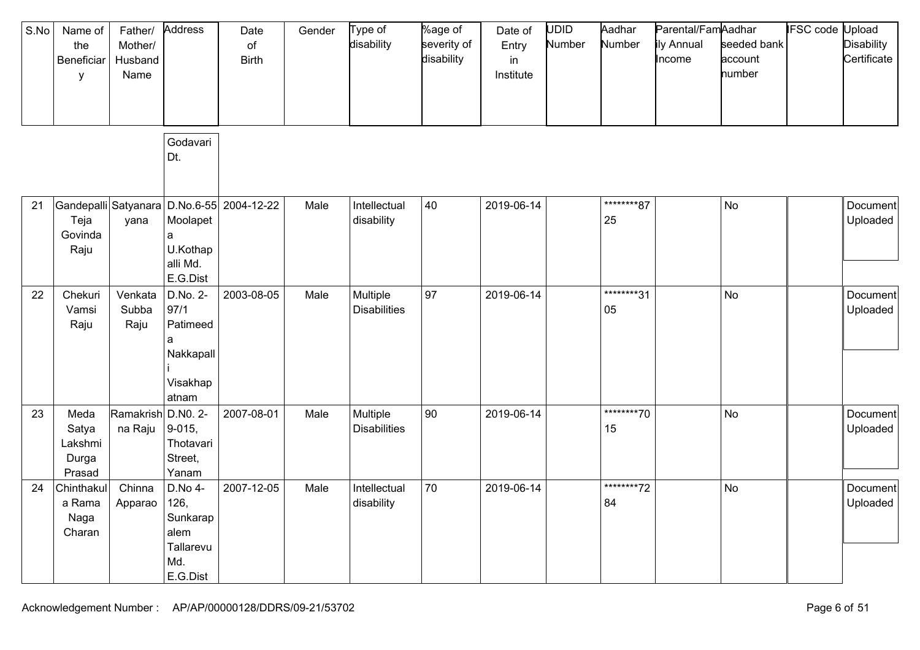| S.No | Name of<br>the<br>Beneficiar<br>y           | Father/<br>Mother/<br>Husband<br>Name | Address                                                             | Date<br>of<br><b>Birth</b>                | Gender | Type of<br>disability           | %age of<br>severity of<br>disability | Date of<br>Entry<br>in<br>Institute | <b>UDID</b><br>Number | Aadhar<br>Number | Parental/FamAadhar<br>ily Annual<br>Income | seeded bank<br>account<br>number | <b>IFSC</b> code | Jpload<br><b>Disability</b><br>Certificate |
|------|---------------------------------------------|---------------------------------------|---------------------------------------------------------------------|-------------------------------------------|--------|---------------------------------|--------------------------------------|-------------------------------------|-----------------------|------------------|--------------------------------------------|----------------------------------|------------------|--------------------------------------------|
|      |                                             |                                       | Godavari<br>Dt.                                                     |                                           |        |                                 |                                      |                                     |                       |                  |                                            |                                  |                  |                                            |
| 21   | Teja<br>Govinda<br>Raju                     | yana                                  | Moolapet<br>a<br>U.Kothap<br>alli Md.<br>E.G.Dist                   | Gandepalli Satyanara D.No.6-55 2004-12-22 | Male   | Intellectual<br>disability      | 40                                   | 2019-06-14                          |                       | ********87<br>25 |                                            | No                               |                  | Document<br>Uploaded                       |
| 22   | Chekuri<br>Vamsi<br>Raju                    | Venkata<br>Subba<br>Raju              | D.No. 2-<br>97/1<br>Patimeed<br>a<br>Nakkapall<br>Visakhap<br>atnam | 2003-08-05                                | Male   | Multiple<br><b>Disabilities</b> | 97                                   | 2019-06-14                          |                       | ********31<br>05 |                                            | No                               |                  | Document<br>Uploaded                       |
| 23   | Meda<br>Satya<br>Lakshmi<br>Durga<br>Prasad | Ramakrish<br>na Raju                  | D.NO. 2-<br>$9 - 015,$<br>Thotavari<br>Street,<br>Yanam             | 2007-08-01                                | Male   | Multiple<br><b>Disabilities</b> | 90                                   | 2019-06-14                          |                       | ********70<br>15 |                                            | No                               |                  | Document<br>Uploaded                       |
| 24   | Chinthakul<br>a Rama<br>Naga<br>Charan      | Chinna<br>Apparao                     | D.No 4-<br>126,<br>Sunkarap<br>alem<br>Tallarevu<br>Md.<br>E.G.Dist | 2007-12-05                                | Male   | Intellectual<br>disability      | 70                                   | 2019-06-14                          |                       | ********72<br>84 |                                            | <b>No</b>                        |                  | Document<br>Uploaded                       |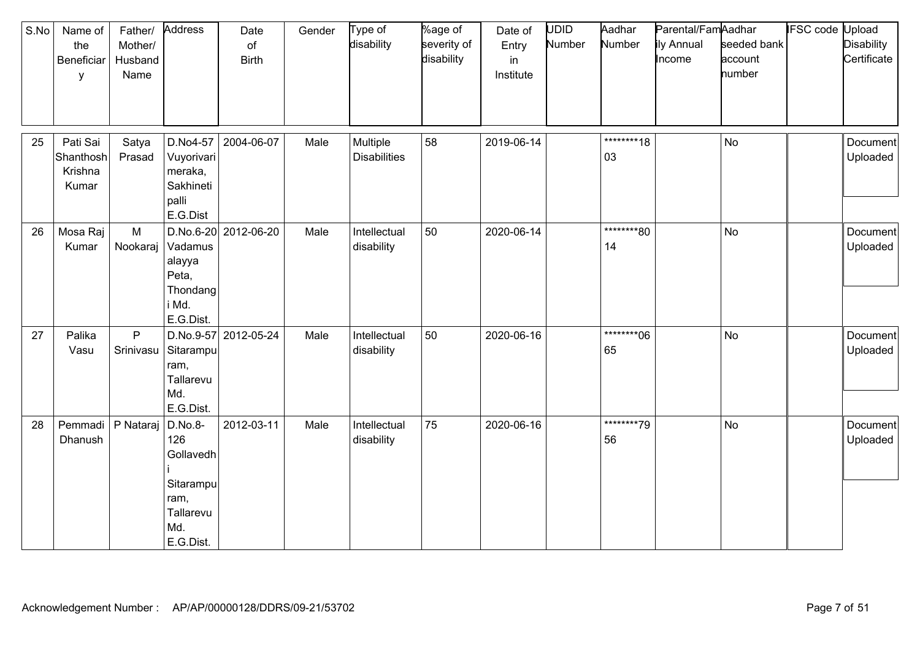| S.No | Name of<br>the<br>Beneficiar<br>у         | Father/<br>Mother/<br>Husband<br>Name | Address                                                                           | Date<br>of<br><b>Birth</b> | Gender | Type of<br>disability           | %age of<br>severity of<br>disability | Date of<br>Entry<br>in<br>Institute | UDID<br>Number | Aadhar<br>Number | Parental/FamAadhar<br>ily Annual<br>Income | seeded bank<br>account<br>number | IFSC code | Upload<br><b>Disability</b><br>Certificate |
|------|-------------------------------------------|---------------------------------------|-----------------------------------------------------------------------------------|----------------------------|--------|---------------------------------|--------------------------------------|-------------------------------------|----------------|------------------|--------------------------------------------|----------------------------------|-----------|--------------------------------------------|
| 25   | Pati Sai<br>Shanthosh<br>Krishna<br>Kumar | Satya<br>Prasad                       | D.No4-57<br>Vuyorivari<br>meraka,<br>Sakhineti<br>palli<br>E.G.Dist               | 2004-06-07                 | Male   | Multiple<br><b>Disabilities</b> | 58                                   | 2019-06-14                          |                | ********18<br>03 |                                            | <b>No</b>                        |           | Document<br>Uploaded                       |
| 26   | Mosa Raj<br>Kumar                         | M<br>Nookaraj                         | Vadamus<br>alayya<br>Peta,<br>Thondang<br>i Md.<br>E.G.Dist.                      | D.No.6-20 2012-06-20       | Male   | Intellectual<br>disability      | 50                                   | 2020-06-14                          |                | ********80<br>14 |                                            | <b>No</b>                        |           | Document<br>Uploaded                       |
| 27   | Palika<br>Vasu                            | P<br>Srinivasu                        | Sitarampu<br>ram,<br>Tallarevu<br>Md.<br>E.G.Dist.                                | D.No.9-57 2012-05-24       | Male   | Intellectual<br>disability      | 50                                   | 2020-06-16                          |                | ********06<br>65 |                                            | <b>No</b>                        |           | Document<br>Uploaded                       |
| 28   | Pemmadi<br>Dhanush                        | P Nataraj                             | D.No.8-<br>126<br>Gollavedh<br>Sitarampu<br>ram,<br>Tallarevu<br>Md.<br>E.G.Dist. | 2012-03-11                 | Male   | Intellectual<br>disability      | 75                                   | 2020-06-16                          |                | ********79<br>56 |                                            | <b>No</b>                        |           | Document<br>Uploaded                       |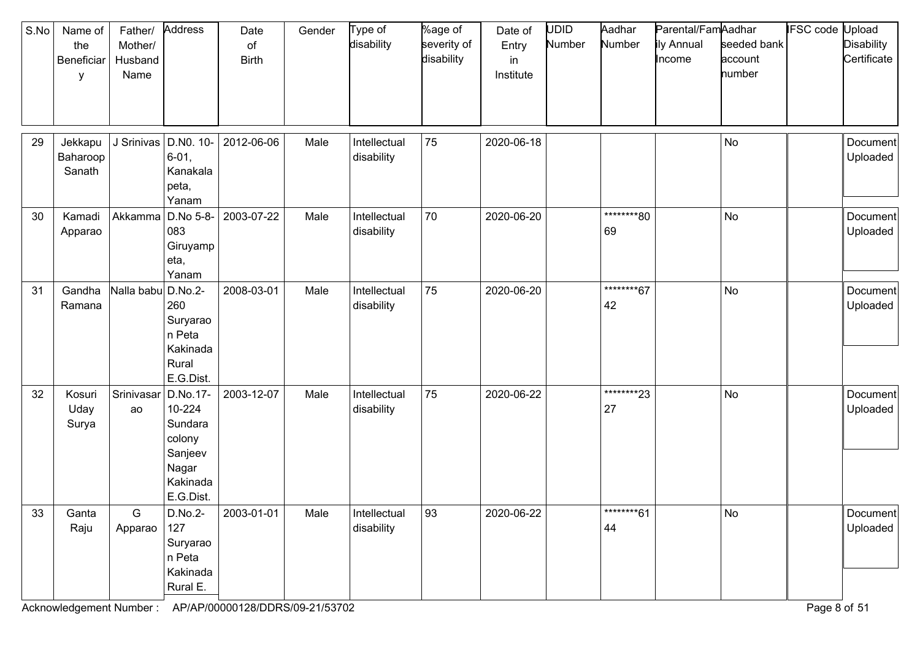| S.No | Name of<br>the<br>Beneficiar<br>y | Father/<br>Mother/<br>Husband<br>Name | Address                                                                              | Date<br>of<br><b>Birth</b> | Gender | Type of<br>disability      | %age of<br>severity of<br>disability | Date of<br>Entry<br>in<br>Institute | <b>UDID</b><br>Number | Aadhar<br>Number  | Parental/FamAadhar<br>ily Annual<br>Income | seeded bank<br>account<br>number | <b>IFSC code Upload</b> | <b>Disability</b><br>Certificate |
|------|-----------------------------------|---------------------------------------|--------------------------------------------------------------------------------------|----------------------------|--------|----------------------------|--------------------------------------|-------------------------------------|-----------------------|-------------------|--------------------------------------------|----------------------------------|-------------------------|----------------------------------|
| 29   | Jekkapu<br>Baharoop<br>Sanath     | J Srinivas                            | D.NO. 10-<br>$6 - 01$ ,<br>Kanakala<br>peta,<br>Yanam                                | 2012-06-06                 | Male   | Intellectual<br>disability | 75                                   | 2020-06-18                          |                       |                   |                                            | No                               |                         | Document<br>Uploaded             |
| 30   | Kamadi<br>Apparao                 | Akkamma                               | D.No 5-8-<br>083<br>Giruyamp<br>eta,<br>Yanam                                        | 2003-07-22                 | Male   | Intellectual<br>disability | 70                                   | 2020-06-20                          |                       | ********80<br>69  |                                            | No                               |                         | Document<br>Uploaded             |
| 31   | Gandha<br>Ramana                  | Nalla babu                            | D.No.2-<br>260<br>Suryarao<br>n Peta<br>Kakinada<br>Rural<br>E.G.Dist.               | 2008-03-01                 | Male   | Intellectual<br>disability | 75                                   | 2020-06-20                          |                       | ********67<br>42  |                                            | <b>No</b>                        |                         | Document<br>Uploaded             |
| 32   | Kosuri<br>Uday<br>Surya           | Srinivasar<br>ao                      | D.No.17-<br>10-224<br>Sundara<br>colony<br>Sanjeev<br>Nagar<br>Kakinada<br>E.G.Dist. | 2003-12-07                 | Male   | Intellectual<br>disability | 75                                   | 2020-06-22                          |                       | *********23<br>27 |                                            | No                               |                         | Document<br>Uploaded             |
| 33   | Ganta<br>Raju                     | G<br>Apparao                          | 127<br>Suryarao<br>n Peta<br>Kakinada<br>Rural E.                                    | D.No.2- 2003-01-01         | Male   | Intellectual<br>disability | 93                                   | 2020-06-22                          |                       | ********61<br>44  |                                            | No                               |                         | Document<br>Uploaded             |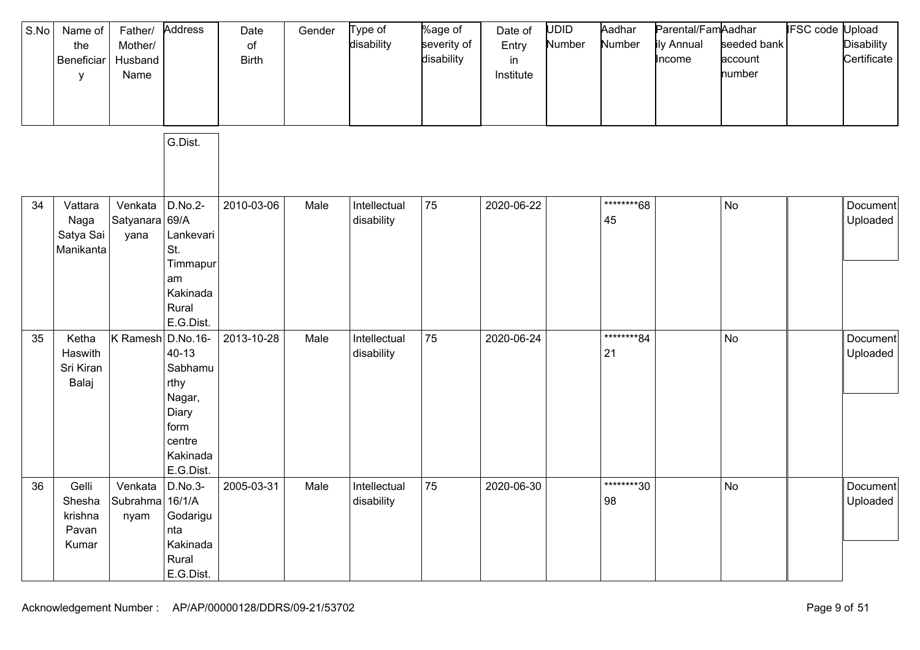| S.No | Name of<br>the<br>Beneficiar<br>у            | Father/<br>Mother/<br>Husband<br>Name | Address                                                                                                | Date<br>of<br><b>Birth</b> | Gender | Type of<br>disability      | %age of<br>severity of<br>disability | Date of<br>Entry<br>in<br>Institute | UDID<br>Number | Aadhar<br>Number  | Parental/FamAadhar<br>ily Annual<br>Income | seeded bank<br>account<br>number | <b>IFSC code Upload</b> | <b>Disability</b><br>Certificate |
|------|----------------------------------------------|---------------------------------------|--------------------------------------------------------------------------------------------------------|----------------------------|--------|----------------------------|--------------------------------------|-------------------------------------|----------------|-------------------|--------------------------------------------|----------------------------------|-------------------------|----------------------------------|
|      |                                              |                                       | G.Dist.                                                                                                |                            |        |                            |                                      |                                     |                |                   |                                            |                                  |                         |                                  |
| 34   | Vattara<br>Naga<br>Satya Sai<br>Manikanta    | Venkata<br>Satyanara 69/A<br>yana     | D.No.2-<br>Lankevari<br>St.<br>Timmapur<br>am<br>Kakinada<br>Rural<br>E.G.Dist.                        | 2010-03-06                 | Male   | Intellectual<br>disability | 75                                   | 2020-06-22                          |                | ********68<br>45  |                                            | <b>No</b>                        |                         | Document<br>Uploaded             |
| 35   | Ketha<br>Haswith<br>Sri Kiran<br>Balaj       | K Ramesh                              | D.No.16-<br>$40 - 13$<br>Sabhamu<br>rthy<br>Nagar,<br>Diary<br>form<br>centre<br>Kakinada<br>E.G.Dist. | 2013-10-28                 | Male   | Intellectual<br>disability | 75                                   | 2020-06-24                          |                | ********84<br>21  |                                            | <b>No</b>                        |                         | Document<br>Uploaded             |
| 36   | Gelli<br>Shesha<br>krishna<br>Pavan<br>Kumar | Venkata<br>Subrahma<br>nyam           | D.No.3-<br>16/1/A<br>Godarigu<br>nta<br>Kakinada<br>Rural<br>E.G.Dist.                                 | 2005-03-31                 | Male   | Intellectual<br>disability | 75                                   | 2020-06-30                          |                | *********30<br>98 |                                            | No                               |                         | Document<br>Uploaded             |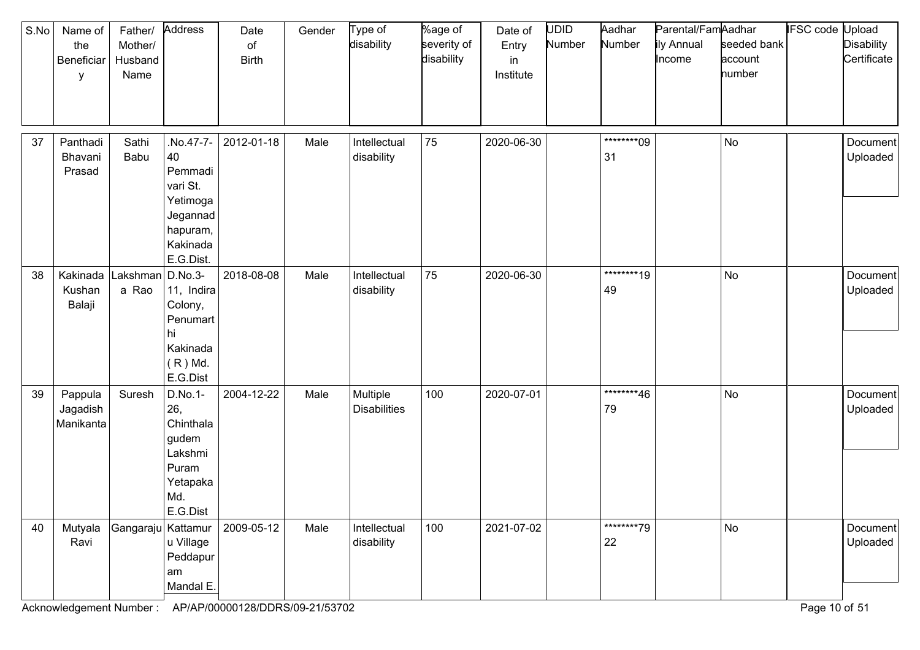| S.No | Name of<br>the<br>Beneficiar<br>у | Father/<br>Mother/<br>Husband<br>Name | Address                                                                                            | Date<br>$\circ$ f<br><b>Birth</b> | Gender | Type of<br>disability           | %age of<br>severity of<br>disability | Date of<br>Entry<br>in<br>Institute | <b>UDID</b><br>Number | Aadhar<br>Number | Parental/FamAadhar<br>ily Annual<br>Income | seeded bank<br>account<br>number | <b>IFSC code Upload</b> | Disability<br>Certificate |
|------|-----------------------------------|---------------------------------------|----------------------------------------------------------------------------------------------------|-----------------------------------|--------|---------------------------------|--------------------------------------|-------------------------------------|-----------------------|------------------|--------------------------------------------|----------------------------------|-------------------------|---------------------------|
| 37   | Panthadi<br>Bhavani<br>Prasad     | Sathi<br>Babu                         | No.47-7-<br>40<br>Pemmadi<br>vari St.<br>Yetimoga<br>Jegannad<br>hapuram,<br>Kakinada<br>E.G.Dist. | 2012-01-18                        | Male   | Intellectual<br>disability      | 75                                   | 2020-06-30                          |                       | ********09<br>31 |                                            | No                               |                         | Document<br>Uploaded      |
| 38   | Kakinada<br>Kushan<br>Balaji      | Lakshman   D.No.3-<br>a Rao           | 11, Indira<br>Colony,<br>Penumart<br>hı<br>Kakinada<br>$(R)$ Md.<br>E.G.Dist                       | 2018-08-08                        | Male   | Intellectual<br>disability      | 75                                   | 2020-06-30                          |                       | ********19<br>49 |                                            | No                               |                         | Document<br>Uploaded      |
| 39   | Pappula<br>Jagadish<br>Manikanta  | Suresh                                | D.No.1-<br>26,<br>Chinthala<br>gudem<br>Lakshmi<br>Puram<br>Yetapaka<br>Md.<br>E.G.Dist            | 2004-12-22                        | Male   | Multiple<br><b>Disabilities</b> | 100                                  | 2020-07-01                          |                       | ********46<br>79 |                                            | No                               |                         | Document<br>Uploaded      |
| 40   | Mutyala<br>Ravi                   | Gangaraju Kattamur                    | u Village<br>Peddapur<br>am<br>Mandal E.                                                           | 2009-05-12                        | Male   | Intellectual<br>disability      | 100                                  | 2021-07-02                          |                       | ********79<br>22 |                                            | No                               |                         | Document<br>Uploaded      |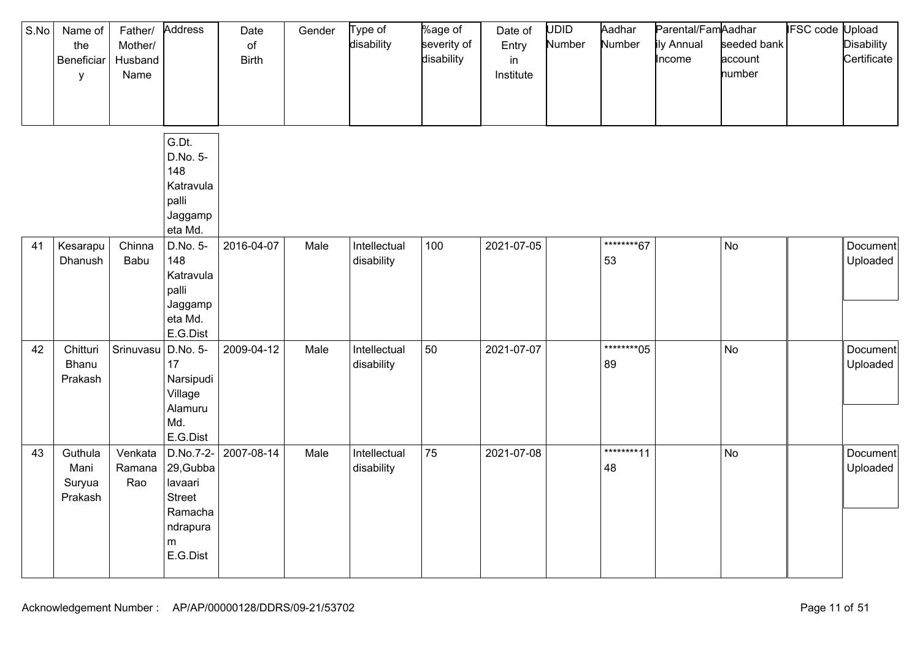| S.No | Name of<br>the<br>Beneficiar<br>y    | Father/<br>Mother/<br>Husband<br>Name | Address                                                                                    | Date<br>$\circ$ f<br><b>Birth</b> | Gender | Type of<br>disability      | %age of<br>severity of<br>disability | Date of<br>Entry<br>in<br>Institute | <b>UDID</b><br>Number | Aadhar<br>Number  | Parental/FamAadhar<br>ily Annual<br>Income | seeded bank<br>account<br>number | <b>IFSC code Upload</b> | <b>Disability</b><br>Certificate |
|------|--------------------------------------|---------------------------------------|--------------------------------------------------------------------------------------------|-----------------------------------|--------|----------------------------|--------------------------------------|-------------------------------------|-----------------------|-------------------|--------------------------------------------|----------------------------------|-------------------------|----------------------------------|
|      |                                      |                                       | G.Dt.<br>D.No. 5-<br>148<br>Katravula<br>palli<br>Jaggamp<br>eta Md.                       |                                   |        |                            |                                      |                                     |                       |                   |                                            |                                  |                         |                                  |
| 41   | Kesarapu<br>Dhanush                  | Chinna<br>Babu                        | D.No. 5-<br>148<br>Katravula<br>palli<br>Jaggamp<br>eta Md.<br>E.G.Dist                    | 2016-04-07                        | Male   | Intellectual<br>disability | 100                                  | 2021-07-05                          |                       | ********67<br>53  |                                            | No                               |                         | Document<br>Uploaded             |
| 42   | Chitturi<br>Bhanu<br>Prakash         | Srinuvasu                             | D.No. 5-<br>17<br>Narsipudi<br>Village<br>Alamuru<br>Md.<br>E.G.Dist                       | 2009-04-12                        | Male   | Intellectual<br>disability | 50                                   | 2021-07-07                          |                       | *********05<br>89 |                                            | No                               |                         | Document<br>Uploaded             |
| 43   | Guthula<br>Mani<br>Suryua<br>Prakash | Venkata<br>Ramana<br>Rao              | D.No.7-2-<br>29, Gubba<br>lavaari<br><b>Street</b><br>Ramacha<br>ndrapura<br>m<br>E.G.Dist | 2007-08-14                        | Male   | Intellectual<br>disability | 75                                   | 2021-07-08                          |                       | ********11<br>48  |                                            | No                               |                         | Document<br>Uploaded             |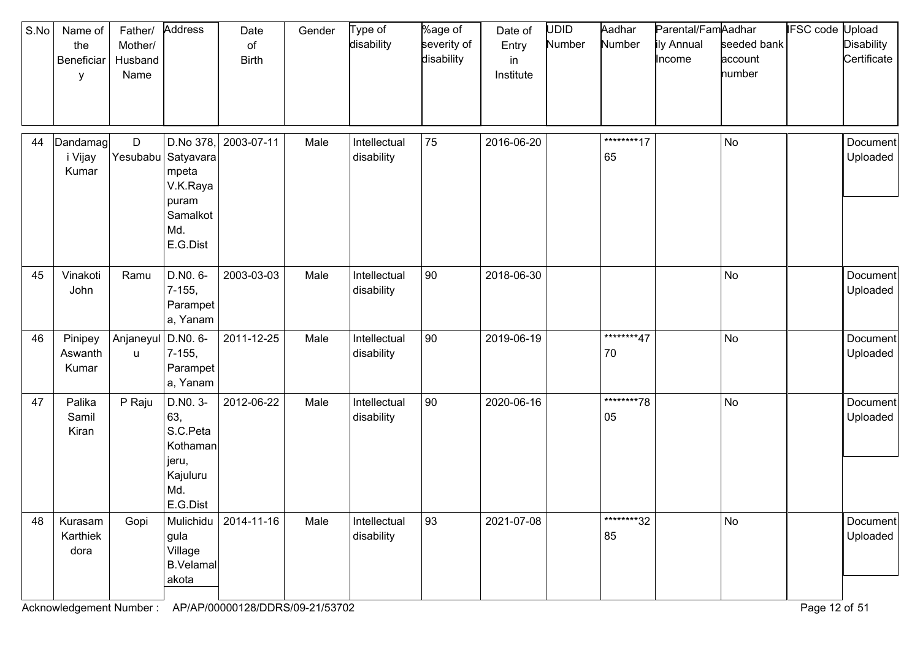| S.No | Name of<br>the<br>Beneficiar<br>у | Father/<br>Mother/<br>Husband<br>Name | Address                                                                                        | Date<br>of<br><b>Birth</b> | Gender | Type of<br>disability      | %age of<br>severity of<br>disability | Date of<br>Entry<br>in<br>Institute | UDID<br>Number | Aadhar<br>Number | Parental/FamAadhar<br>ily Annual<br>Income | seeded bank<br>account<br>number | <b>IFSC code Upload</b> | <b>Disability</b><br>Certificate |
|------|-----------------------------------|---------------------------------------|------------------------------------------------------------------------------------------------|----------------------------|--------|----------------------------|--------------------------------------|-------------------------------------|----------------|------------------|--------------------------------------------|----------------------------------|-------------------------|----------------------------------|
| 44   | Dandamag<br>i Vijay<br>Kumar      | D                                     | D.No 378,<br>Yesubabu   Satyavara<br>mpeta<br>V.K.Raya<br>puram<br>Samalkot<br>Md.<br>E.G.Dist | 2003-07-11                 | Male   | Intellectual<br>disability | 75                                   | 2016-06-20                          |                | ********17<br>65 |                                            | <b>No</b>                        |                         | Document<br>Uploaded             |
| 45   | Vinakoti<br>John                  | Ramu                                  | D.NO. 6-<br>7-155,<br>Parampet<br>a, Yanam                                                     | 2003-03-03                 | Male   | Intellectual<br>disability | 90                                   | 2018-06-30                          |                |                  |                                            | No                               |                         | Document<br>Uploaded             |
| 46   | Pinipey<br>Aswanth<br>Kumar       | Anjaneyul<br>u                        | D.NO. 6-<br>$7-155,$<br>Parampet<br>a, Yanam                                                   | 2011-12-25                 | Male   | Intellectual<br>disability | 90                                   | 2019-06-19                          |                | ********47<br>70 |                                            | <b>No</b>                        |                         | Document<br>Uploaded             |
| 47   | Palika<br>Samil<br>Kiran          | P Raju                                | D.NO. 3-<br>63,<br>S.C.Peta<br>Kothaman<br>jeru,<br>Kajuluru<br>Md.<br>E.G.Dist                | 2012-06-22                 | Male   | Intellectual<br>disability | 90                                   | 2020-06-16                          |                | ********78<br>05 |                                            | <b>No</b>                        |                         | Document<br>Uploaded             |
| 48   | Kurasam<br>Karthiek<br>dora       | Gopi                                  | Mulichidu<br>gula<br>Village<br><b>B.Velamal</b><br>akota                                      | 2014-11-16                 | Male   | Intellectual<br>disability | 93                                   | 2021-07-08                          |                | ********32<br>85 |                                            | No                               |                         | Document<br>Uploaded             |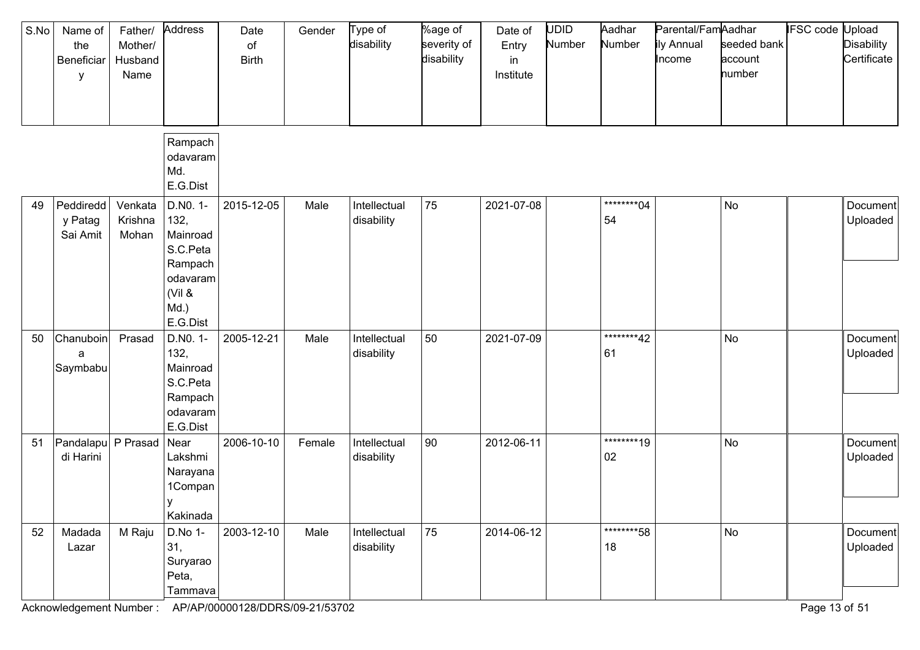| S.No | Name of<br>the<br>Beneficiar<br>у | Father/<br>Mother/<br>Husband<br>Name | Address                                                                                       | Date<br>of<br><b>Birth</b> | Gender | Type of<br>disability      | %age of<br>severity of<br>disability | Date of<br>Entry<br>in<br>Institute | <b>UDID</b><br>Number | Aadhar<br>Number  | Parental/FamAadhar<br>ily Annual<br>Income | seeded bank<br>account<br>number | IFSC code | Jpload<br><b>Disability</b><br>Certificate |
|------|-----------------------------------|---------------------------------------|-----------------------------------------------------------------------------------------------|----------------------------|--------|----------------------------|--------------------------------------|-------------------------------------|-----------------------|-------------------|--------------------------------------------|----------------------------------|-----------|--------------------------------------------|
|      |                                   |                                       | Rampach<br>odavaram<br>Md.<br>E.G.Dist                                                        |                            |        |                            |                                      |                                     |                       |                   |                                            |                                  |           |                                            |
| 49   | Peddiredd<br>y Patag<br>Sai Amit  | Venkata<br>Krishna<br>Mohan           | D.NO. 1-<br>132,<br>Mainroad<br>S.C.Peta<br>Rampach<br>odavaram<br>(Vil 8<br>Md.)<br>E.G.Dist | 2015-12-05                 | Male   | Intellectual<br>disability | 75                                   | 2021-07-08                          |                       | *********04<br>54 |                                            | No                               |           | Document<br>Uploaded                       |
| 50   | Chanuboin<br>a<br>Saymbabu        | Prasad                                | D.NO. 1-<br>132,<br>Mainroad<br>S.C.Peta<br>Rampach<br>odavaram<br>E.G.Dist                   | 2005-12-21                 | Male   | Intellectual<br>disability | 50                                   | 2021-07-09                          |                       | ********42<br>61  |                                            | No                               |           | Document<br>Uploaded                       |
| 51   | Pandalapu P Prasad<br>di Harini   |                                       | Near<br>Lakshmi<br>Narayana<br>1Compan<br>у<br>Kakinada                                       | 2006-10-10                 | Female | Intellectual<br>disability | 90                                   | 2012-06-11                          |                       | ********19<br>02  |                                            | No                               |           | Document<br>Uploaded                       |
| 52   | Madada<br>Lazar                   | M Raju                                | D.No 1-<br>31,<br>Suryarao<br>Peta,<br>Tammava                                                | 2003-12-10                 | Male   | Intellectual<br>disability | 75                                   | 2014-06-12                          |                       | *********58<br>18 |                                            | <b>No</b>                        |           | Document<br>Uploaded                       |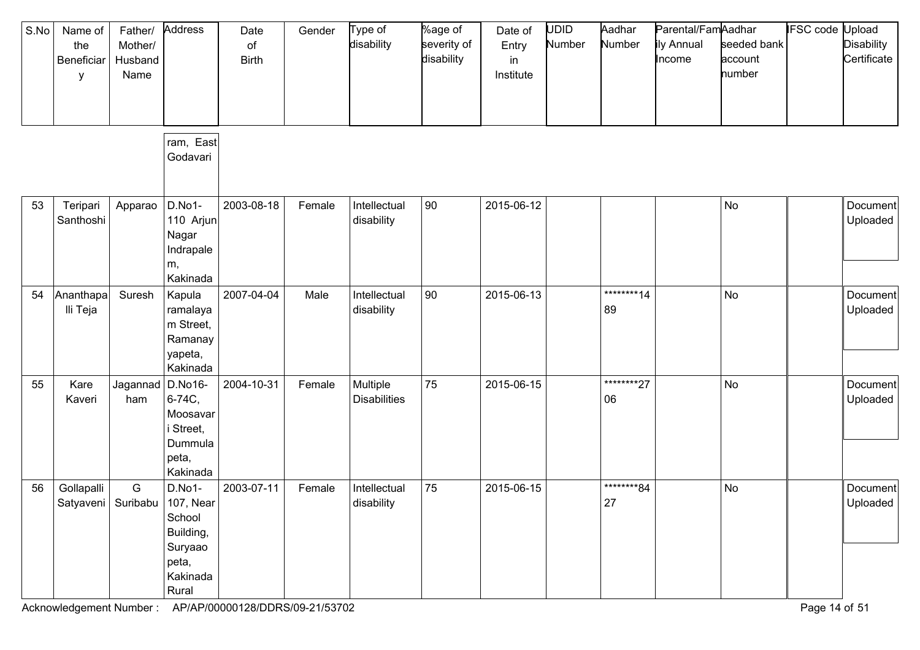| S.No | Name of<br>the<br>Beneficiar<br>у | Father/<br>Mother/<br>Husband<br>Name | Address                                                                  | Date<br>of<br><b>Birth</b> | Gender | Type of<br>disability           | %age of<br>severity of<br>disability | Date of<br>Entry<br>in<br>Institute | <b>UDID</b><br>Number | Aadhar<br>Number  | Parental/FamAadhar<br>ily Annual<br>Income | seeded bank<br>account<br>number | IFSC code | Jpload<br><b>Disability</b><br>Certificate |
|------|-----------------------------------|---------------------------------------|--------------------------------------------------------------------------|----------------------------|--------|---------------------------------|--------------------------------------|-------------------------------------|-----------------------|-------------------|--------------------------------------------|----------------------------------|-----------|--------------------------------------------|
|      |                                   |                                       | ram, East<br>Godavari                                                    |                            |        |                                 |                                      |                                     |                       |                   |                                            |                                  |           |                                            |
| 53   | Teripari<br>Santhoshi             | Apparao                               | D.No1-<br>110 Arjun<br>Nagar<br>Indrapale<br>m,<br>Kakinada              | 2003-08-18                 | Female | Intellectual<br>disability      | $ 90\rangle$                         | 2015-06-12                          |                       |                   |                                            | No                               |           | Document<br>Uploaded                       |
| 54   | Ananthapa<br>Ili Teja             | Suresh                                | Kapula<br>ramalaya<br>m Street,<br>Ramanay<br>yapeta,<br>Kakinada        | 2007-04-04                 | Male   | Intellectual<br>disability      | 90                                   | 2015-06-13                          |                       | *********14<br>89 |                                            | No                               |           | Document<br>Uploaded                       |
| 55   | Kare<br>Kaveri                    | Jagannad<br>ham                       | D.No16-<br>6-74C,<br>Moosavar<br>Street,<br>Dummula<br>peta,<br>Kakinada | 2004-10-31                 | Female | Multiple<br><b>Disabilities</b> | 75                                   | 2015-06-15                          |                       | ********27<br>06  |                                            | No                               |           | Document<br>Uploaded                       |
| 56   | Gollapalli                        | G<br>Satyaveni   Suribabu   107, Near | D.No1-<br>School<br>Building,<br>Suryaao<br>peta,<br>Kakinada<br>Rural   | 2003-07-11                 | Female | Intellectual<br>disability      | 75                                   | 2015-06-15                          |                       | ********84<br>27  |                                            | No                               |           | Document<br>Uploaded                       |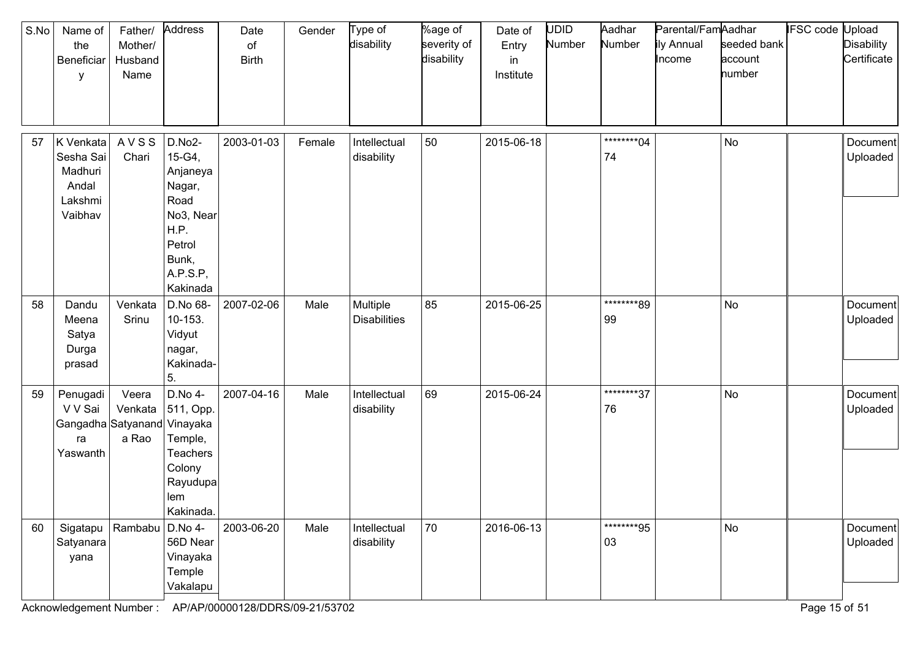| S.No | Name of<br>the<br>Beneficiar<br>y                                    | Father/<br>Mother/<br>Husband<br>Name | Address                                                                                                        | Date<br>of<br><b>Birth</b> | Gender | Type of<br>disability           | %age of<br>severity of<br>disability | Date of<br>Entry<br>in<br>Institute | UDID<br>Number | Aadhar<br>Number  | Parental/FamAadhar<br>ily Annual<br>Income | seeded bank<br>account<br>number | <b>IFSC code Upload</b> | <b>Disability</b><br>Certificate |
|------|----------------------------------------------------------------------|---------------------------------------|----------------------------------------------------------------------------------------------------------------|----------------------------|--------|---------------------------------|--------------------------------------|-------------------------------------|----------------|-------------------|--------------------------------------------|----------------------------------|-------------------------|----------------------------------|
| 57   | K Venkata<br>Sesha Sai<br>Madhuri<br>Andal<br>Lakshmi<br>Vaibhav     | AVSS<br>Chari                         | D.No2-<br>15-G4,<br>Anjaneya<br>Nagar,<br>Road<br>No3, Near<br>H.P.<br>Petrol<br>Bunk,<br>A.P.S.P,<br>Kakinada | 2003-01-03                 | Female | Intellectual<br>disability      | 50                                   | 2015-06-18                          |                | *********04<br>74 |                                            | No                               |                         | Document<br>Uploaded             |
| 58   | Dandu<br>Meena<br>Satya<br>Durga<br>prasad                           | Venkata<br>Srinu                      | D.No 68-<br>10-153.<br>Vidyut<br>nagar,<br>Kakinada-<br>5.                                                     | 2007-02-06                 | Male   | Multiple<br><b>Disabilities</b> | 85                                   | 2015-06-25                          |                | ********89<br>99  |                                            | No                               |                         | Document<br>Uploaded             |
| 59   | Penugadi<br>V V Sai<br>Gangadha Satyanand Vinayaka<br>ra<br>Yaswanth | Veera<br>Venkata<br>a Rao             | D.No 4-<br>511, Opp.<br>Temple,<br><b>Teachers</b><br>Colony<br>Rayudupa<br>lem<br>Kakinada.                   | 2007-04-16                 | Male   | Intellectual<br>disability      | 69                                   | 2015-06-24                          |                | ********37<br>76  |                                            | No                               |                         | Document<br>Uploaded             |
| 60   | Satyanara<br>yana                                                    | Sigatapu   Rambabu   D.No 4-          | 56D Near<br>Vinayaka<br>Temple<br>Vakalapu                                                                     | 2003-06-20                 | Male   | Intellectual<br>disability      | 70                                   | 2016-06-13                          |                | ********95<br>03  |                                            | No                               |                         | Document<br>Uploaded             |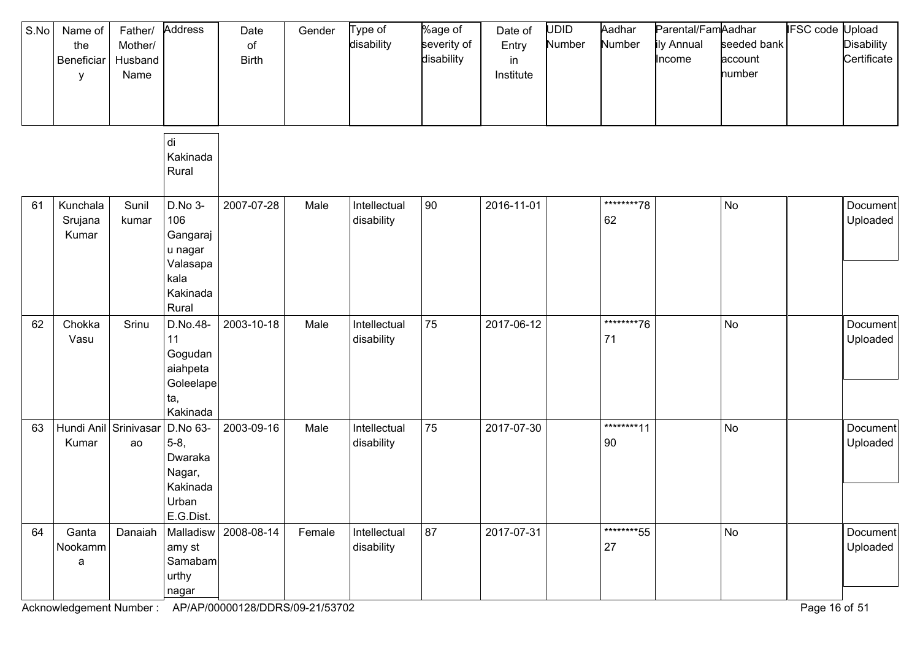| S.No | Name of<br>the<br>Beneficiar<br>У | Father/<br>Mother/<br>Husband<br>Name | Address                                                                        | Date<br>of<br><b>Birth</b> | Gender | Type of<br>disability      | %age of<br>severity of<br>disability | Date of<br>Entry<br>in<br>Institute | <b>UDID</b><br>Number | Aadhar<br>Number  | Parental/FamAadhar<br>ily Annual<br>Income | seeded bank<br>account<br>number | <b>IFSC</b> code | Jpload<br><b>Disability</b><br>Certificate |
|------|-----------------------------------|---------------------------------------|--------------------------------------------------------------------------------|----------------------------|--------|----------------------------|--------------------------------------|-------------------------------------|-----------------------|-------------------|--------------------------------------------|----------------------------------|------------------|--------------------------------------------|
|      |                                   |                                       | di<br>Kakinada<br>Rural                                                        |                            |        |                            |                                      |                                     |                       |                   |                                            |                                  |                  |                                            |
| 61   | Kunchala<br>Srujana<br>Kumar      | Sunil<br>kumar                        | D.No 3-<br>106<br>Gangaraj<br>u nagar<br>Valasapa<br>kala<br>Kakinada<br>Rural | 2007-07-28                 | Male   | Intellectual<br>disability | 90                                   | 2016-11-01                          |                       | *********78<br>62 |                                            | No                               |                  | Document<br>Uploaded                       |
| 62   | Chokka<br>Vasu                    | Srinu                                 | D.No.48-<br>11<br>Gogudan<br>aiahpeta<br>Goleelape<br>ta,<br>Kakinada          | 2003-10-18                 | Male   | Intellectual<br>disability | 75                                   | 2017-06-12                          |                       | ********76<br>71  |                                            | No                               |                  | Document<br>Uploaded                       |
| 63   | Hundi Anil Srinivasar<br>Kumar    | ao                                    | D.No 63-<br>$5-8,$<br>Dwaraka<br>Nagar,<br>Kakinada<br>Urban<br>E.G.Dist.      | 2003-09-16                 | Male   | Intellectual<br>disability | 75                                   | 2017-07-30                          |                       | ********11<br>90  |                                            | No                               |                  | Document<br>Uploaded                       |
| 64   | Ganta<br>Nookamm<br>a             | Danaiah                               | Malladisw<br>amy st<br>Samabam<br>urthy<br>nagar                               | 2008-08-14                 | Female | Intellectual<br>disability | 87                                   | 2017-07-31                          |                       | *********55<br>27 |                                            | No                               |                  | Document<br>Uploaded                       |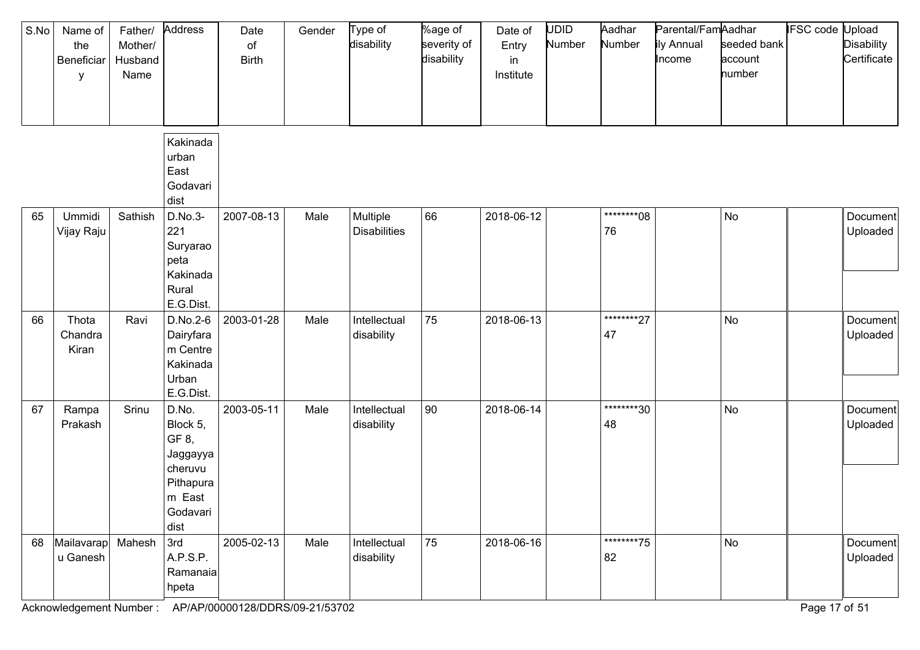| S.No | Name of<br>the<br>Beneficiar<br>y | Father/<br>Mother/<br>Husband<br>Name | Address<br>Kakinada                                                                          | Date<br>of<br><b>Birth</b> | Gender | Type of<br>disability           | %age of<br>severity of<br>disability | Date of<br>Entry<br>in<br>Institute | <b>UDID</b><br>Number | Aadhar<br>Number | Parental/FamAadhar<br>ily Annual<br>Income | seeded bank<br>account<br>number | <b>IFSC code Upload</b> | <b>Disability</b><br>Certificate |
|------|-----------------------------------|---------------------------------------|----------------------------------------------------------------------------------------------|----------------------------|--------|---------------------------------|--------------------------------------|-------------------------------------|-----------------------|------------------|--------------------------------------------|----------------------------------|-------------------------|----------------------------------|
|      |                                   |                                       | urban<br>East<br>Godavari<br>dist                                                            |                            |        |                                 |                                      |                                     |                       |                  |                                            |                                  |                         |                                  |
| 65   | Ummidi<br>Vijay Raju              | Sathish                               | D.No.3-<br>221<br>Suryarao<br>peta<br>Kakinada<br>Rural<br>E.G.Dist.                         | 2007-08-13                 | Male   | Multiple<br><b>Disabilities</b> | 66                                   | 2018-06-12                          |                       | ********08<br>76 |                                            | No                               |                         | Document<br>Uploaded             |
| 66   | Thota<br>Chandra<br>Kiran         | Ravi                                  | D.No.2-6<br>Dairyfara<br>m Centre<br>Kakinada<br>Urban<br>E.G.Dist.                          | 2003-01-28                 | Male   | Intellectual<br>disability      | 75                                   | 2018-06-13                          |                       | ********27<br>47 |                                            | No                               |                         | Document<br>Uploaded             |
| 67   | Rampa<br>Prakash                  | Srinu                                 | D.No.<br>Block 5,<br>GF 8,<br>Jaggayya<br>cheruvu<br>Pithapura<br>m East<br>Godavari<br>dist | 2003-05-11                 | Male   | Intellectual<br>disability      | 90                                   | 2018-06-14                          |                       | ********30<br>48 |                                            | No                               |                         | Document<br>Uploaded             |
| 68   | Mailavarap<br>u Ganesh            | Mahesh                                | 3rd<br>A.P.S.P.<br>Ramanaia<br>hpeta                                                         | 2005-02-13                 | Male   | Intellectual<br>disability      | 75                                   | 2018-06-16                          |                       | ********75<br>82 |                                            | No                               |                         | Document<br>Uploaded             |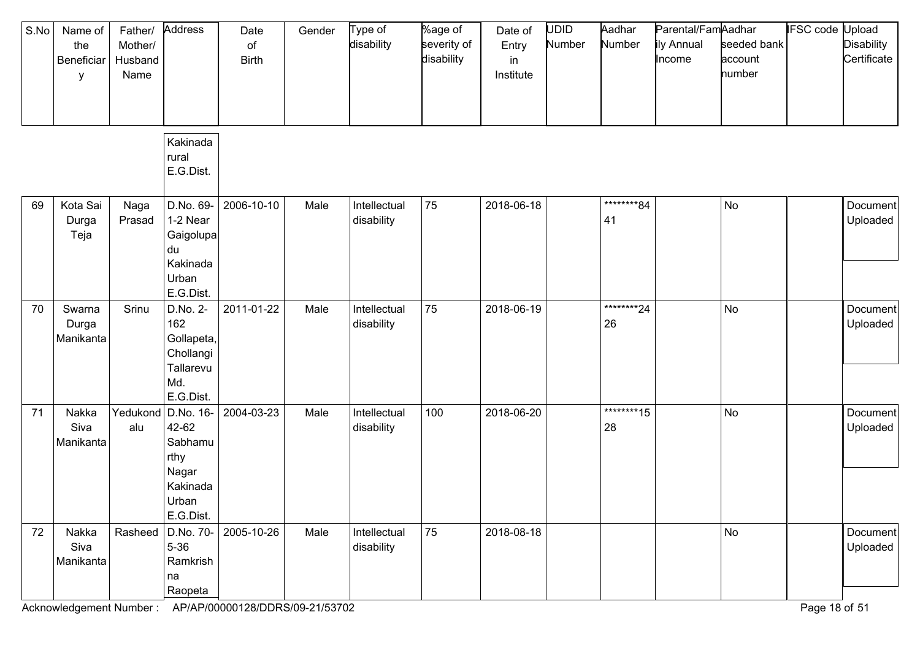| S.No | Name of<br>the<br>Beneficiar<br>у | Father/<br>Mother/<br>Husband<br>Name | Address                                                                                   | Date<br>$\circ$ f<br><b>Birth</b> | Gender | Type of<br>disability      | %age of<br>severity of<br>disability | Date of<br>Entry<br>in<br>Institute | <b>UDID</b><br>Number | Aadhar<br>Number  | Parental/FamAadhar<br>ily Annual<br>Income | seeded bank<br>account<br>number | <b>IFSC code Upload</b> | <b>Disability</b><br>Certificate |
|------|-----------------------------------|---------------------------------------|-------------------------------------------------------------------------------------------|-----------------------------------|--------|----------------------------|--------------------------------------|-------------------------------------|-----------------------|-------------------|--------------------------------------------|----------------------------------|-------------------------|----------------------------------|
|      |                                   |                                       | Kakinada<br>rural<br>E.G.Dist.                                                            |                                   |        |                            |                                      |                                     |                       |                   |                                            |                                  |                         |                                  |
| 69   | Kota Sai<br>Durga<br>Teja         | Naga<br>Prasad                        | D.No. 69-<br>1-2 Near<br>Gaigolupa<br>du<br>Kakinada<br>Urban<br>E.G.Dist.                | 2006-10-10                        | Male   | Intellectual<br>disability | 75                                   | 2018-06-18                          |                       | ********84<br>41  |                                            | No                               |                         | Document<br>Uploaded             |
| 70   | Swarna<br>Durga<br>Manikanta      | Srinu                                 | D.No. 2-<br>162<br>Gollapeta,<br>Chollangi<br>Tallarevu<br>Md.<br>E.G.Dist.               | 2011-01-22                        | Male   | Intellectual<br>disability | 75                                   | 2018-06-19                          |                       | *********24<br>26 |                                            | No                               |                         | Document<br>Uploaded             |
| 71   | Nakka<br>Siva<br>Manikanta        | alu                                   | Yedukond D.No. 16-<br>42-62<br>Sabhamu<br>rthy<br>Nagar<br>Kakinada<br>Urban<br>E.G.Dist. | 2004-03-23                        | Male   | Intellectual<br>disability | 100                                  | 2018-06-20                          |                       | ********15<br>28  |                                            | No                               |                         | Document<br>Uploaded             |
| 72   | Nakka<br>Siva<br>Manikanta        | Rasheed                               | D.No. 70-<br>$5 - 36$<br>Ramkrish<br>na<br>Raopeta                                        | 2005-10-26                        | Male   | Intellectual<br>disability | 75                                   | 2018-08-18                          |                       |                   |                                            | No                               |                         | Document<br>Uploaded             |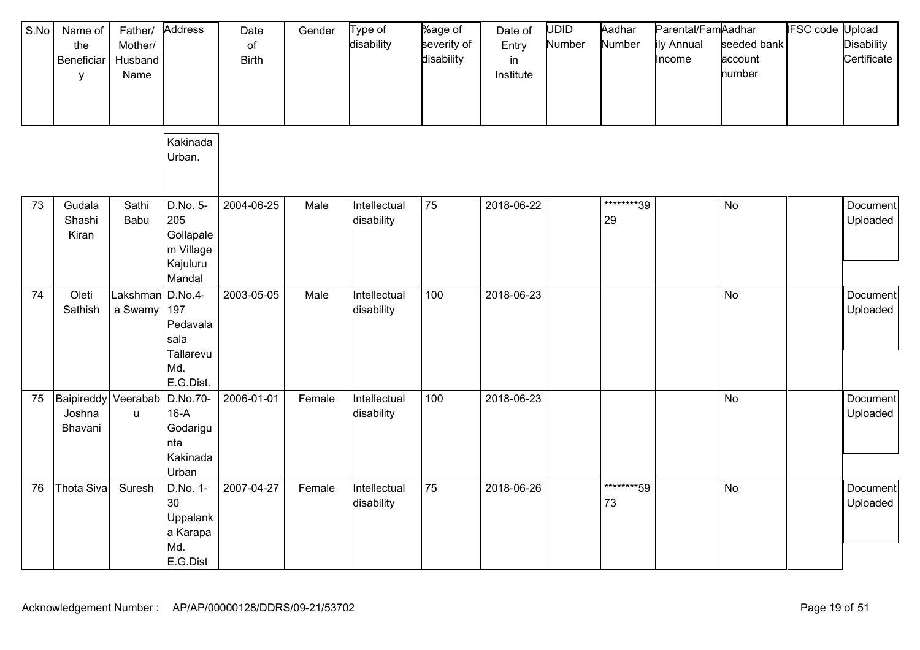| S.No | Name of<br>the<br>Beneficiar<br>y | Father/<br>Mother/<br>Husband<br>Name | Address                                                             | Date<br>of<br><b>Birth</b> | Gender | Type of<br>disability      | %age of<br>severity of<br>disability | Date of<br>Entry<br>in<br>Institute | UDID<br>Number | Aadhar<br>Number  | Parental/FamAadhar<br>ily Annual<br>Income | seeded bank<br>account<br>number | IFSC code | Upload<br><b>Disability</b><br>Certificate |
|------|-----------------------------------|---------------------------------------|---------------------------------------------------------------------|----------------------------|--------|----------------------------|--------------------------------------|-------------------------------------|----------------|-------------------|--------------------------------------------|----------------------------------|-----------|--------------------------------------------|
|      |                                   |                                       | Kakinada<br>Urban.                                                  |                            |        |                            |                                      |                                     |                |                   |                                            |                                  |           |                                            |
| 73   | Gudala<br>Shashi<br>Kiran         | Sathi<br>Babu                         | D.No. 5-<br>205<br>Gollapale<br>m Village<br>Kajuluru<br>Mandal     | 2004-06-25                 | Male   | Intellectual<br>disability | 75                                   | 2018-06-22                          |                | ********39<br>29  |                                            | No                               |           | Document<br>Uploaded                       |
| 74   | Oleti<br>Sathish                  | Lakshman<br>a Swamy                   | D.No.4-<br>197<br>Pedavala<br>sala<br>Tallarevu<br>Md.<br>E.G.Dist. | 2003-05-05                 | Male   | Intellectual<br>disability | 100                                  | 2018-06-23                          |                |                   |                                            | No                               |           | Document<br>Uploaded                       |
| 75   | Baipireddy<br>Joshna<br>Bhavani   | Veerabab<br><b>u</b>                  | D.No.70-<br>$16-A$<br>Godarigu<br>nta<br>Kakinada<br>Urban          | 2006-01-01                 | Female | Intellectual<br>disability | 100                                  | 2018-06-23                          |                |                   |                                            | No                               |           | Document<br>Uploaded                       |
| 76   | Thota Siva                        | Suresh                                | D.No. 1-<br>30<br>Uppalank<br>a Karapa<br>Md.<br>E.G.Dist           | 2007-04-27                 | Female | Intellectual<br>disability | 75                                   | 2018-06-26                          |                | *********59<br>73 |                                            | <b>No</b>                        |           | Document<br>Uploaded                       |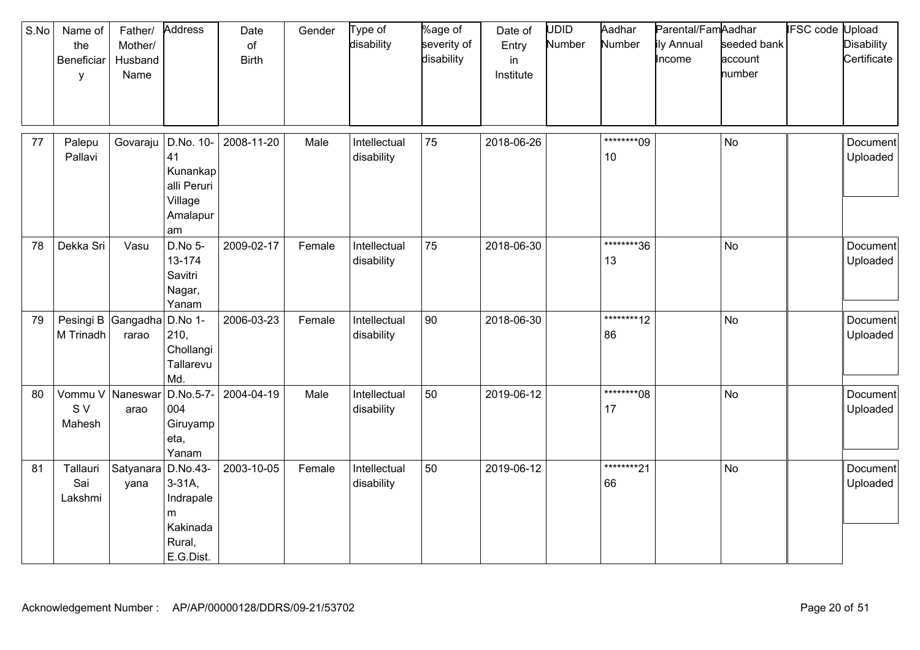| S.No | Name of<br>the<br>Beneficiar<br>y | Father/<br>Mother/<br>Husband<br>Name | Address                                                        | Date<br>of<br><b>Birth</b> | Gender | Type of<br>disability      | %age of<br>severity of<br>disability | Date of<br>Entry<br>in<br>Institute | UDID<br>Number | Aadhar<br>Number  | Parental/FamAadhar<br>ily Annual<br>Income | seeded bank<br>account<br>number | <b>IFSC code Upload</b> | <b>Disability</b><br>Certificate |
|------|-----------------------------------|---------------------------------------|----------------------------------------------------------------|----------------------------|--------|----------------------------|--------------------------------------|-------------------------------------|----------------|-------------------|--------------------------------------------|----------------------------------|-------------------------|----------------------------------|
|      |                                   |                                       |                                                                |                            |        |                            |                                      |                                     |                |                   |                                            |                                  |                         |                                  |
| 77   | Palepu<br>Pallavi                 | Govaraju                              | D.No. 10-<br>41<br>Kunankap<br>alli Peruri<br>Village          | 2008-11-20                 | Male   | Intellectual<br>disability | 75                                   | 2018-06-26                          |                | *********09<br>10 |                                            | No                               |                         | Document<br>Uploaded             |
|      |                                   |                                       | Amalapur                                                       |                            |        |                            |                                      |                                     |                |                   |                                            |                                  |                         |                                  |
| 78   | Dekka Sri                         | Vasu                                  | am<br>D.No 5-<br>13-174<br>Savitri<br>Nagar,<br>Yanam          | 2009-02-17                 | Female | Intellectual<br>disability | 75                                   | 2018-06-30                          |                | ********36<br>13  |                                            | <b>No</b>                        |                         | Document<br>Uploaded             |
| 79   | Pesingi B Gangadha<br>M Trinadh   | rarao                                 | D.No 1-<br>210,<br>Chollangi<br>Tallarevu<br>Md.               | 2006-03-23                 | Female | Intellectual<br>disability | 90                                   | 2018-06-30                          |                | ********12<br>86  |                                            | <b>No</b>                        |                         | Document<br>Uploaded             |
| 80   | Vommu V Naneswar<br>S V<br>Mahesh | arao                                  | D.No.5-7-<br>004<br>Giruyamp<br>eta,<br>Yanam                  | 2004-04-19                 | Male   | Intellectual<br>disability | 50                                   | 2019-06-12                          |                | ********08<br>17  |                                            | <b>No</b>                        |                         | Document<br>Uploaded             |
| 81   | Tallauri<br>Sai<br>Lakshmi        | Satyanara D.No.43-<br>yana            | $3-31A$ ,<br>Indrapale<br>m<br>Kakinada<br>Rural,<br>E.G.Dist. | 2003-10-05                 | Female | Intellectual<br>disability | 50                                   | 2019-06-12                          |                | *********21<br>66 |                                            | <b>No</b>                        |                         | Document<br>Uploaded             |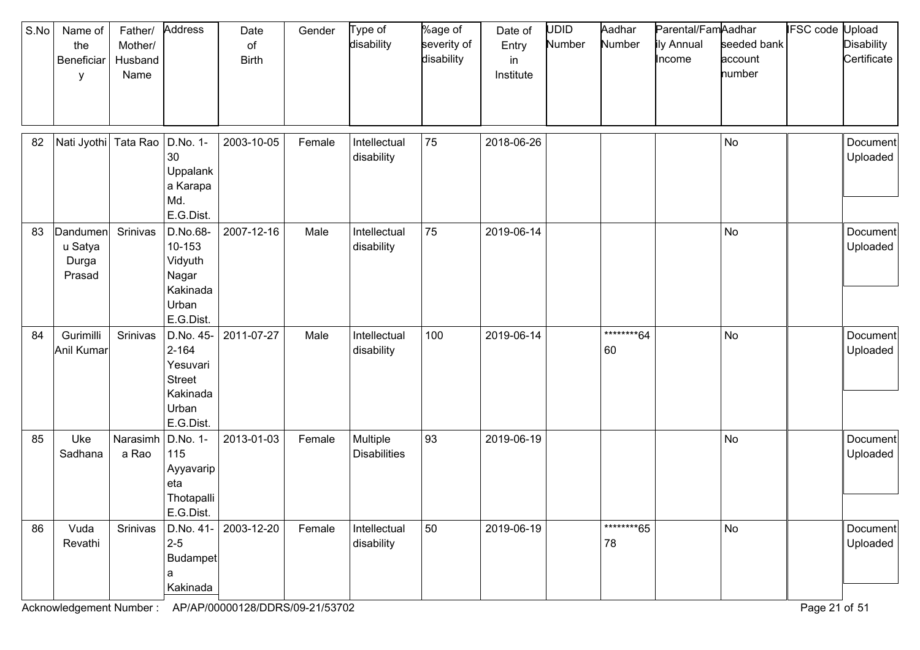| S.No | Name of<br>the<br>Beneficiar<br>y      | Father/<br>Mother/<br>Husband<br>Name | Address                                                                               | Date<br>of<br><b>Birth</b> | Gender | Type of<br>disability           | %age of<br>severity of<br>disability | Date of<br>Entry<br>in<br>Institute | <b>UDID</b><br>Number | Aadhar<br>Number  | Parental/FamAadhar<br>ily Annual<br>Income | seeded bank<br>account<br>number | IFSC code Upload | <b>Disability</b><br>Certificate |
|------|----------------------------------------|---------------------------------------|---------------------------------------------------------------------------------------|----------------------------|--------|---------------------------------|--------------------------------------|-------------------------------------|-----------------------|-------------------|--------------------------------------------|----------------------------------|------------------|----------------------------------|
| 82   | Nati Jyothi                            | Tata Rao                              | D.No. 1-<br>30<br>Uppalank<br>a Karapa<br>Md.<br>E.G.Dist.                            | 2003-10-05                 | Female | Intellectual<br>disability      | 75                                   | 2018-06-26                          |                       |                   |                                            | <b>No</b>                        |                  | Document<br>Uploaded             |
| 83   | Dandumen<br>u Satya<br>Durga<br>Prasad | Srinivas                              | D.No.68-<br>10-153<br>Vidyuth<br>Nagar<br>Kakinada<br>Urban<br>E.G.Dist.              | 2007-12-16                 | Male   | Intellectual<br>disability      | 75                                   | 2019-06-14                          |                       |                   |                                            | No                               |                  | Document<br>Uploaded             |
| 84   | Gurimilli<br>Anil Kumar                | Srinivas                              | D.No. 45-<br>$2 - 164$<br>Yesuvari<br><b>Street</b><br>Kakinada<br>Urban<br>E.G.Dist. | 2011-07-27                 | Male   | Intellectual<br>disability      | 100                                  | 2019-06-14                          |                       | *********64<br>60 |                                            | No                               |                  | Document<br>Uploaded             |
| 85   | Uke<br>Sadhana                         | Narasimh<br>a Rao                     | D.No. 1-<br>115<br>Ayyavarip<br>eta<br>Thotapalli<br>E.G.Dist.                        | 2013-01-03                 | Female | Multiple<br><b>Disabilities</b> | 93                                   | 2019-06-19                          |                       |                   |                                            | No                               |                  | Document<br>Uploaded             |
| 86   | Vuda<br>Revathi                        | Srinivas                              | D.No. 41-<br>$2 - 5$<br>Budampet<br>a<br>Kakinada                                     | 2003-12-20                 | Female | Intellectual<br>disability      | 50                                   | 2019-06-19                          |                       | *********65<br>78 |                                            | No                               |                  | Document<br>Uploaded             |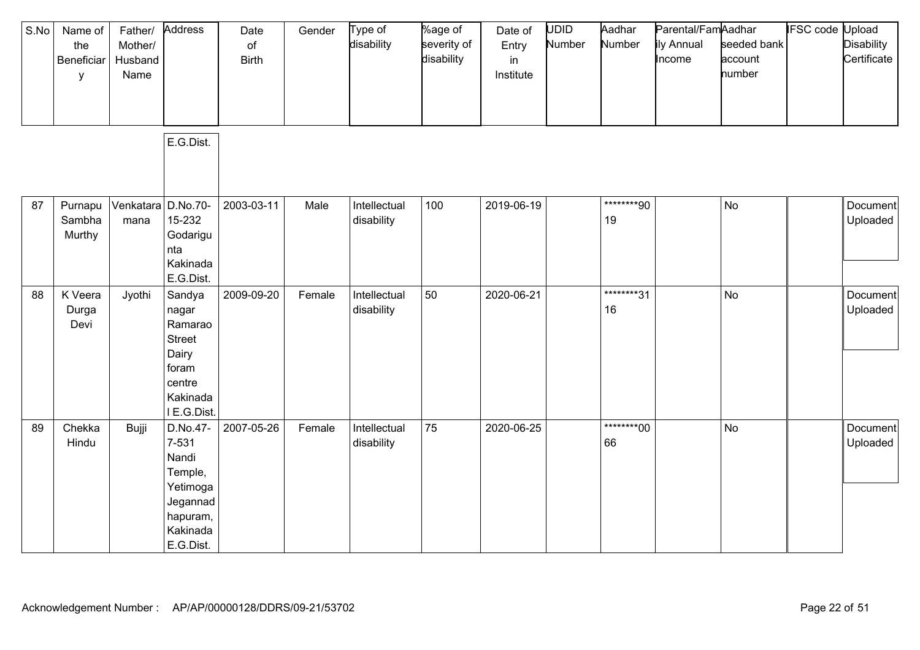| S.No | Name of<br>the<br>Beneficiar<br>у | Father/<br>Mother/<br>Husband<br>Name | Address                                                                                            | Date<br>of<br><b>Birth</b> | Gender | Type of<br>disability      | %age of<br>severity of<br>disability | Date of<br>Entry<br>in<br>Institute | UDID<br>Number | Aadhar<br>Number | Parental/FamAadhar<br>ily Annual<br>Income | seeded bank<br>account<br>number | <b>IFSC code Upload</b> | <b>Disability</b><br>Certificate |
|------|-----------------------------------|---------------------------------------|----------------------------------------------------------------------------------------------------|----------------------------|--------|----------------------------|--------------------------------------|-------------------------------------|----------------|------------------|--------------------------------------------|----------------------------------|-------------------------|----------------------------------|
|      |                                   |                                       | E.G.Dist.                                                                                          |                            |        |                            |                                      |                                     |                |                  |                                            |                                  |                         |                                  |
| 87   | Purnapu<br>Sambha<br>Murthy       | Venkatara D.No.70-<br>mana            | 15-232<br>Godarigu<br>nta<br>Kakinada<br>E.G.Dist.                                                 | 2003-03-11                 | Male   | Intellectual<br>disability | 100                                  | 2019-06-19                          |                | ********90<br>19 |                                            | <b>No</b>                        |                         | Document<br>Uploaded             |
| 88   | K Veera<br>Durga<br>Devi          | Jyothi                                | Sandya<br>nagar<br>Ramarao<br><b>Street</b><br>Dairy<br>foram<br>centre<br>Kakinada<br>I E.G.Dist. | 2009-09-20                 | Female | Intellectual<br>disability | 50                                   | 2020-06-21                          |                | ********31<br>16 |                                            | <b>No</b>                        |                         | Document<br>Uploaded             |
| 89   | Chekka<br>Hindu                   | Bujji                                 | D.No.47-<br>7-531<br>Nandi<br>Temple,<br>Yetimoga<br>Jegannad<br>hapuram,<br>Kakinada<br>E.G.Dist. | 2007-05-26                 | Female | Intellectual<br>disability | 75                                   | 2020-06-25                          |                | ********00<br>66 |                                            | <b>No</b>                        |                         | Document<br>Uploaded             |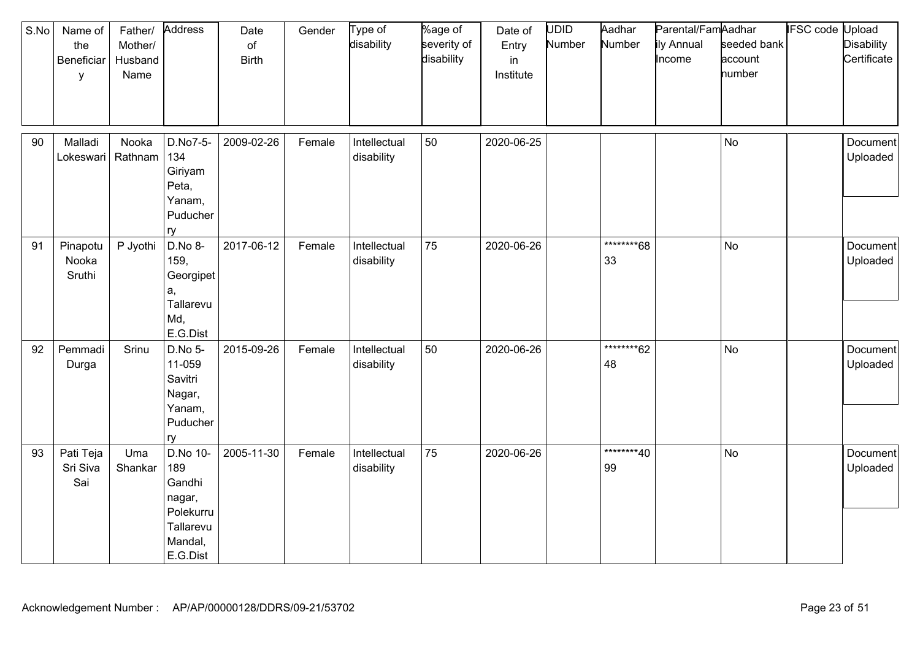| S.No | Name of<br>the<br>Beneficiar<br>у | Father/<br>Mother/<br>Husband<br>Name | Address                                                                              | Date<br>of<br><b>Birth</b> | Gender | Type of<br>disability      | %age of<br>severity of<br>disability | Date of<br>Entry<br>in<br>Institute | UDID<br>Number | Aadhar<br>Number  | Parental/FamAadhar<br>ily Annual<br>Income | seeded bank<br>account<br>number | <b>IFSC code Upload</b> | <b>Disability</b><br>Certificate |
|------|-----------------------------------|---------------------------------------|--------------------------------------------------------------------------------------|----------------------------|--------|----------------------------|--------------------------------------|-------------------------------------|----------------|-------------------|--------------------------------------------|----------------------------------|-------------------------|----------------------------------|
| 90   | Malladi<br>Lokeswari              | Nooka<br>Rathnam                      | D.No7-5-<br>134<br>Giriyam<br>Peta,<br>Yanam,<br>Puducher<br>ry                      | 2009-02-26                 | Female | Intellectual<br>disability | 50                                   | 2020-06-25                          |                |                   |                                            | <b>No</b>                        |                         | Document<br>Uploaded             |
| 91   | Pinapotu<br>Nooka<br>Sruthi       | P Jyothi                              | D.No 8-<br>159,<br>Georgipet<br>a,<br>Tallarevu<br>Md,<br>E.G.Dist                   | 2017-06-12                 | Female | Intellectual<br>disability | 75                                   | 2020-06-26                          |                | ********68<br>33  |                                            | <b>No</b>                        |                         | Document<br>Uploaded             |
| 92   | Pemmadi<br>Durga                  | Srinu                                 | D.No 5-<br>11-059<br>Savitri<br>Nagar,<br>Yanam,<br>Puducher<br>ry                   | 2015-09-26                 | Female | Intellectual<br>disability | 50                                   | 2020-06-26                          |                | *********62<br>48 |                                            | <b>No</b>                        |                         | Document<br>Uploaded             |
| 93   | Pati Teja<br>Sri Siva<br>Sai      | Uma<br>Shankar                        | D.No 10-<br>189<br>Gandhi<br>nagar,<br>Polekurru<br>Tallarevu<br>Mandal,<br>E.G.Dist | 2005-11-30                 | Female | Intellectual<br>disability | 75                                   | 2020-06-26                          |                | ********40<br>99  |                                            | <b>No</b>                        |                         | Document<br>Uploaded             |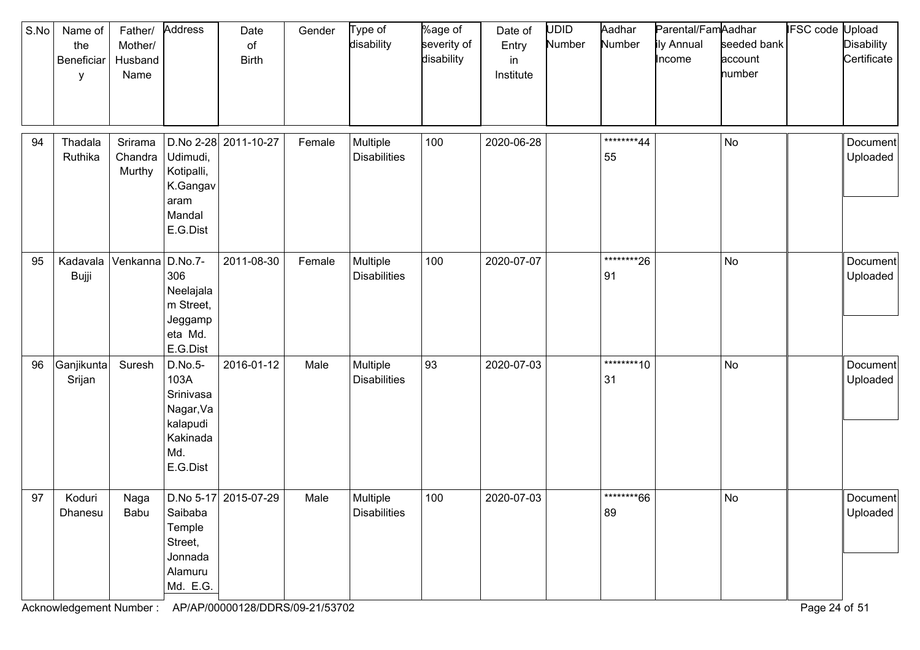| S.No | Name of<br>the<br>Beneficiar<br>у | Father/<br>Mother/<br>Husband<br>Name | Address                                                                              | Date<br>of<br><b>Birth</b> | Gender | Type of<br>disability           | %age of<br>severity of<br>disability | Date of<br>Entry<br>in<br>Institute | UDID<br>Number | Aadhar<br>Number  | Parental/FamAadhar<br>ily Annual<br>Income | seeded bank<br>account<br>number | <b>IFSC</b> code | Upload<br><b>Disability</b><br>Certificate |
|------|-----------------------------------|---------------------------------------|--------------------------------------------------------------------------------------|----------------------------|--------|---------------------------------|--------------------------------------|-------------------------------------|----------------|-------------------|--------------------------------------------|----------------------------------|------------------|--------------------------------------------|
| 94   | Thadala<br>Ruthika                | Srirama<br>Chandra<br>Murthy          | Udimudi,<br>Kotipalli,<br>K.Gangav<br>aram<br>Mandal<br>E.G.Dist                     | D.No 2-28 2011-10-27       | Female | Multiple<br><b>Disabilities</b> | 100                                  | 2020-06-28                          |                | ********44<br>55  |                                            | No                               |                  | Document<br>Uploaded                       |
| 95   | Kadavala<br>Bujji                 | Venkanna D.No.7-                      | 306<br>Neelajala<br>m Street,<br>Jeggamp<br>eta Md.<br>E.G.Dist                      | 2011-08-30                 | Female | Multiple<br><b>Disabilities</b> | 100                                  | 2020-07-07                          |                | *********26<br>91 |                                            | No                               |                  | Document<br>Uploaded                       |
| 96   | Ganjikunta<br>Srijan              | Suresh                                | D.No.5-<br>103A<br>Srinivasa<br>Nagar, Va<br>kalapudi<br>Kakinada<br>Md.<br>E.G.Dist | 2016-01-12                 | Male   | Multiple<br><b>Disabilities</b> | 93                                   | 2020-07-03                          |                | ********10<br>31  |                                            | No                               |                  | Document<br>Uploaded                       |
| 97   | Koduri<br>Dhanesu                 | Naga<br>Babu                          | Saibaba<br>Temple<br>Street,<br>Jonnada<br>Alamuru<br>Md. E.G.                       | D.No 5-17 2015-07-29       | Male   | Multiple<br>Disabilities        | 100                                  | 2020-07-03                          |                | ********66<br>89  |                                            | No                               |                  | Document<br>Uploaded                       |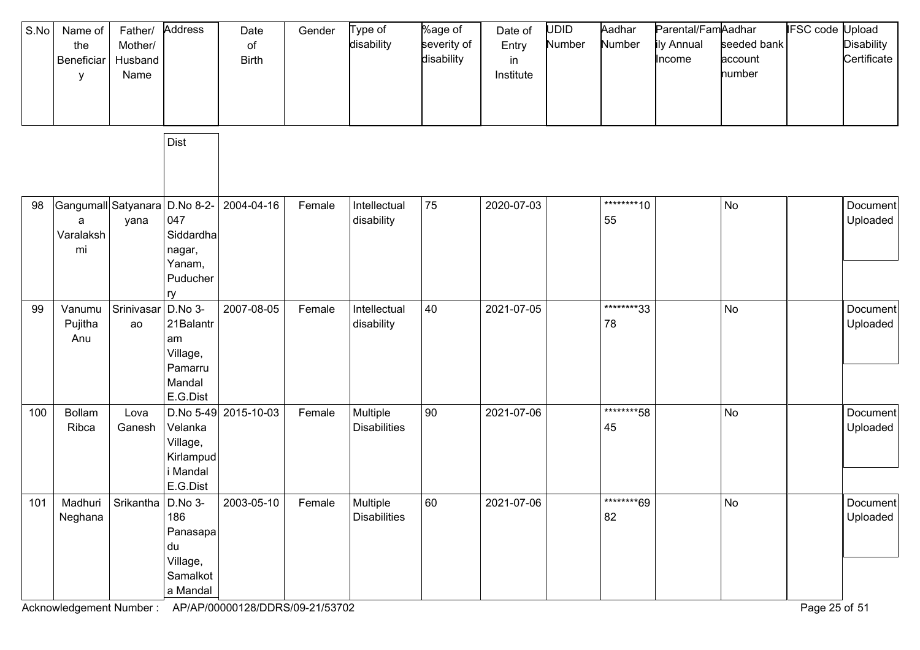| S.No | Name of<br>the<br>Beneficiar<br>у                     | Father/<br>Mother/<br>Husband<br>Name | Address                                                                 | Date<br>of<br><b>Birth</b> | Gender | Type of<br>disability           | %age of<br>severity of<br>disability | Date of<br>Entry<br>in<br>Institute | <b>UDID</b><br>Number | Aadhar<br>Number  | Parental/FamAadhar<br>ily Annual<br>Income | seeded bank<br>account<br>number | <b>IFSC code Upload</b> | <b>Disability</b><br>Certificate |
|------|-------------------------------------------------------|---------------------------------------|-------------------------------------------------------------------------|----------------------------|--------|---------------------------------|--------------------------------------|-------------------------------------|-----------------------|-------------------|--------------------------------------------|----------------------------------|-------------------------|----------------------------------|
|      |                                                       |                                       | <b>Dist</b>                                                             |                            |        |                                 |                                      |                                     |                       |                   |                                            |                                  |                         |                                  |
| 98   | Gangumall Satyanara D.No 8-2-<br>a<br>Varalaksh<br>mi | yana                                  | 047<br>Siddardha<br>nagar,<br>Yanam,<br>Puducher<br>ry                  | 2004-04-16                 | Female | Intellectual<br>disability      | 75                                   | 2020-07-03                          |                       | *********10<br>55 |                                            | No                               |                         | Document<br>Uploaded             |
| 99   | Vanumu<br>Pujitha<br>Anu                              | Srinivasar<br>ao                      | D.No 3-<br>21Balantr<br>am<br>Village,<br>Pamarru<br>Mandal<br>E.G.Dist | 2007-08-05                 | Female | Intellectual<br>disability      | 40                                   | 2021-07-05                          |                       | ********33<br>78  |                                            | No                               |                         | Document<br>Uploaded             |
| 100  | Bollam<br>Ribca                                       | Lova<br>Ganesh                        | Velanka<br>Village,<br>Kirlampud<br>i Mandal<br>E.G.Dist                | D.No 5-49 2015-10-03       | Female | Multiple<br><b>Disabilities</b> | 90                                   | 2021-07-06                          |                       | ********58<br>45  |                                            | No                               |                         | Document<br>Uploaded             |
| 101  | Madhuri<br>Neghana                                    | Srikantha D.No 3-                     | 186<br>Panasapa<br>du<br>Village,<br>Samalkot<br>a Mandal               | 2003-05-10                 | Female | Multiple<br><b>Disabilities</b> | 60                                   | 2021-07-06                          |                       | ********69<br>82  |                                            | No                               |                         | Document<br>Uploaded             |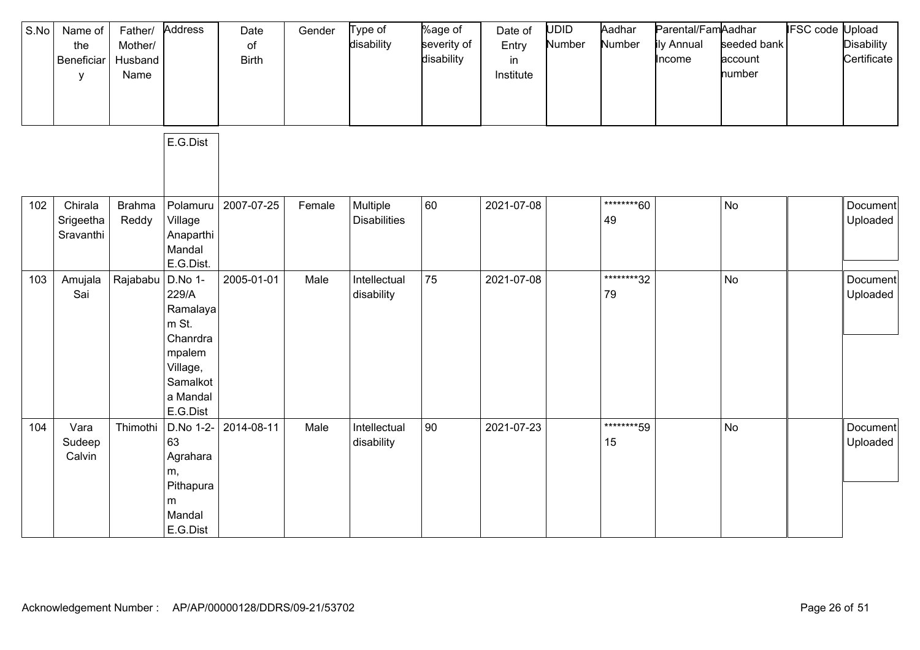| S.No | Name of<br>the<br>Beneficiar<br>у | Father/<br>Mother/<br>Husband<br>Name | Address                                                                                                     | Date<br>of<br><b>Birth</b> | Gender | Type of<br>disability           | %age of<br>severity of<br>disability | Date of<br>Entry<br>in<br>Institute | <b>UDID</b><br>Number | Aadhar<br>Number  | Parental/FamAadhar<br>ily Annual<br>Income | seeded bank<br>account<br>number | IFSC code | Upload<br><b>Disability</b><br>Certificate |
|------|-----------------------------------|---------------------------------------|-------------------------------------------------------------------------------------------------------------|----------------------------|--------|---------------------------------|--------------------------------------|-------------------------------------|-----------------------|-------------------|--------------------------------------------|----------------------------------|-----------|--------------------------------------------|
|      |                                   |                                       | E.G.Dist                                                                                                    |                            |        |                                 |                                      |                                     |                       |                   |                                            |                                  |           |                                            |
| 102  | Chirala<br>Srigeetha<br>Sravanthi | <b>Brahma</b><br>Reddy                | Polamuru<br>Village<br>Anaparthi<br>Mandal<br>E.G.Dist.                                                     | 2007-07-25                 | Female | Multiple<br><b>Disabilities</b> | 60                                   | 2021-07-08                          |                       | ********60<br>49  |                                            | <b>No</b>                        |           | Document<br>Uploaded                       |
| 103  | Amujala<br>Sai                    | Rajababu                              | D.No 1-<br>229/A<br>Ramalaya<br>m St.<br>Chanrdra<br>mpalem<br>Village,<br>Samalkot<br>a Mandal<br>E.G.Dist | 2005-01-01                 | Male   | Intellectual<br>disability      | 75                                   | 2021-07-08                          |                       | *********32<br>79 |                                            | <b>No</b>                        |           | Document<br>Uploaded                       |
| 104  | Vara<br>Sudeep<br>Calvin          | Thimothi                              | D.No 1-2-<br>63<br>Agrahara<br>m,<br>Pithapura<br>m<br>Mandal<br>E.G.Dist                                   | 2014-08-11                 | Male   | Intellectual<br>disability      | 90                                   | 2021-07-23                          |                       | ********59<br>15  |                                            | <b>No</b>                        |           | Document<br>Uploaded                       |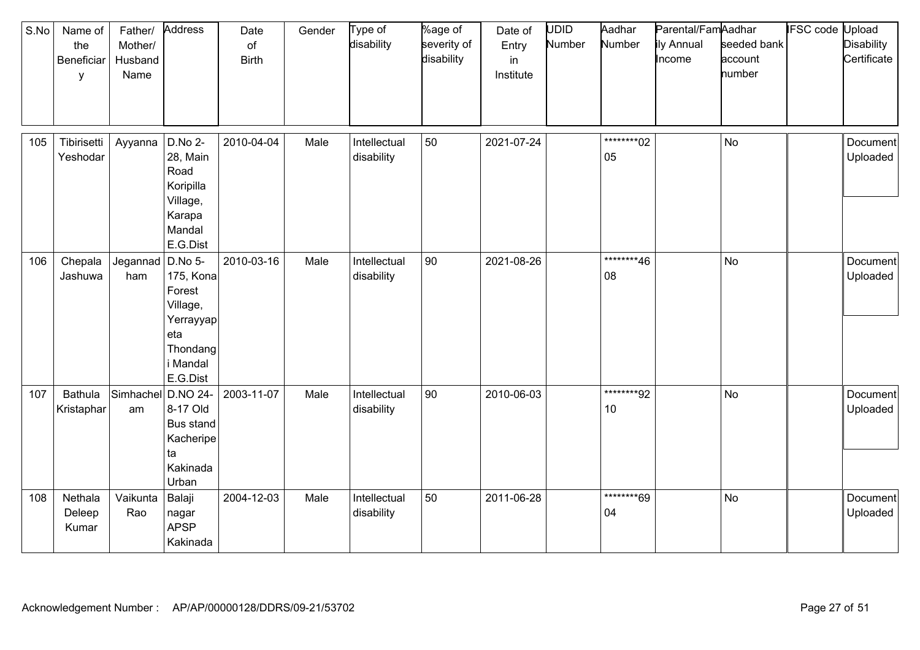| S.No | Name of<br>the<br>Beneficiar<br>у | Father/<br>Mother/<br>Husband<br>Name | Address                                                                               | Date<br>of<br><b>Birth</b> | Gender | Type of<br>disability      | %age of<br>severity of<br>disability | Date of<br>Entry<br>in<br>Institute | UDID<br>Number | Aadhar<br>Number  | Parental/FamAadhar<br>ily Annual<br>Income | seeded bank<br>account<br>number | <b>IFSC code Upload</b> | <b>Disability</b><br>Certificate |
|------|-----------------------------------|---------------------------------------|---------------------------------------------------------------------------------------|----------------------------|--------|----------------------------|--------------------------------------|-------------------------------------|----------------|-------------------|--------------------------------------------|----------------------------------|-------------------------|----------------------------------|
| 105  | Tibirisetti<br>Yeshodar           | Ayyanna                               | D.No 2-<br>28, Main<br>Road<br>Koripilla<br>Village,<br>Karapa<br>Mandal<br>E.G.Dist  | 2010-04-04                 | Male   | Intellectual<br>disability | 50                                   | 2021-07-24                          |                | *********02<br>05 |                                            | <b>No</b>                        |                         | <b>Document</b><br>Uploaded      |
| 106  | Chepala<br>Jashuwa                | Jegannad   D.No 5-<br>ham             | 175, Kona<br>Forest<br>Village,<br>Yerrayyap<br>eta<br>Thondang<br>Mandal<br>E.G.Dist | 2010-03-16                 | Male   | Intellectual<br>disability | 90                                   | 2021-08-26                          |                | ********46<br>08  |                                            | <b>No</b>                        |                         | Document<br>Uploaded             |
| 107  | <b>Bathula</b><br>Kristaphar      | Simhachel<br>am                       | D.NO 24-<br>8-17 Old<br>Bus stand<br>Kacheripe<br>ta<br>Kakinada<br>Urban             | 2003-11-07                 | Male   | Intellectual<br>disability | 90                                   | 2010-06-03                          |                | ********92<br>10  |                                            | <b>No</b>                        |                         | Document<br>Uploaded             |
| 108  | Nethala<br>Deleep<br>Kumar        | Vaikunta<br>Rao                       | Balaji<br>nagar<br><b>APSP</b><br>Kakinada                                            | 2004-12-03                 | Male   | Intellectual<br>disability | 50                                   | 2011-06-28                          |                | ********69<br>04  |                                            | <b>No</b>                        |                         | Document<br>Uploaded             |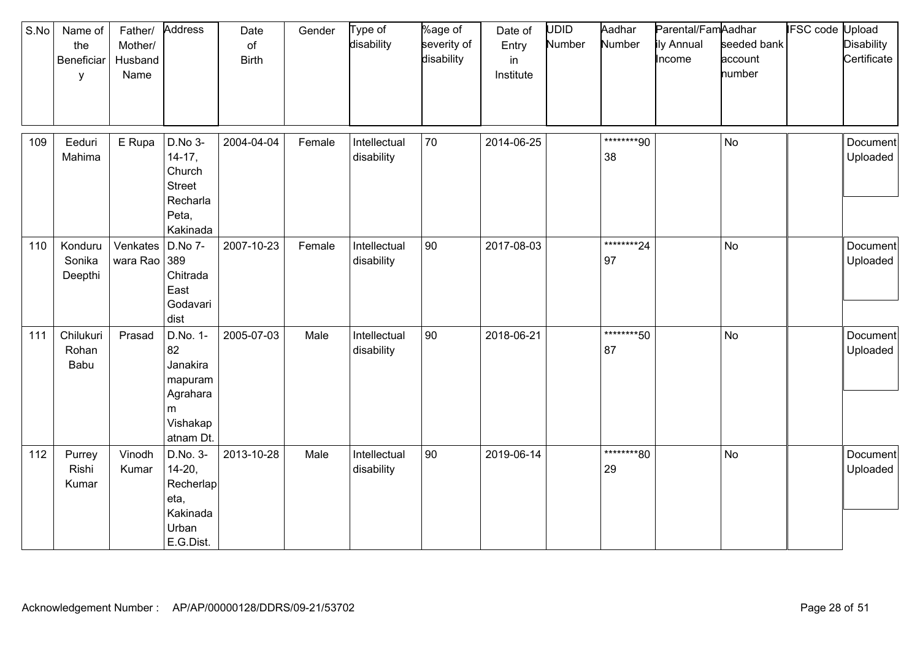| S.No | Name of<br>the<br>Beneficiar<br>y | Father/<br>Mother/<br>Husband<br>Name | Address                                                                         | Date<br>of<br><b>Birth</b> | Gender | Type of<br>disability      | %age of<br>severity of<br>disability | Date of<br>Entry<br>in<br>Institute | UDID<br>Number | Aadhar<br>Number  | Parental/FamAadhar<br>ily Annual<br>Income | seeded bank<br>account<br>number | <b>IFSC code Upload</b> | <b>Disability</b><br>Certificate |
|------|-----------------------------------|---------------------------------------|---------------------------------------------------------------------------------|----------------------------|--------|----------------------------|--------------------------------------|-------------------------------------|----------------|-------------------|--------------------------------------------|----------------------------------|-------------------------|----------------------------------|
| 109  | Eeduri<br>Mahima                  | E Rupa                                | D.No 3-<br>$14-17,$<br>Church<br><b>Street</b><br>Recharla<br>Peta,<br>Kakinada | 2004-04-04                 | Female | Intellectual<br>disability | 70                                   | 2014-06-25                          |                | ********90<br>38  |                                            | <b>No</b>                        |                         | Document<br>Uploaded             |
| 110  | Konduru<br>Sonika<br>Deepthi      | Venkates<br>wara Rao 389              | D.No 7-<br>Chitrada<br>East<br>Godavari<br>dist                                 | 2007-10-23                 | Female | Intellectual<br>disability | 90                                   | 2017-08-03                          |                | *********24<br>97 |                                            | <b>No</b>                        |                         | Document<br>Uploaded             |
| 111  | Chilukuri<br>Rohan<br>Babu        | Prasad                                | D.No. 1-<br>82<br>Janakira<br>mapuram<br>Agrahara<br>m<br>Vishakap<br>atnam Dt. | 2005-07-03                 | Male   | Intellectual<br>disability | 90                                   | 2018-06-21                          |                | ********50<br>87  |                                            | <b>No</b>                        |                         | Document<br>Uploaded             |
| 112  | Purrey<br>Rishi<br>Kumar          | Vinodh<br>Kumar                       | D.No. 3-<br>$14 - 20,$<br>Recherlap<br>eta,<br>Kakinada<br>Urban<br>E.G.Dist.   | 2013-10-28                 | Male   | Intellectual<br>disability | 90                                   | 2019-06-14                          |                | ********80<br>29  |                                            | <b>No</b>                        |                         | Document<br>Uploaded             |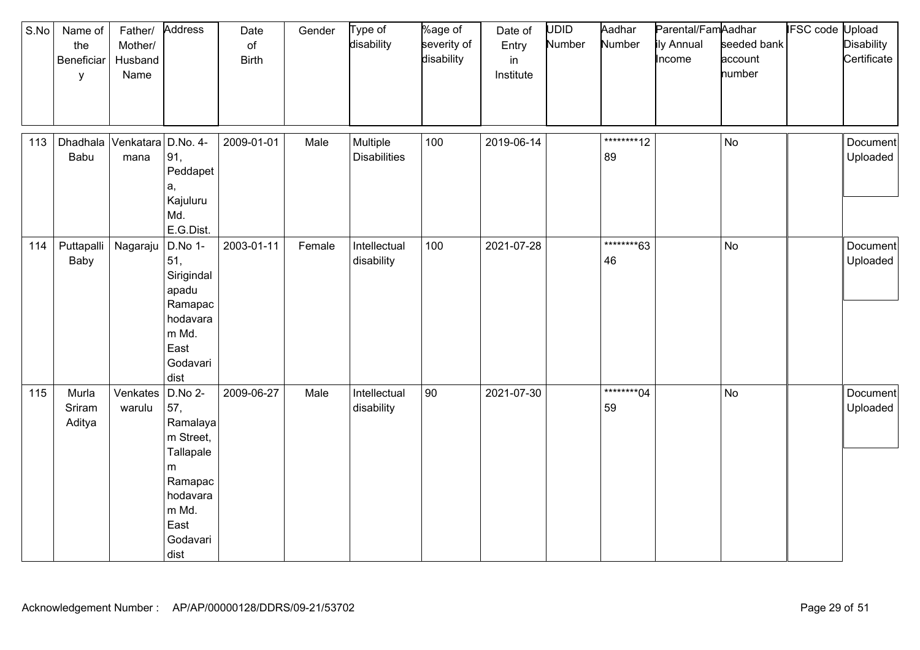| S.No | Name of<br>the<br>Beneficiar<br>у | Father/<br>Mother/<br>Husband<br>Name | Address                                                                                                                 | Date<br>$\circ$ f<br><b>Birth</b> | Gender | Type of<br>disability           | %age of<br>severity of<br>disability | Date of<br>Entry<br>in<br>Institute | <b>UDID</b><br>Number | Aadhar<br>Number  | Parental/FamAadhar<br>ily Annual<br>Income | seeded bank<br>account<br>number | <b>IFSC code Upload</b> | <b>Disability</b><br>Certificate |
|------|-----------------------------------|---------------------------------------|-------------------------------------------------------------------------------------------------------------------------|-----------------------------------|--------|---------------------------------|--------------------------------------|-------------------------------------|-----------------------|-------------------|--------------------------------------------|----------------------------------|-------------------------|----------------------------------|
| 113  | Dhadhala<br>Babu                  | Venkatara D.No. 4-<br>mana            | 91,<br>Peddapet<br>а,<br>Kajuluru<br>Md.<br>E.G.Dist.                                                                   | 2009-01-01                        | Male   | Multiple<br><b>Disabilities</b> | 100                                  | 2019-06-14                          |                       | *********12<br>89 |                                            | <b>No</b>                        |                         | Document<br>Uploaded             |
| 114  | Puttapalli<br>Baby                | Nagaraju                              | D.No 1-<br>51,<br>Sirigindal<br>apadu<br>Ramapac<br>hodavara<br>m Md.<br>East<br>Godavari<br>dist                       | 2003-01-11                        | Female | Intellectual<br>disability      | 100                                  | 2021-07-28                          |                       | ********63<br>46  |                                            | <b>No</b>                        |                         | Document<br>Uploaded             |
| 115  | Murla<br>Sriram<br>Aditya         | Venkates<br>warulu                    | $D.No 2-$<br>57,<br>Ramalaya<br>m Street,<br>Tallapale<br>m<br>Ramapac<br>hodavara<br>m Md.<br>East<br>Godavari<br>dist | 2009-06-27                        | Male   | Intellectual<br>disability      | 90                                   | 2021-07-30                          |                       | *********04<br>59 |                                            | <b>No</b>                        |                         | Document<br>Uploaded             |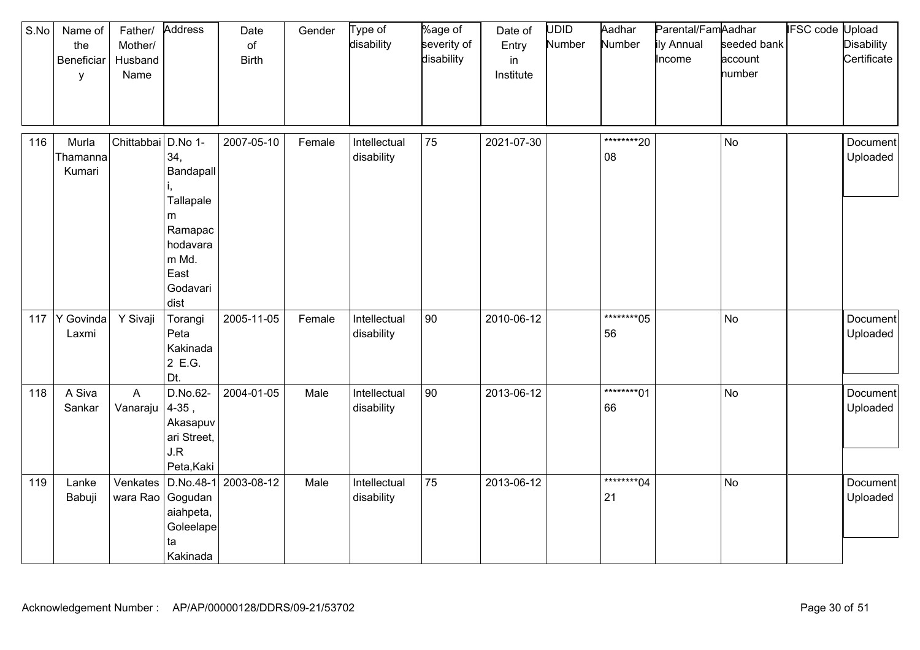| S.No | Name of<br>the<br>Beneficiar<br>y | Father/<br>Mother/<br>Husband<br>Name | Address                                                                                        | Date<br>of<br><b>Birth</b>      | Gender | Type of<br>disability      | %age of<br>severity of<br>disability | Date of<br>Entry<br>in<br>Institute | UDID<br>Number | Aadhar<br>Number  | Parental/FamAadhar<br>ily Annual<br>Income | seeded bank<br>account<br>number | <b>IFSC code Upload</b> | <b>Disability</b><br>Certificate |
|------|-----------------------------------|---------------------------------------|------------------------------------------------------------------------------------------------|---------------------------------|--------|----------------------------|--------------------------------------|-------------------------------------|----------------|-------------------|--------------------------------------------|----------------------------------|-------------------------|----------------------------------|
| 116  | Murla<br>Thamanna<br>Kumari       | Chittabbai D.No 1-                    | 34,<br>Bandapall<br>Tallapale<br>m<br>Ramapac<br>hodavara<br>m Md.<br>East<br>Godavari<br>dist | 2007-05-10                      | Female | Intellectual<br>disability | 75                                   | 2021-07-30                          |                | *********20<br>08 |                                            | <b>No</b>                        |                         | Document<br>Uploaded             |
|      | 117 Y Govinda<br>Laxmi            | Y Sivaji                              | Torangi<br>Peta<br>Kakinada<br>2 E.G.<br>Dt.                                                   | 2005-11-05                      | Female | Intellectual<br>disability | 90                                   | 2010-06-12                          |                | *********05<br>56 |                                            | <b>No</b>                        |                         | Document<br>Uploaded             |
| 118  | A Siva<br>Sankar                  | A<br>Vanaraju                         | D.No.62-<br>$4-35,$<br>Akasapuv<br>ari Street,<br>J.R<br>Peta, Kaki                            | 2004-01-05                      | Male   | Intellectual<br>disability | 90                                   | 2013-06-12                          |                | ********01<br>66  |                                            | <b>No</b>                        |                         | Document<br>Uploaded             |
| 119  | Lanke<br>Babuji                   | wara Rao Gogudan                      | aiahpeta,<br>Goleelape<br>ta<br>Kakinada                                                       | Venkates   D.No.48-1 2003-08-12 | Male   | Intellectual<br>disability | 75                                   | 2013-06-12                          |                | *********04<br>21 |                                            | <b>No</b>                        |                         | Document<br>Uploaded             |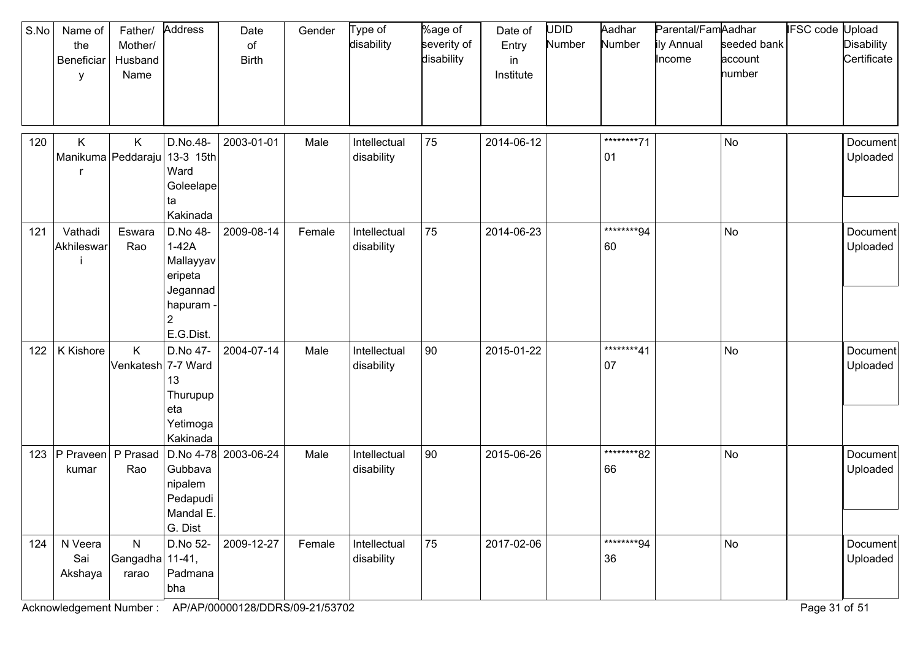| S.No | Name of<br>the<br>Beneficiar<br>y   | Father/<br>Mother/<br>Husband<br>Name    | Address                                                                           | Date<br>of<br><b>Birth</b> | Gender | Type of<br>disability      | %age of<br>severity of<br>disability | Date of<br>Entry<br>in<br>Institute | <b>UDID</b><br>Number | Aadhar<br>Number  | Parental/FamAadhar<br>ily Annual<br>Income | seeded bank<br>account<br>number | <b>IFSC code Upload</b> | <b>Disability</b><br>Certificate |
|------|-------------------------------------|------------------------------------------|-----------------------------------------------------------------------------------|----------------------------|--------|----------------------------|--------------------------------------|-------------------------------------|-----------------------|-------------------|--------------------------------------------|----------------------------------|-------------------------|----------------------------------|
| 120  | Κ<br>Manikuma Peddaraju   13-3 15th | K                                        | D.No.48-<br>Ward<br>Goleelape<br>ta<br>Kakinada                                   | 2003-01-01                 | Male   | Intellectual<br>disability | 75                                   | 2014-06-12                          |                       | ********71<br>01  |                                            | <b>No</b>                        |                         | Document<br>Uploaded             |
| 121  | Vathadi<br>Akhileswar               | Eswara<br>Rao                            | D.No 48-<br>$1-42A$<br>Mallayyav<br>eripeta<br>Jegannad<br>hapuram -<br>E.G.Dist. | 2009-08-14                 | Female | Intellectual<br>disability | 75                                   | 2014-06-23                          |                       | ********94<br>60  |                                            | No                               |                         | Document<br>Uploaded             |
| 122  | K Kishore                           | K.<br>Venkatesh 7-7 Ward                 | D.No 47-<br>13<br>Thurupup<br>eta<br>Yetimoga<br>Kakinada                         | 2004-07-14                 | Male   | Intellectual<br>disability | 90                                   | 2015-01-22                          |                       | ********41<br>07  |                                            | No                               |                         | Document<br>Uploaded             |
| 123  | P Praveen P Prasad<br>kumar         | Rao                                      | Gubbava<br>nipalem<br>Pedapudi<br>Mandal E.<br>G. Dist                            | D.No 4-78 2003-06-24       | Male   | Intellectual<br>disability | 90                                   | 2015-06-26                          |                       | ********82<br>66  |                                            | No                               |                         | Document<br>Uploaded             |
| 124  | N Veera<br>Sai<br>Akshaya           | $\mathsf{N}$<br>Gangadha 11-41,<br>rarao | D.No 52-<br>Padmana<br>bha                                                        | 2009-12-27                 | Female | Intellectual<br>disability | 75                                   | 2017-02-06                          |                       | *********94<br>36 |                                            | No                               |                         | Document<br>Uploaded             |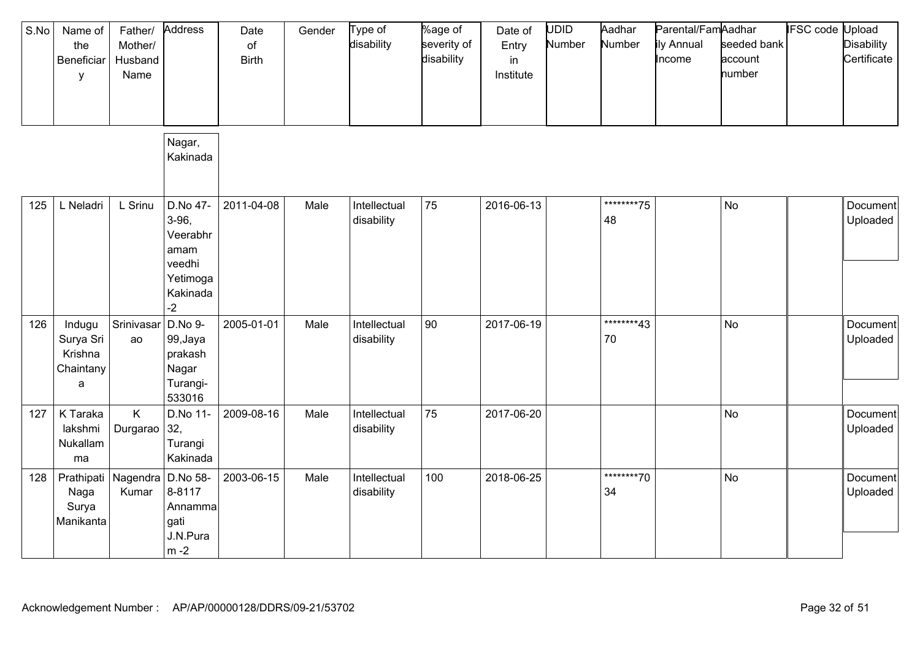| S.No | Name of<br>the<br>Beneficiar<br>y                           | Father/<br>Mother/<br>Husband<br>Name | Address                                                                         | Date<br>of<br><b>Birth</b> | Gender | Type of<br>disability      | %age of<br>severity of<br>disability | Date of<br>Entry<br>in<br>Institute | <b>UDID</b><br>Number | Aadhar<br>Number  | Parental/FamAadhar<br>ily Annual<br>Income | seeded bank<br>account<br>number | <b>IFSC</b> code | Jpload<br><b>Disability</b><br>Certificate |
|------|-------------------------------------------------------------|---------------------------------------|---------------------------------------------------------------------------------|----------------------------|--------|----------------------------|--------------------------------------|-------------------------------------|-----------------------|-------------------|--------------------------------------------|----------------------------------|------------------|--------------------------------------------|
|      |                                                             |                                       | Nagar,<br>Kakinada                                                              |                            |        |                            |                                      |                                     |                       |                   |                                            |                                  |                  |                                            |
| 125  | L Neladri                                                   | L Srinu                               | D.No 47-<br>3-96,<br>Veerabhr<br>amam<br>veedhi<br>Yetimoga<br>Kakinada<br>$-2$ | 2011-04-08                 | Male   | Intellectual<br>disability | 75                                   | 2016-06-13                          |                       | *********75<br>48 |                                            | <b>No</b>                        |                  | Document<br>Uploaded                       |
| 126  | Indugu<br>Surya Sri<br>Krishna<br>Chaintany<br>$\mathsf{a}$ | Srinivasar<br>ao                      | D.No 9-<br>99, Jaya<br>prakash<br>Nagar<br>Turangi-<br>533016                   | 2005-01-01                 | Male   | Intellectual<br>disability | 90                                   | 2017-06-19                          |                       | *********43<br>70 |                                            | No                               |                  | Document<br>Uploaded                       |
| 127  | K Taraka<br>lakshmi<br>Nukallam<br>ma                       | K<br>Durgarao                         | D.No 11-<br>32,<br>Turangi<br>Kakinada                                          | 2009-08-16                 | Male   | Intellectual<br>disability | 75                                   | 2017-06-20                          |                       |                   |                                            | <b>No</b>                        |                  | Document<br>Uploaded                       |
| 128  | Prathipati Nagendra<br>Naga<br>Surya<br>Manikanta           | Kumar                                 | D.No 58-<br>8-8117<br>Annamma<br>gati<br>J.N.Pura<br>$m - 2$                    | 2003-06-15                 | Male   | Intellectual<br>disability | 100                                  | 2018-06-25                          |                       | ********70<br>34  |                                            | No                               |                  | Document<br>Uploaded                       |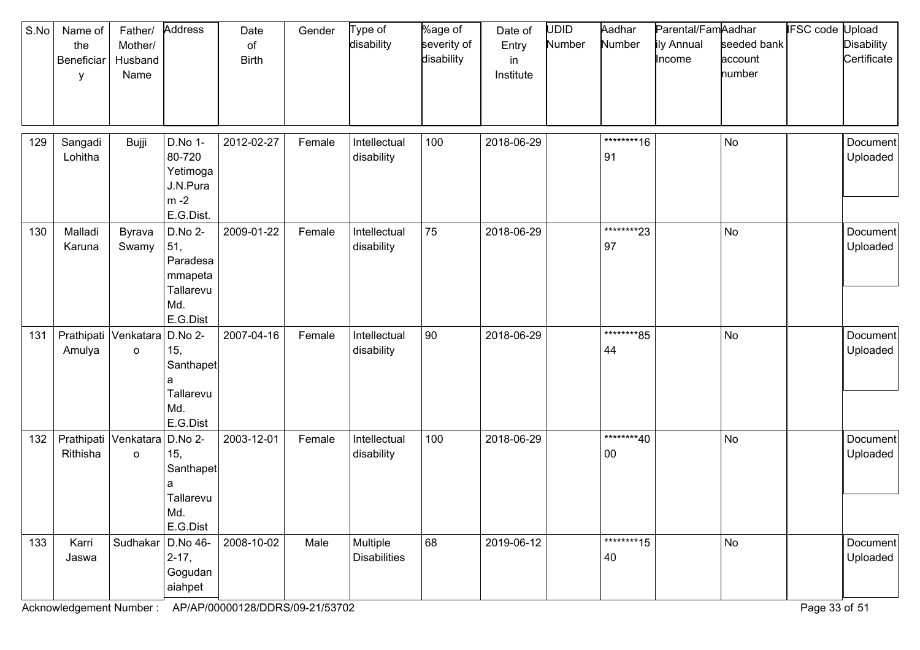| S.No | Name of<br>the<br>Beneficiar<br>у        | Father/<br>Mother/<br>Husband<br>Name | Address                                                               | Date<br>of<br><b>Birth</b> | Gender | Type of<br>disability           | %age of<br>severity of<br>disability | Date of<br>Entry<br>in<br>Institute | UDID<br>Number | Aadhar<br>Number     | Parental/FamAadhar<br>ily Annual<br>Income | seeded bank<br>account<br>number | IFSC code Upload | <b>Disability</b><br>Certificate |
|------|------------------------------------------|---------------------------------------|-----------------------------------------------------------------------|----------------------------|--------|---------------------------------|--------------------------------------|-------------------------------------|----------------|----------------------|--------------------------------------------|----------------------------------|------------------|----------------------------------|
| 129  | Sangadi<br>Lohitha                       | Bujji                                 | D.No 1-<br>80-720<br>Yetimoga<br>J.N.Pura<br>$m - 2$<br>E.G.Dist.     | 2012-02-27                 | Female | Intellectual<br>disability      | 100                                  | 2018-06-29                          |                | *********16<br>91    |                                            | No                               |                  | Document<br>Uploaded             |
| 130  | Malladi<br>Karuna                        | Byrava<br>Swamy                       | D.No 2-<br>51,<br>Paradesa<br>mmapeta<br>Tallarevu<br>Md.<br>E.G.Dist | 2009-01-22                 | Female | Intellectual<br>disability      | 75                                   | 2018-06-29                          |                | ********23<br>97     |                                            | <b>No</b>                        |                  | Document<br>Uploaded             |
| 131  | Amulya                                   | Prathipati Venkatara<br>$\mathsf{o}$  | D.No 2-<br>15,<br>Santhapet<br>a<br>Tallarevu<br>Md.<br>E.G.Dist      | 2007-04-16                 | Female | Intellectual<br>disability      | 90                                   | 2018-06-29                          |                | *********85<br>44    |                                            | No                               |                  | Document<br>Uploaded             |
| 132  | Prathipati Venkatara D.No 2-<br>Rithisha | o                                     | 15,<br>Santhapet<br>a<br>Tallarevu<br>Md.<br>E.G.Dist                 | 2003-12-01                 | Female | Intellectual<br>disability      | 100                                  | 2018-06-29                          |                | ********40<br>$00\,$ |                                            | No                               |                  | Document<br>Uploaded             |
| 133  | Karri<br>Jaswa                           | Sudhakar   D.No 46-                   | $2 - 17,$<br>Gogudan<br>aiahpet                                       | 2008-10-02                 | Male   | Multiple<br><b>Disabilities</b> | 68                                   | 2019-06-12                          |                | *********15<br>40    |                                            | No                               |                  | Document<br>Uploaded             |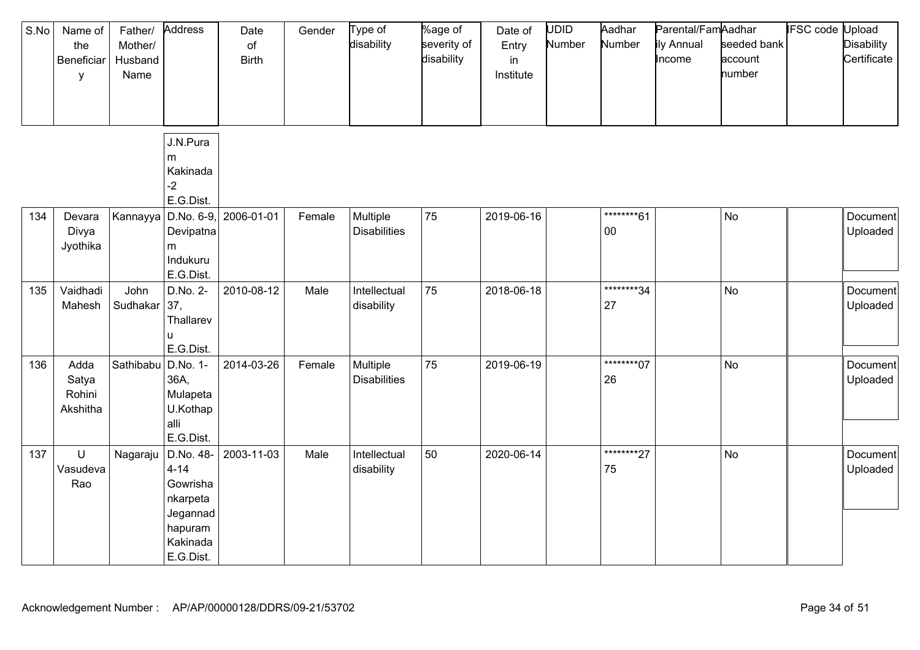| S.No | Name of<br>the<br>Beneficiar<br>y   | Father/<br>Mother/<br>Husband<br>Name | Address                                                                                       | Date<br>of<br><b>Birth</b> | Gender | Type of<br>disability           | %age of<br>severity of<br>disability | Date of<br>Entry<br>in<br>Institute | UDID<br>Number | Aadhar<br>Number      | Parental/FamAadhar<br>ily Annual<br>Income | seeded bank<br>account<br>number | <b>IFSC code Upload</b> | <b>Disability</b><br>Certificate |
|------|-------------------------------------|---------------------------------------|-----------------------------------------------------------------------------------------------|----------------------------|--------|---------------------------------|--------------------------------------|-------------------------------------|----------------|-----------------------|--------------------------------------------|----------------------------------|-------------------------|----------------------------------|
|      |                                     |                                       | J.N.Pura<br>m<br>Kakinada<br>$-2$<br>E.G.Dist.                                                |                            |        |                                 |                                      |                                     |                |                       |                                            |                                  |                         |                                  |
| 134  | Devara<br>Divya<br>Jyothika         | Kannayya                              | $D.No. 6-9,$<br>Devipatna<br>m<br>Indukuru<br>E.G.Dist.                                       | 2006-01-01                 | Female | Multiple<br><b>Disabilities</b> | 75                                   | 2019-06-16                          |                | *********61<br>$00\,$ |                                            | <b>No</b>                        |                         | Document<br>Uploaded             |
| 135  | Vaidhadi<br>Mahesh                  | John<br>Sudhakar                      | D.No. 2-<br>37,<br>Thallarev<br>ū<br>E.G.Dist.                                                | 2010-08-12                 | Male   | Intellectual<br>disability      | 75                                   | 2018-06-18                          |                | *********34<br>27     |                                            | <b>No</b>                        |                         | Document<br>Uploaded             |
| 136  | Adda<br>Satya<br>Rohini<br>Akshitha | Sathibabu                             | D.No. 1-<br>36A,<br>Mulapeta<br>U.Kothap<br>alli<br>E.G.Dist.                                 | 2014-03-26                 | Female | Multiple<br><b>Disabilities</b> | 75                                   | 2019-06-19                          |                | *********07<br>26     |                                            | <b>No</b>                        |                         | Document<br>Uploaded             |
| 137  | U<br>Vasudeva<br>Rao                | Nagaraju                              | D.No. 48-<br>$4 - 14$<br>Gowrisha<br>nkarpeta<br>Jegannad<br>hapuram<br>Kakinada<br>E.G.Dist. | 2003-11-03                 | Male   | Intellectual<br>disability      | 50                                   | 2020-06-14                          |                | ********27<br>75      |                                            | <b>No</b>                        |                         | Document<br>Uploaded             |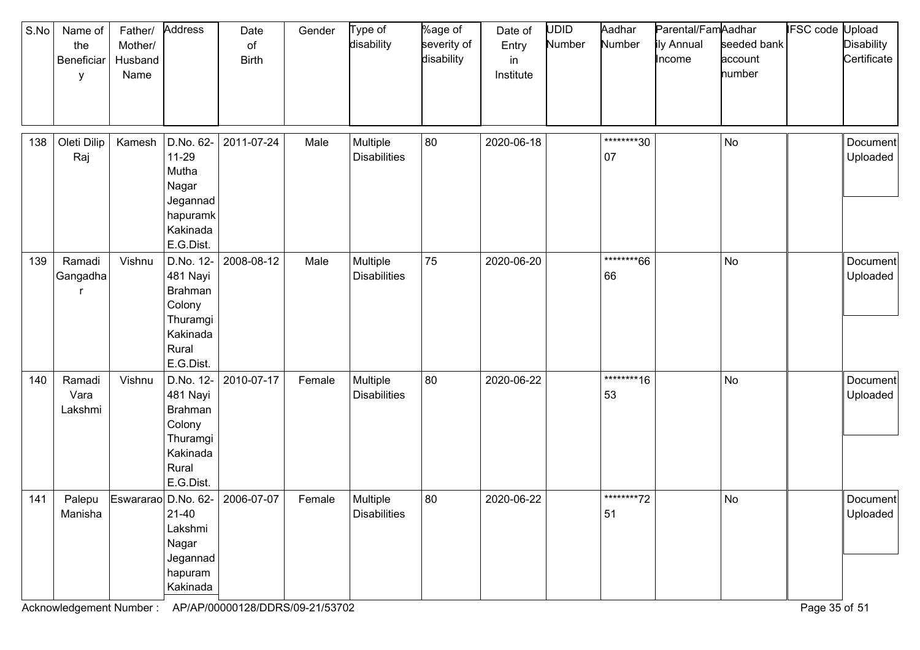| S.No | Name of<br>the<br>Beneficiar<br>у | Father/<br>Mother/<br>Husband<br>Name | Address                                                                                         | Date<br>of<br><b>Birth</b> | Gender | Type of<br>disability           | %age of<br>severity of<br>disability | Date of<br>Entry<br>in<br>Institute | <b>UDID</b><br>Number | Aadhar<br>Number  | Parental/FamAadhar<br>ily Annual<br>Income | seeded bank<br>account<br>number | <b>IFSC code Upload</b> | <b>Disability</b><br>Certificate |
|------|-----------------------------------|---------------------------------------|-------------------------------------------------------------------------------------------------|----------------------------|--------|---------------------------------|--------------------------------------|-------------------------------------|-----------------------|-------------------|--------------------------------------------|----------------------------------|-------------------------|----------------------------------|
| 138  | Oleti Dilip<br>Raj                | Kamesh                                | D.No. 62-<br>$11 - 29$<br>Mutha<br>Nagar<br>Jegannad<br>hapuramk<br>Kakinada<br>E.G.Dist.       | 2011-07-24                 | Male   | Multiple<br><b>Disabilities</b> | 80                                   | 2020-06-18                          |                       | ********30<br>07  |                                            | No                               |                         | Document<br>Uploaded             |
| 139  | Ramadi<br>Gangadha                | Vishnu                                | D.No. 12-<br>481 Nayi<br><b>Brahman</b><br>Colony<br>Thuramgi<br>Kakinada<br>Rural<br>E.G.Dist. | 2008-08-12                 | Male   | Multiple<br><b>Disabilities</b> | 75                                   | 2020-06-20                          |                       | ********66<br>66  |                                            | <b>No</b>                        |                         | Document<br>Uploaded             |
| 140  | Ramadi<br>Vara<br>Lakshmi         | Vishnu                                | D.No. 12-<br>481 Nayi<br>Brahman<br>Colony<br>Thuramgi<br>Kakinada<br>Rural<br>E.G.Dist.        | 2010-07-17                 | Female | Multiple<br><b>Disabilities</b> | 80                                   | 2020-06-22                          |                       | *********16<br>53 |                                            | <b>No</b>                        |                         | Document<br>Uploaded             |
| 141  | Palepu<br>Manisha                 | Eswararao D.No. 62-                   | 21-40<br>Lakshmi<br>Nagar<br>Jegannad<br>hapuram<br>Kakinada                                    | 2006-07-07                 | Female | Multiple<br><b>Disabilities</b> | 80                                   | 2020-06-22                          |                       | ********72<br>51  |                                            | No                               |                         | Document<br>Uploaded             |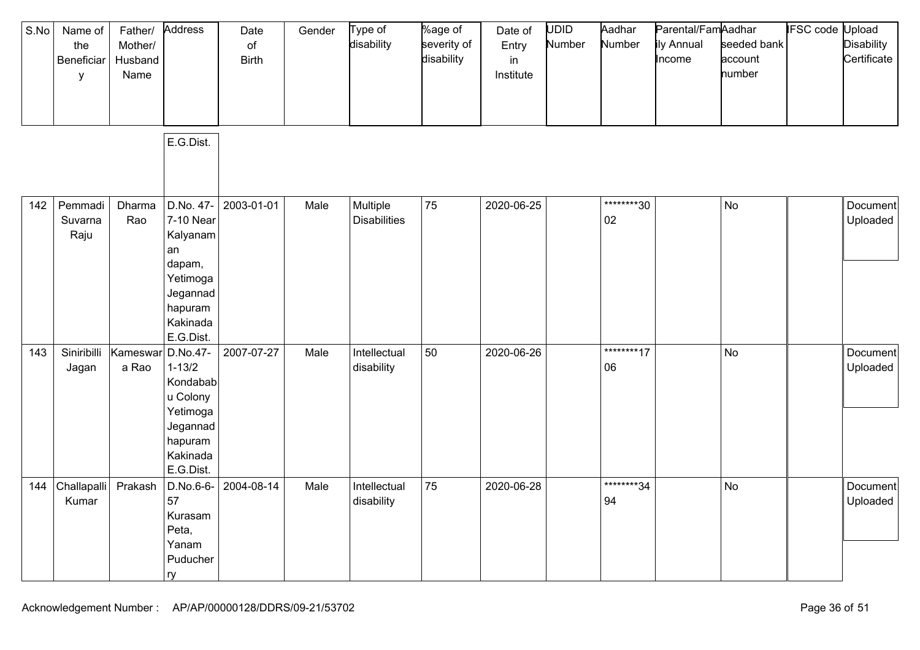| S.No | Name of<br>the<br>Beneficiar<br>У | Father/<br>Mother/<br>Husband<br>Name | Address<br>E.G.Dist.                                                                                           | Date<br>$\circ$ f<br><b>Birth</b> | Gender | Type of<br>disability           | %age of<br>severity of<br>disability | Date of<br>Entry<br>in<br>Institute | UDID<br>Number | Aadhar<br>Number     | Parental/FamAadhar<br>ily Annual<br>Income | seeded bank<br>account<br>number | <b>IFSC code Upload</b> | <b>Disability</b><br>Certificate |
|------|-----------------------------------|---------------------------------------|----------------------------------------------------------------------------------------------------------------|-----------------------------------|--------|---------------------------------|--------------------------------------|-------------------------------------|----------------|----------------------|--------------------------------------------|----------------------------------|-------------------------|----------------------------------|
|      |                                   |                                       |                                                                                                                |                                   |        |                                 |                                      |                                     |                |                      |                                            |                                  |                         |                                  |
| 142  | Pemmadi<br>Suvarna<br>Raju        | Dharma<br>Rao                         | D.No. 47-<br>7-10 Near<br>Kalyanam<br>an<br>dapam,<br>Yetimoga<br>Jegannad<br>hapuram<br>Kakinada<br>E.G.Dist. | 2003-01-01                        | Male   | Multiple<br><b>Disabilities</b> | 75                                   | 2020-06-25                          |                | ********30<br>$02\,$ |                                            | No                               |                         | Document<br>Uploaded             |
| 143  | Siniribilli<br>Jagan              | Kameswar<br>a Rao                     | D.No.47-<br>$1 - 13/2$<br>Kondabab<br>u Colony<br>Yetimoga<br>Jegannad<br>hapuram<br>Kakinada<br>E.G.Dist.     | 2007-07-27                        | Male   | Intellectual<br>disability      | 50                                   | 2020-06-26                          |                | *********17<br>06    |                                            | No                               |                         | Document<br>Uploaded             |
| 144  | Challapalli<br>Kumar              | Prakash                               | D.No.6-6-<br>57<br>Kurasam<br>Peta,<br>Yanam<br>Puducher<br>  ry                                               | 2004-08-14                        | Male   | Intellectual<br>disability      | 75                                   | 2020-06-28                          |                | ********34<br>94     |                                            | No                               |                         | Document<br>Uploaded             |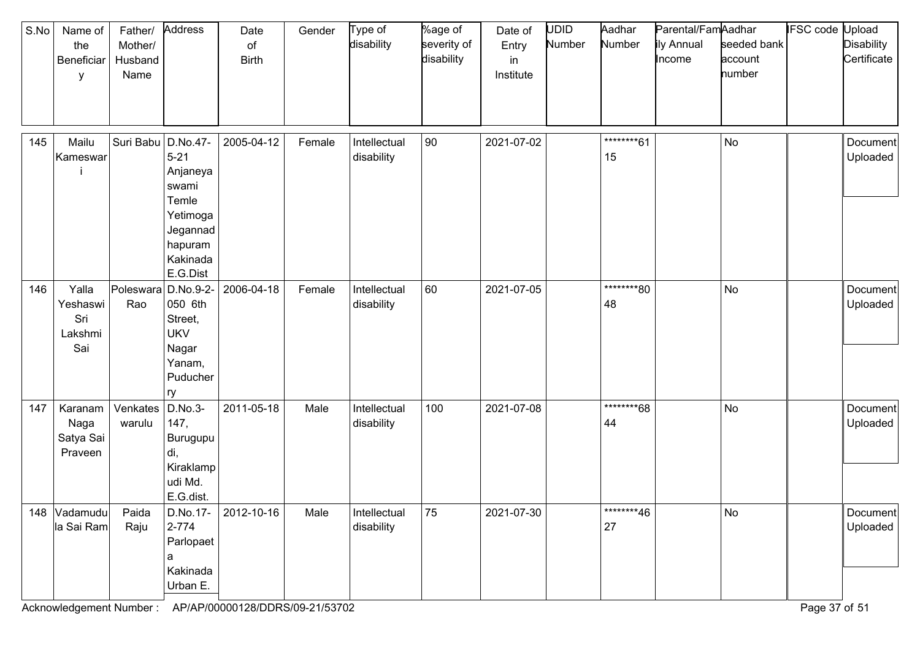| S.No | Name of<br>the<br>Beneficiar<br>y          | Father/<br>Mother/<br>Husband<br>Name | Address                                                                                                       | Date<br>of<br><b>Birth</b> | Gender | Type of<br>disability      | %age of<br>severity of<br>disability | Date of<br>Entry<br>in<br>Institute | UDID<br>Number | Aadhar<br>Number | Parental/FamAadhar<br>ily Annual<br>Income | seeded bank<br>account<br>number | <b>IFSC code Upload</b> | <b>Disability</b><br>Certificate |
|------|--------------------------------------------|---------------------------------------|---------------------------------------------------------------------------------------------------------------|----------------------------|--------|----------------------------|--------------------------------------|-------------------------------------|----------------|------------------|--------------------------------------------|----------------------------------|-------------------------|----------------------------------|
| 145  | Mailu<br>Kameswar                          | Suri Babu                             | D.No.47-<br>$5 - 21$<br>Anjaneya<br>swami<br>Temle<br>Yetimoga<br>Jegannad<br>hapuram<br>Kakinada<br>E.G.Dist | 2005-04-12                 | Female | Intellectual<br>disability | 90                                   | 2021-07-02                          |                | ********61<br>15 |                                            | No                               |                         | Document<br>Uploaded             |
| 146  | Yalla<br>Yeshaswi<br>Sri<br>Lakshmi<br>Sai | Poleswara<br>Rao                      | D.No.9-2-<br>050 6th<br>Street,<br><b>UKV</b><br>Nagar<br>Yanam,<br>Puducher<br>ry                            | 2006-04-18                 | Female | Intellectual<br>disability | 60                                   | 2021-07-05                          |                | ********80<br>48 |                                            | No                               |                         | Document<br>Uploaded             |
| 147  | Karanam<br>Naga<br>Satya Sai<br>Praveen    | Venkates<br>warulu                    | D.No.3-<br>147,<br>Burugupu<br>di,<br>Kiraklamp<br>udi Md.<br>E.G.dist.                                       | 2011-05-18                 | Male   | Intellectual<br>disability | 100                                  | 2021-07-08                          |                | ********68<br>44 |                                            | <b>No</b>                        |                         | Document<br>Uploaded             |
|      | 148 Vadamudu<br>la Sai Ram                 | Paida<br>Raju                         | 2-774<br>Parlopaet<br>a<br>Kakinada<br>Urban E.                                                               | D.No.17- 2012-10-16        | Male   | Intellectual<br>disability | 75                                   | 2021-07-30                          |                | ********46<br>27 |                                            | No                               |                         | Document<br>Uploaded             |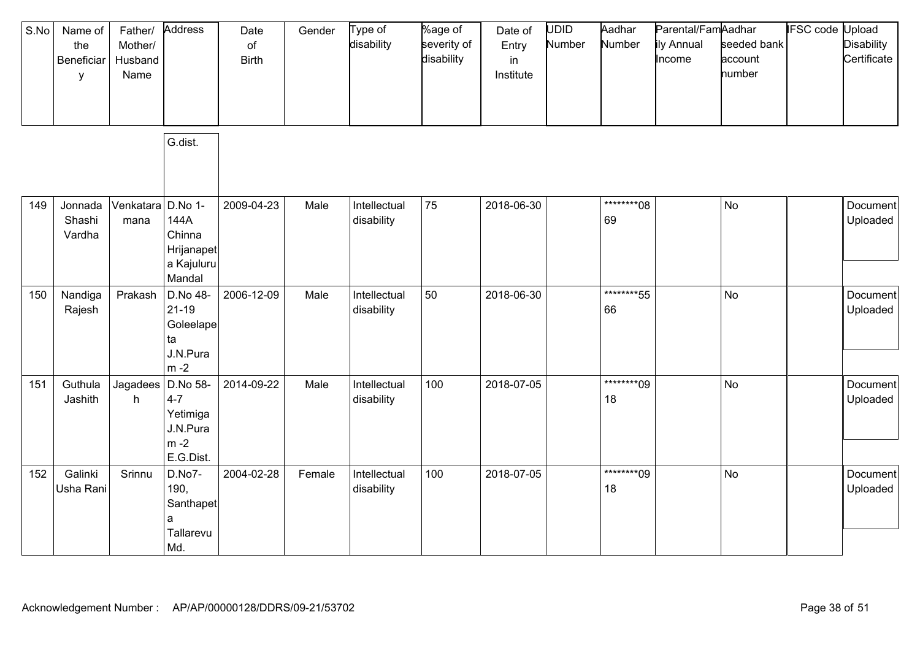| S.No | Name of<br>the<br>Beneficiar<br>y | Father/<br>Mother/<br>Husband<br>Name | Address                                                           | Date<br>of<br><b>Birth</b> | Gender | Type of<br>disability      | %age of<br>severity of<br>disability | Date of<br>Entry<br>in<br>Institute | <b>UDID</b><br>Number | Aadhar<br>Number  | Parental/FamAadhar<br>ily Annual<br>Income | seeded bank<br>account<br>number | IFSC code | Jpload<br><b>Disability</b><br>Certificate |
|------|-----------------------------------|---------------------------------------|-------------------------------------------------------------------|----------------------------|--------|----------------------------|--------------------------------------|-------------------------------------|-----------------------|-------------------|--------------------------------------------|----------------------------------|-----------|--------------------------------------------|
|      |                                   |                                       | G.dist.                                                           |                            |        |                            |                                      |                                     |                       |                   |                                            |                                  |           |                                            |
| 149  | Jonnada<br>Shashi<br>Vardha       | Venkatara D.No 1-<br>mana             | 144A<br>Chinna<br>Hrijanapet<br>a Kajuluru<br>Mandal              | 2009-04-23                 | Male   | Intellectual<br>disability | 75                                   | 2018-06-30                          |                       | ********08<br>69  |                                            | <b>No</b>                        |           | Document<br>Uploaded                       |
| 150  | Nandiga<br>Rajesh                 | Prakash                               | D.No 48-<br>$21 - 19$<br>Goleelape<br>ta<br>J.N.Pura<br>$m - 2$   | 2006-12-09                 | Male   | Intellectual<br>disability | 50                                   | 2018-06-30                          |                       | ********55<br>66  |                                            | <b>No</b>                        |           | Document<br>Uploaded                       |
| 151  | Guthula<br>Jashith                | Jagadees<br>h                         | D.No 58-<br>$4 - 7$<br>Yetimiga<br>J.N.Pura<br>$m-2$<br>E.G.Dist. | 2014-09-22                 | Male   | Intellectual<br>disability | 100                                  | 2018-07-05                          |                       | *********09<br>18 |                                            | <b>No</b>                        |           | Document<br>Uploaded                       |
| 152  | Galinki<br>Usha Rani              | Srinnu                                | D.No7-<br>190,<br>Santhapet<br>a<br>Tallarevu<br>Md.              | 2004-02-28                 | Female | Intellectual<br>disability | 100                                  | 2018-07-05                          |                       | *********09<br>18 |                                            | No                               |           | Document<br>Uploaded                       |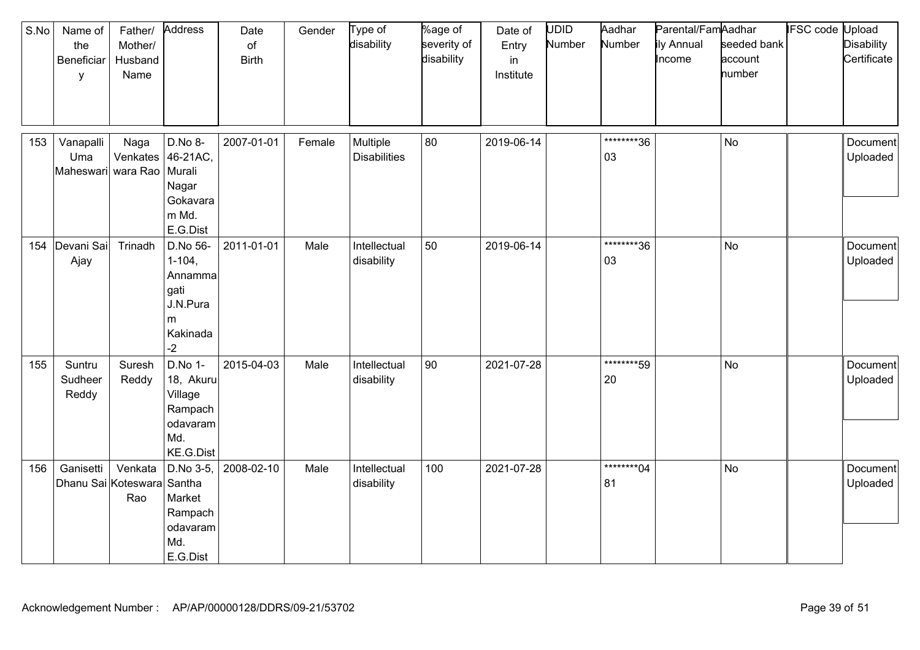| S.No | Name of<br>the<br>Beneficiar<br>у               | Father/<br>Mother/<br>Husband<br>Name | Address                                                                         | Date<br>of<br><b>Birth</b> | Gender | Type of<br>disability           | %age of<br>severity of<br>disability | Date of<br>Entry<br>in<br>Institute | <b>UDID</b><br>Number | Aadhar<br>Number  | Parental/FamAadhar<br>ily Annual<br>Income | seeded bank<br>account<br>number | <b>IFSC</b> code | Upload<br><b>Disability</b><br>Certificate |
|------|-------------------------------------------------|---------------------------------------|---------------------------------------------------------------------------------|----------------------------|--------|---------------------------------|--------------------------------------|-------------------------------------|-----------------------|-------------------|--------------------------------------------|----------------------------------|------------------|--------------------------------------------|
| 153  | Vanapalli<br>Uma<br>Maheswari wara Rao   Murali | Naga                                  | D.No 8-<br>Venkates   46-21AC,<br>Nagar<br>Gokavara<br>m Md.<br>E.G.Dist        | 2007-01-01                 | Female | Multiple<br><b>Disabilities</b> | 80                                   | 2019-06-14                          |                       | *********36<br>03 |                                            | No                               |                  | Document<br>Uploaded                       |
| 154  | Devani Sai<br>Ajay                              | Trinadh                               | D.No 56-<br>$1 - 104$ ,<br>Annamma<br>gati<br>J.N.Pura<br>m<br>Kakinada<br>$-2$ | 2011-01-01                 | Male   | Intellectual<br>disability      | 50                                   | 2019-06-14                          |                       | ********36<br>03  |                                            | <b>No</b>                        |                  | Document<br>Uploaded                       |
| 155  | Suntru<br>Sudheer<br>Reddy                      | Suresh<br>Reddy                       | D.No 1-<br>18, Akuru<br>Village<br>Rampach<br>odavaram<br>Md.<br>KE.G.Dist      | 2015-04-03                 | Male   | Intellectual<br>disability      | 90                                   | 2021-07-28                          |                       | ********59<br>20  |                                            | No                               |                  | Document<br>Uploaded                       |
| 156  | Ganisetti<br>Dhanu Sai Koteswara Santha         | Venkata<br>Rao                        | D.No 3-5,<br>Market<br>Rampach<br>odavaram<br>Md.<br>E.G.Dist                   | 2008-02-10                 | Male   | Intellectual<br>disability      | 100                                  | 2021-07-28                          |                       | ********04<br>81  |                                            | <b>No</b>                        |                  | Document<br>Uploaded                       |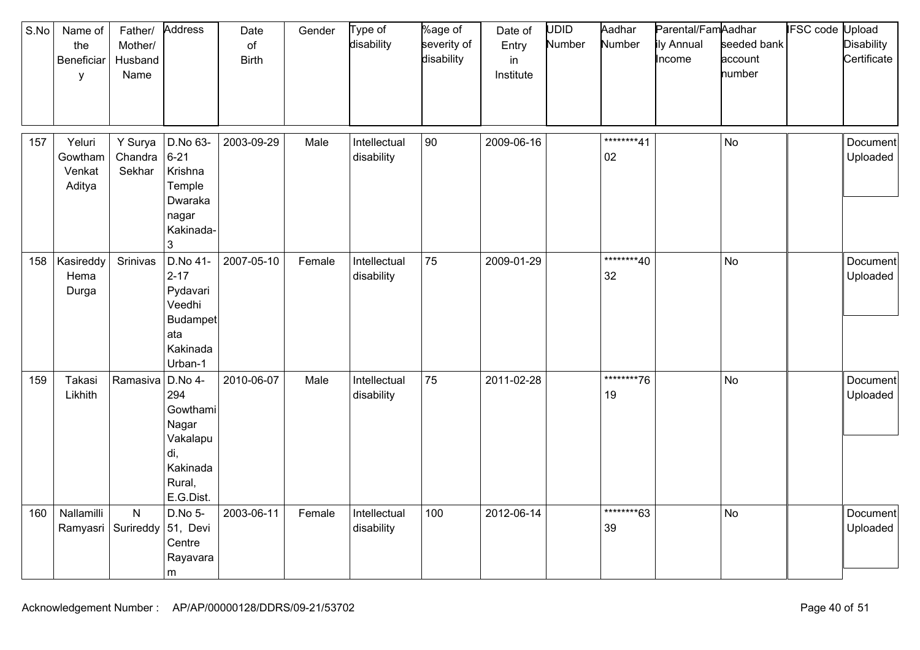| S.No | Name of<br>the<br>Beneficiar<br>У     | Father/<br>Mother/<br>Husband<br>Name | Address                                                                                   | Date<br>of<br><b>Birth</b> | Gender | Type of<br>disability      | %age of<br>severity of<br>disability | Date of<br>Entry<br>in<br>Institute | UDID<br>Number | Aadhar<br>Number  | Parental/FamAadhar<br>ily Annual<br>Income | seeded bank<br>account<br>number | <b>IFSC code Upload</b> | <b>Disability</b><br>Certificate |
|------|---------------------------------------|---------------------------------------|-------------------------------------------------------------------------------------------|----------------------------|--------|----------------------------|--------------------------------------|-------------------------------------|----------------|-------------------|--------------------------------------------|----------------------------------|-------------------------|----------------------------------|
| 157  | Yeluri<br>Gowtham<br>Venkat<br>Aditya | Y Surya<br>Chandra<br>Sekhar          | D.No 63-<br>$6 - 21$<br>Krishna<br>Temple<br>Dwaraka<br>nagar<br>Kakinada-<br>3           | 2003-09-29                 | Male   | Intellectual<br>disability | 90                                   | 2009-06-16                          |                | ********41<br>02  |                                            | No                               |                         | Document<br>Uploaded             |
| 158  | Kasireddy<br>Hema<br>Durga            | Srinivas                              | D.No 41-<br>$2 - 17$<br>Pydavari<br>Veedhi<br>Budampet<br>ata<br>Kakinada<br>Urban-1      | 2007-05-10                 | Female | Intellectual<br>disability | 75                                   | 2009-01-29                          |                | ********40<br>32  |                                            | <b>No</b>                        |                         | Document<br>Uploaded             |
| 159  | Takasi<br>Likhith                     | Ramasiva                              | D.No 4-<br>294<br>Gowthami<br>Nagar<br>Vakalapu<br>di,<br>Kakinada<br>Rural,<br>E.G.Dist. | 2010-06-07                 | Male   | Intellectual<br>disability | 75                                   | 2011-02-28                          |                | *********76<br>19 |                                            | No                               |                         | Document<br>Uploaded             |
| 160  | Nallamilli<br>Ramyasri Surireddy      | $\mathsf{N}$                          | D.No 5-<br>51, Devi<br>Centre<br>Rayavara<br>m                                            | 2003-06-11                 | Female | Intellectual<br>disability | 100                                  | 2012-06-14                          |                | ********63<br>39  |                                            | <b>No</b>                        |                         | Document<br>Uploaded             |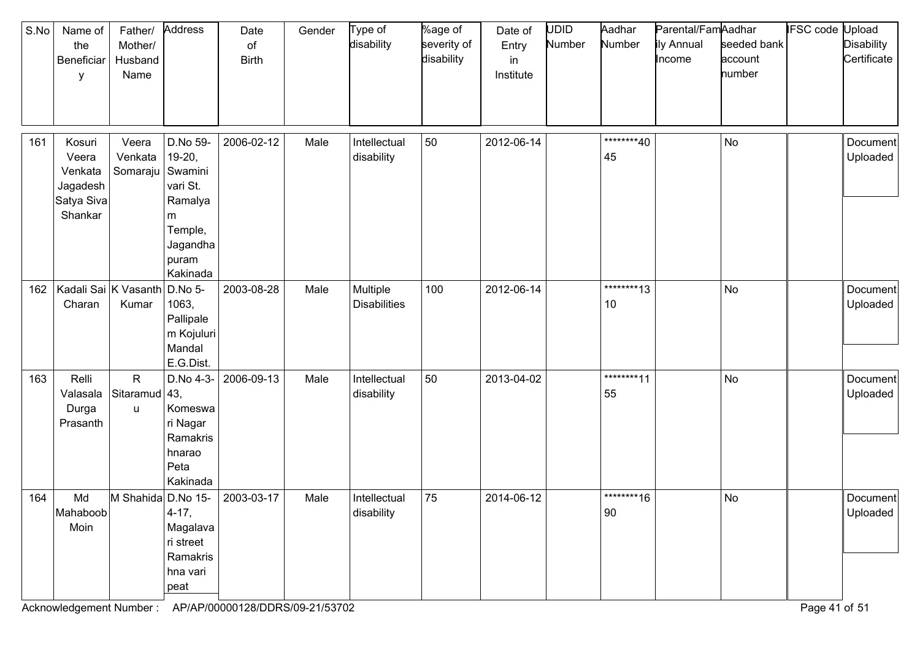| S.No | Name of<br>the<br>Beneficiar<br>У                               | Father/<br>Mother/<br>Husband<br>Name  | Address                                                                                      | Date<br>of<br><b>Birth</b> | Gender | Type of<br>disability           | %age of<br>severity of<br>disability | Date of<br>Entry<br>in<br>Institute | UDID<br>Number | Aadhar<br>Number  | Parental/FamAadhar<br>ily Annual<br>Income | seeded bank<br>account<br>number | <b>IFSC code Upload</b> | <b>Disability</b><br>Certificate |
|------|-----------------------------------------------------------------|----------------------------------------|----------------------------------------------------------------------------------------------|----------------------------|--------|---------------------------------|--------------------------------------|-------------------------------------|----------------|-------------------|--------------------------------------------|----------------------------------|-------------------------|----------------------------------|
| 161  | Kosuri<br>Veera<br>Venkata<br>Jagadesh<br>Satya Siva<br>Shankar | Veera<br>Venkata<br>Somaraju   Swamini | D.No 59-<br>$19-20,$<br>vari St.<br>Ramalya<br>m<br>Temple,<br>Jagandha<br>puram<br>Kakinada | 2006-02-12                 | Male   | Intellectual<br>disability      | 50                                   | 2012-06-14                          |                | ********40<br>45  |                                            | <b>No</b>                        |                         | Document<br>Uploaded             |
| 162  | Charan                                                          | Kadali Sai K Vasanth<br>Kumar          | D.No 5-<br>1063,<br>Pallipale<br>m Kojuluri<br>Mandal<br>E.G.Dist.                           | 2003-08-28                 | Male   | Multiple<br><b>Disabilities</b> | 100                                  | 2012-06-14                          |                | *********13<br>10 |                                            | <b>No</b>                        |                         | Document<br>Uploaded             |
| 163  | Relli<br>Valasala<br>Durga<br>Prasanth                          | $\mathsf{R}$<br>Sitaramud 43,<br>u     | D.No 4-3-<br>Komeswa<br>ri Nagar<br>Ramakris<br>hnarao<br>Peta<br>Kakinada                   | 2006-09-13                 | Male   | Intellectual<br>disability      | 50                                   | 2013-04-02                          |                | ********11<br>55  |                                            | <b>No</b>                        |                         | Document<br>Uploaded             |
| 164  | Md<br>Mahaboob<br>Moin                                          | M Shahida D.No 15-                     | $4 - 17,$<br>Magalava<br>ri street<br>Ramakris<br>hna vari<br>peat                           | 2003-03-17                 | Male   | Intellectual<br>disability      | 75                                   | 2014-06-12                          |                | *********16<br>90 |                                            | No                               |                         | Document<br>Uploaded             |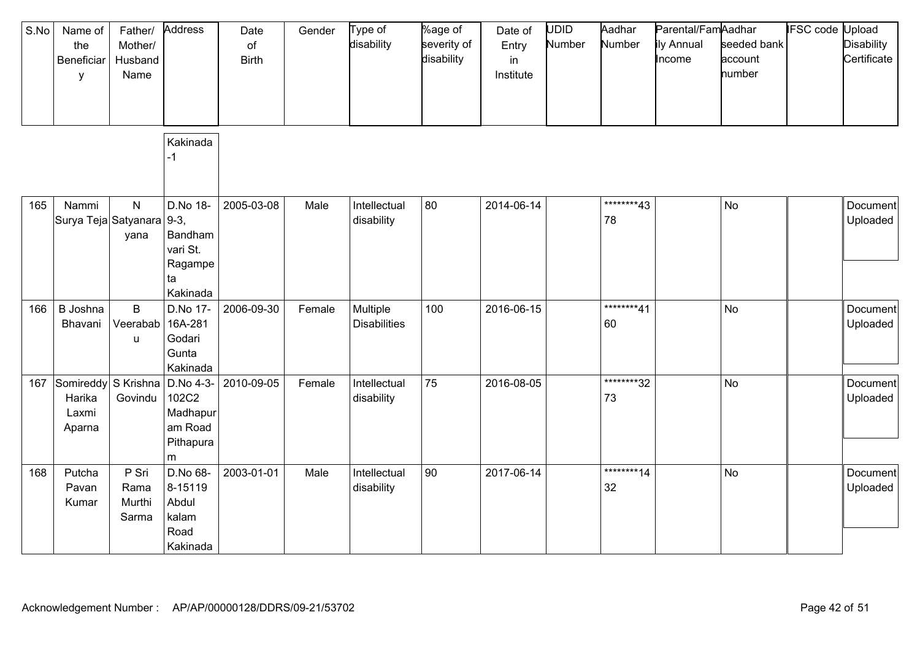| S.No | Name of<br>the<br>Beneficiar<br>y      | Father/<br>Mother/<br>Husband<br>Name | Address                                                      | Date<br>of<br><b>Birth</b> | Gender | Type of<br>disability           | %age of<br>severity of<br>disability | Date of<br>Entry<br>in<br>Institute | <b>UDID</b><br>Number | Aadhar<br>Number  | Parental/FamAadhar<br>ily Annual<br>Income | seeded bank<br>account<br>number | IFSC code | Upload<br><b>Disability</b><br>Certificate |
|------|----------------------------------------|---------------------------------------|--------------------------------------------------------------|----------------------------|--------|---------------------------------|--------------------------------------|-------------------------------------|-----------------------|-------------------|--------------------------------------------|----------------------------------|-----------|--------------------------------------------|
|      |                                        |                                       | Kakinada<br>-1                                               |                            |        |                                 |                                      |                                     |                       |                   |                                            |                                  |           |                                            |
| 165  | Nammi<br>Surya Teja Satyanara 9-3,     | ${\sf N}$<br>yana                     | D.No 18-<br>Bandham<br>vari St.<br>Ragampe<br>ta<br>Kakinada | 2005-03-08                 | Male   | Intellectual<br>disability      | 80                                   | 2014-06-14                          |                       | ********43<br>78  |                                            | No                               |           | Document<br>Uploaded                       |
| 166  | B Joshna<br>Bhavani                    | $\mathsf B$<br>Veerabab<br>u          | D.No 17-<br>16A-281<br>Godari<br>Gunta<br>Kakinada           | 2006-09-30                 | Female | Multiple<br><b>Disabilities</b> | 100                                  | 2016-06-15                          |                       | ********41<br>60  |                                            | <b>No</b>                        |           | Document<br>Uploaded                       |
| 167  | Somireddy<br>Harika<br>Laxmi<br>Aparna | S Krishna<br>Govindu                  | D.No 4-3-<br>102C2<br>Madhapur<br>am Road<br>Pithapura<br>m  | 2010-09-05                 | Female | Intellectual<br>disability      | 75                                   | 2016-08-05                          |                       | *********32<br>73 |                                            | <b>No</b>                        |           | Document<br>Uploaded                       |
| 168  | Putcha<br>Pavan<br>Kumar               | P Sri<br>Rama<br>Murthi<br>Sarma      | D.No 68-<br>8-15119<br>Abdul<br>kalam<br>Road<br>Kakinada    | 2003-01-01                 | Male   | Intellectual<br>disability      | 90                                   | 2017-06-14                          |                       | *********14<br>32 |                                            | No                               |           | Document<br>Uploaded                       |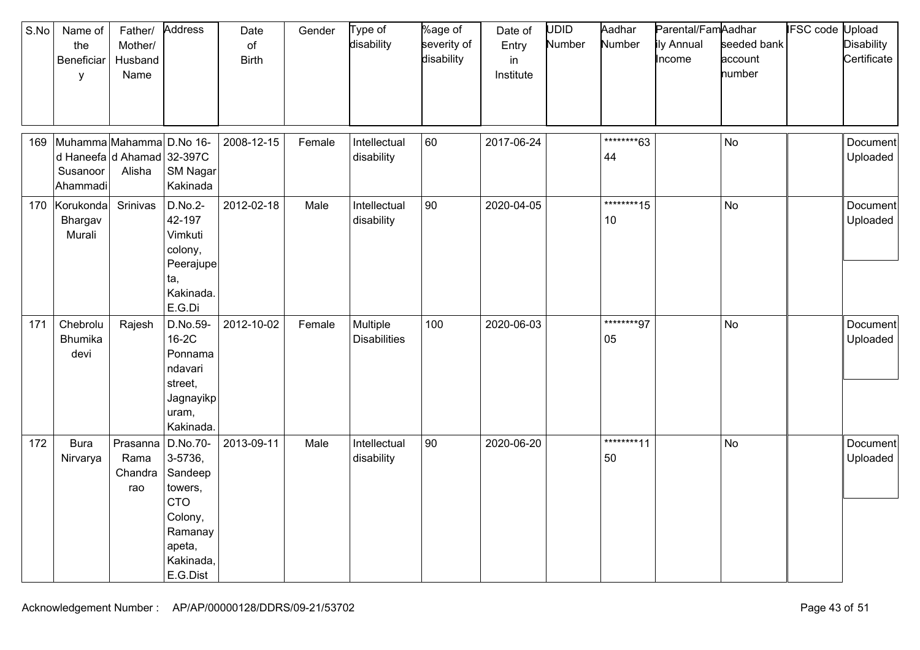| S.No | Name of<br>the<br>Beneficiar<br>y                                              | Father/<br>Mother/<br>Husband<br>Name | Address                                                                                                          | Date<br>$\circ$ f<br><b>Birth</b> | Gender | Type of<br>disability           | %age of<br>severity of<br>disability | Date of<br>Entry<br>in<br>Institute | <b>UDID</b><br>Number | Aadhar<br>Number  | Parental/FamAadhar<br>ily Annual<br>Income | seeded bank<br>account<br>number | <b>IFSC code Upload</b> | <b>Disability</b><br>Certificate |
|------|--------------------------------------------------------------------------------|---------------------------------------|------------------------------------------------------------------------------------------------------------------|-----------------------------------|--------|---------------------------------|--------------------------------------|-------------------------------------|-----------------------|-------------------|--------------------------------------------|----------------------------------|-------------------------|----------------------------------|
| 169  | Muhamma Mahamma D.No 16-<br>d Haneefa d Ahamad 32-397C<br>Susanoor<br>Ahammadi | Alisha                                | SM Nagar<br>Kakinada                                                                                             | 2008-12-15                        | Female | Intellectual<br>disability      | 60                                   | 2017-06-24                          |                       | ********63<br>44  |                                            | <b>No</b>                        |                         | Document<br>Uploaded             |
|      | 170 Korukonda<br>Bhargav<br>Murali                                             | Srinivas                              | D.No.2-<br>42-197<br>Vimkuti<br>colony,<br>Peerajupe<br>ta,<br>Kakinada.<br>E.G.Di                               | 2012-02-18                        | Male   | Intellectual<br>disability      | 90                                   | 2020-04-05                          |                       | *********15<br>10 |                                            | No                               |                         | Document<br>Uploaded             |
| 171  | Chebrolu<br>Bhumika<br>devi                                                    | Rajesh                                | D.No.59-<br>16-2C<br>Ponnama<br>ndavari<br>street,<br>Jagnayikp<br>uram,<br>Kakinada.                            | 2012-10-02                        | Female | Multiple<br><b>Disabilities</b> | 100                                  | 2020-06-03                          |                       | ********97<br>05  |                                            | No                               |                         | Document<br>Uploaded             |
| 172  | <b>Bura</b><br>Nirvarya                                                        | Prasanna<br>Rama<br>Chandra<br>rao    | D.No.70-<br>3-5736,<br>Sandeep<br>towers,<br><b>CTO</b><br>Colony,<br>Ramanay<br>apeta,<br>Kakinada,<br>E.G.Dist | 2013-09-11                        | Male   | Intellectual<br>disability      | 90                                   | 2020-06-20                          |                       | ********11<br>50  |                                            | No                               |                         | Document<br>Uploaded             |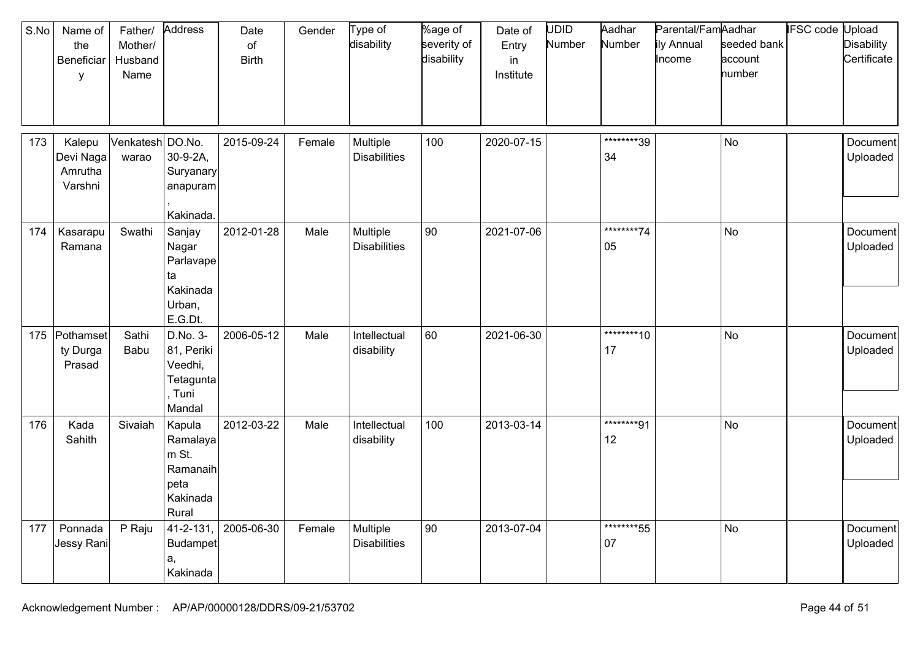| S.No | Name of<br>the<br>Beneficiar<br>y         | Father/<br>Mother/<br>Husband<br>Name | Address                                                              | Date<br>of<br><b>Birth</b> | Gender | Type of<br>disability           | %age of<br>severity of<br>disability | Date of<br>Entry<br>in<br>Institute | <b>UDID</b><br>Number | Aadhar<br>Number  | Parental/FamAadhar<br>ily Annual<br>Income | seeded bank<br>account<br>number | <b>IFSC</b> code Upload | <b>Disability</b><br>Certificate |
|------|-------------------------------------------|---------------------------------------|----------------------------------------------------------------------|----------------------------|--------|---------------------------------|--------------------------------------|-------------------------------------|-----------------------|-------------------|--------------------------------------------|----------------------------------|-------------------------|----------------------------------|
| 173  | Kalepu<br>Devi Naga<br>Amrutha<br>Varshni | Venkatesh DO.No.<br>warao             | 30-9-2A,<br>Suryanary<br>anapuram<br>Kakinada.                       | 2015-09-24                 | Female | Multiple<br><b>Disabilities</b> | 100                                  | 2020-07-15                          |                       | ********39<br>34  |                                            | <b>No</b>                        |                         | Document<br>Uploaded             |
| 174  | Kasarapu<br>Ramana                        | Swathi                                | Sanjay<br>Nagar<br>Parlavape<br>ta<br>Kakinada<br>Urban,<br>E.G.Dt.  | 2012-01-28                 | Male   | Multiple<br><b>Disabilities</b> | 90                                   | 2021-07-06                          |                       | *********74<br>05 |                                            | <b>No</b>                        |                         | Document<br>Uploaded             |
| 175  | Pothamset<br>ty Durga<br>Prasad           | Sathi<br>Babu                         | D.No. 3-<br>81, Periki<br>Veedhi,<br>Tetagunta<br>Tuni<br>Mandal     | 2006-05-12                 | Male   | Intellectual<br>disability      | 60                                   | 2021-06-30                          |                       | *********10<br>17 |                                            | <b>No</b>                        |                         | Document<br>Uploaded             |
| 176  | Kada<br>Sahith                            | Sivaiah                               | Kapula<br>Ramalaya<br>m St.<br>Ramanaih<br>peta<br>Kakinada<br>Rural | 2012-03-22                 | Male   | Intellectual<br>disability      | 100                                  | 2013-03-14                          |                       | ********91<br>12  |                                            | No                               |                         | Document<br>Uploaded             |
| 177  | Ponnada<br>Jessy Rani                     | P Raju                                | 41-2-131,<br>Budampet<br>a,<br>Kakinada                              | 2005-06-30                 | Female | Multiple<br><b>Disabilities</b> | 90                                   | 2013-07-04                          |                       | *********55<br>07 |                                            | <b>No</b>                        |                         | Document<br>Uploaded             |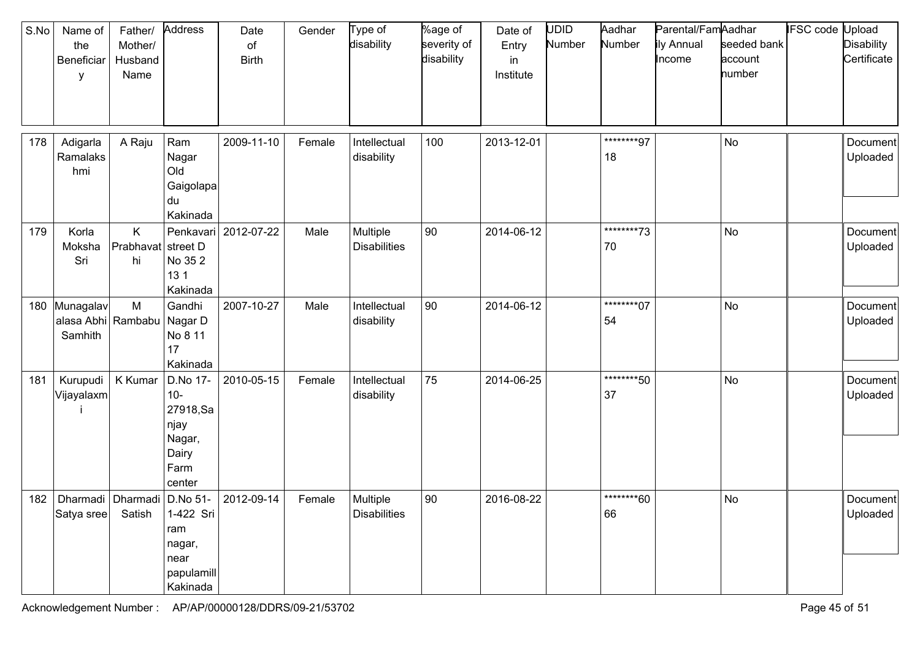| S.No | Name of<br>the<br>Beneficiar<br>у              | Father/<br>Mother/<br>Husband<br>Name | Address                                                                    | Date<br>of<br><b>Birth</b> | Gender | Type of<br>disability           | %age of<br>severity of<br>disability | Date of<br>Entry<br>in<br>Institute | <b>UDID</b><br>Number | Aadhar<br>Number  | Parental/FamAadhar<br>ily Annual<br>Income | seeded bank<br>account<br>number | IFSC code Upload | <b>Disability</b><br>Certificate |
|------|------------------------------------------------|---------------------------------------|----------------------------------------------------------------------------|----------------------------|--------|---------------------------------|--------------------------------------|-------------------------------------|-----------------------|-------------------|--------------------------------------------|----------------------------------|------------------|----------------------------------|
| 178  | Adigarla<br>Ramalaks<br>hmi                    | A Raju                                | Ram<br>Nagar<br>Old<br>Gaigolapa<br>du<br>Kakinada                         | 2009-11-10                 | Female | Intellectual<br>disability      | 100                                  | 2013-12-01                          |                       | ********97<br>18  |                                            | <b>No</b>                        |                  | Document<br>Uploaded             |
| 179  | Korla<br>Moksha<br>Sri                         | K.<br>Prabhavat<br>hi                 | street D<br>No 352<br>13 <sub>1</sub><br>Kakinada                          | Penkavari 2012-07-22       | Male   | Multiple<br><b>Disabilities</b> | 90                                   | 2014-06-12                          |                       | *********73<br>70 |                                            | <b>No</b>                        |                  | Document<br>Uploaded             |
|      | 180 Munagalav<br>alasa Abhi Rambabu<br>Samhith | M                                     | Gandhi<br>Nagar D<br>No 8 11<br>17<br>Kakinada                             | 2007-10-27                 | Male   | Intellectual<br>disability      | 90                                   | 2014-06-12                          |                       | ********07<br>54  |                                            | No                               |                  | Document<br>Uploaded             |
| 181  | Kurupudi<br>Vijayalaxm                         | K Kumar                               | D.No 17-<br>$10-$<br>27918,Sa<br>njay<br>Nagar,<br>Dairy<br>Farm<br>center | 2010-05-15                 | Female | Intellectual<br>disability      | 75                                   | 2014-06-25                          |                       | ********50<br>37  |                                            | No                               |                  | Document<br>Uploaded             |
| 182  | Dharmadi<br>Satya sree                         | Dharmadi D.No 51-<br>Satish           | 1-422 Sri<br>ram<br>nagar,<br>near<br>papulamill<br>Kakinada               | 2012-09-14                 | Female | Multiple<br><b>Disabilities</b> | 90                                   | 2016-08-22                          |                       | ********60<br>66  |                                            | No                               |                  | Document<br>Uploaded             |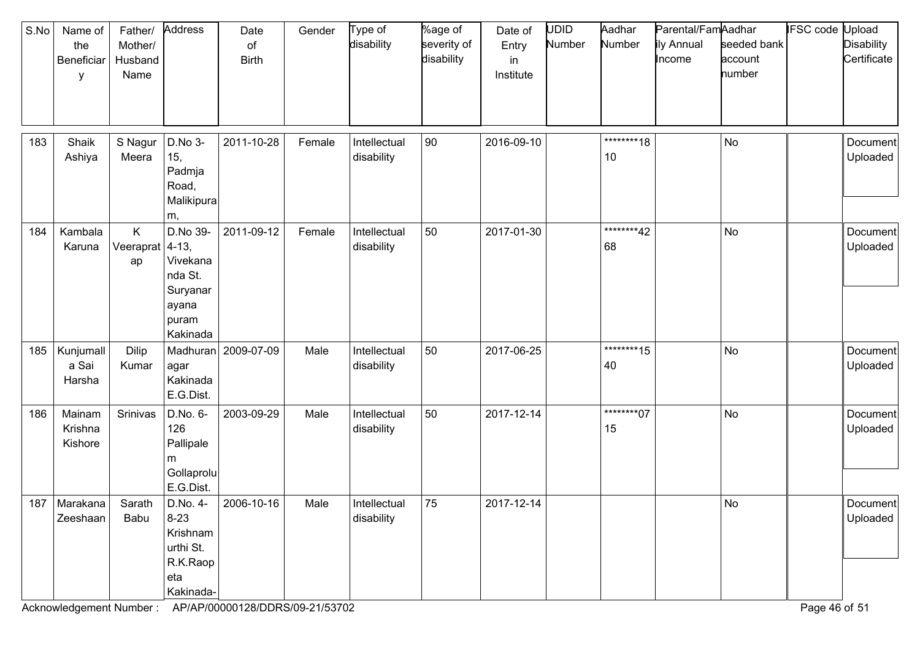| S.No | Name of<br>the<br>Beneficiar<br>у | Father/<br>Mother/<br>Husband<br>Name | Address                                                                               | Date<br>of<br><b>Birth</b> | Gender | Type of<br>disability      | %age of<br>severity of<br>disability | Date of<br>Entry<br>in<br>Institute | UDID<br>Number | Aadhar<br>Number  | Parental/FamAadhar<br>ily Annual<br>Income | seeded bank<br>account<br>number | IFSC code Upload | <b>Disability</b><br>Certificate |
|------|-----------------------------------|---------------------------------------|---------------------------------------------------------------------------------------|----------------------------|--------|----------------------------|--------------------------------------|-------------------------------------|----------------|-------------------|--------------------------------------------|----------------------------------|------------------|----------------------------------|
| 183  | Shaik<br>Ashiya                   | S Nagur<br>Meera                      | D.No 3-<br>15,<br>Padmja<br>Road,<br>Malikipura<br>m,                                 | 2011-10-28                 | Female | Intellectual<br>disability | 90                                   | 2016-09-10                          |                | ********18<br>10  |                                            | <b>No</b>                        |                  | Document<br>Uploaded             |
| 184  | Kambala<br>Karuna                 | K.<br>Veeraprat<br>ap                 | D.No 39-<br>$ 4-13 $<br>Vivekana<br>nda St.<br>Suryanar<br>ayana<br>puram<br>Kakinada | 2011-09-12                 | Female | Intellectual<br>disability | 50                                   | 2017-01-30                          |                | ********42<br>68  |                                            | No                               |                  | Document<br>Uploaded             |
| 185  | Kunjumall<br>a Sai<br>Harsha      | <b>Dilip</b><br>Kumar                 | agar<br>Kakinada<br>E.G.Dist.                                                         | Madhuran 2009-07-09        | Male   | Intellectual<br>disability | 50                                   | 2017-06-25                          |                | *********15<br>40 |                                            | <b>No</b>                        |                  | Document<br>Uploaded             |
| 186  | Mainam<br>Krishna<br>Kishore      | Srinivas                              | D.No. 6-<br>126<br>Pallipale<br>m<br>Gollaprolu<br>E.G.Dist.                          | 2003-09-29                 | Male   | Intellectual<br>disability | 50                                   | 2017-12-14                          |                | ********07<br>15  |                                            | No                               |                  | Document<br>Uploaded             |
| 187  | Marakana<br>Zeeshaan              | Sarath<br>Babu                        | D.No. 4-<br>$8-23$<br>Krishnam<br>urthi St.<br>R.K.Raop<br>eta<br>Kakinada-           | 2006-10-16                 | Male   | Intellectual<br>disability | 75                                   | 2017-12-14                          |                |                   |                                            | No                               |                  | Document<br>Uploaded             |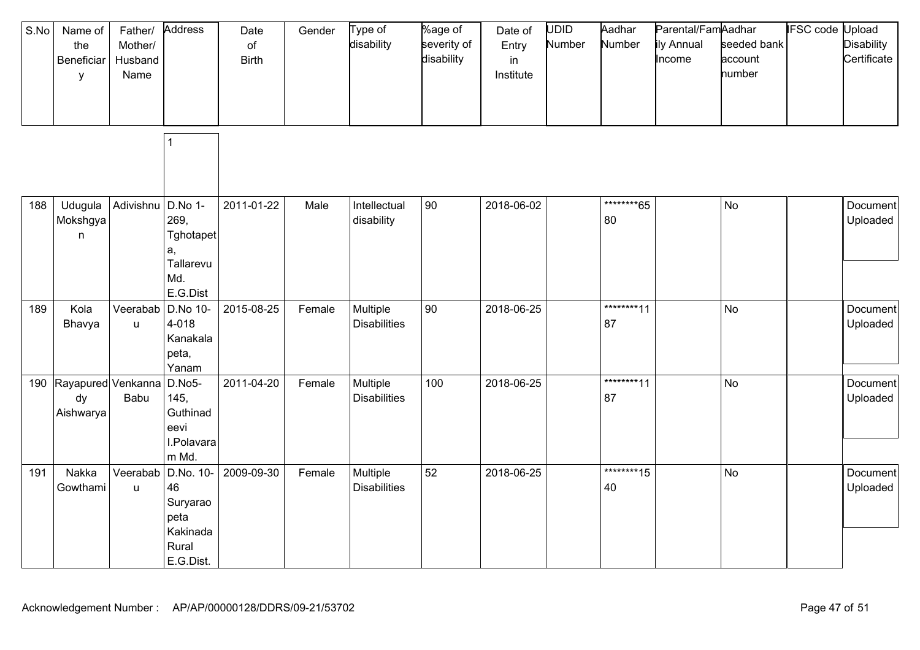| S.No | Name of<br>the<br>Beneficiar<br>у     | Father/<br>Mother/<br>Husband<br>Name | Address                                                               | Date<br>of<br><b>Birth</b> | Gender | Type of<br>disability           | %age of<br>severity of<br>disability | Date of<br>Entry<br>in<br>Institute | UDID<br>Number | Aadhar<br>Number  | Parental/FamAadhar<br>ily Annual<br>Income | seeded bank<br>account<br>number | <b>IFSC code Upload</b> | <b>Disability</b><br>Certificate |
|------|---------------------------------------|---------------------------------------|-----------------------------------------------------------------------|----------------------------|--------|---------------------------------|--------------------------------------|-------------------------------------|----------------|-------------------|--------------------------------------------|----------------------------------|-------------------------|----------------------------------|
|      |                                       |                                       | 1                                                                     |                            |        |                                 |                                      |                                     |                |                   |                                            |                                  |                         |                                  |
| 188  | Udugula<br>Mokshgya<br>$\mathsf{n}$   | Adivishnu                             | D.No 1-<br>269,<br>Tghotapet<br>a,<br>Tallarevu<br>Md.<br>E.G.Dist    | 2011-01-22                 | Male   | Intellectual<br>disability      | $ 90\rangle$                         | 2018-06-02                          |                | ********65<br>80  |                                            | <b>No</b>                        |                         | Document<br>Uploaded             |
| 189  | Kola<br>Bhavya                        | Veerabab<br>u                         | D.No 10-<br>4-018<br>Kanakala<br>peta,<br>Yanam                       | 2015-08-25                 | Female | Multiple<br><b>Disabilities</b> | $ 90\rangle$                         | 2018-06-25                          |                | ********11<br>87  |                                            | <b>No</b>                        |                         | <b>Document</b><br>Uploaded      |
| 190  | Rayapured Venkanna<br>dy<br>Aishwarya | Babu                                  | D.No5-<br>145,<br>Guthinad<br>eevi<br>I.Polavara<br>m Md.             | 2011-04-20                 | Female | Multiple<br><b>Disabilities</b> | 100                                  | 2018-06-25                          |                | ********11<br>87  |                                            | <b>No</b>                        |                         | Document<br>Uploaded             |
| 191  | Nakka<br>Gowthami                     | Veerabab<br>$\sf u$                   | D.No. 10-<br>46<br>Suryarao<br>peta<br>Kakinada<br>Rural<br>E.G.Dist. | 2009-09-30                 | Female | Multiple<br><b>Disabilities</b> | 52                                   | 2018-06-25                          |                | *********15<br>40 |                                            | <b>No</b>                        |                         | Document<br>Uploaded             |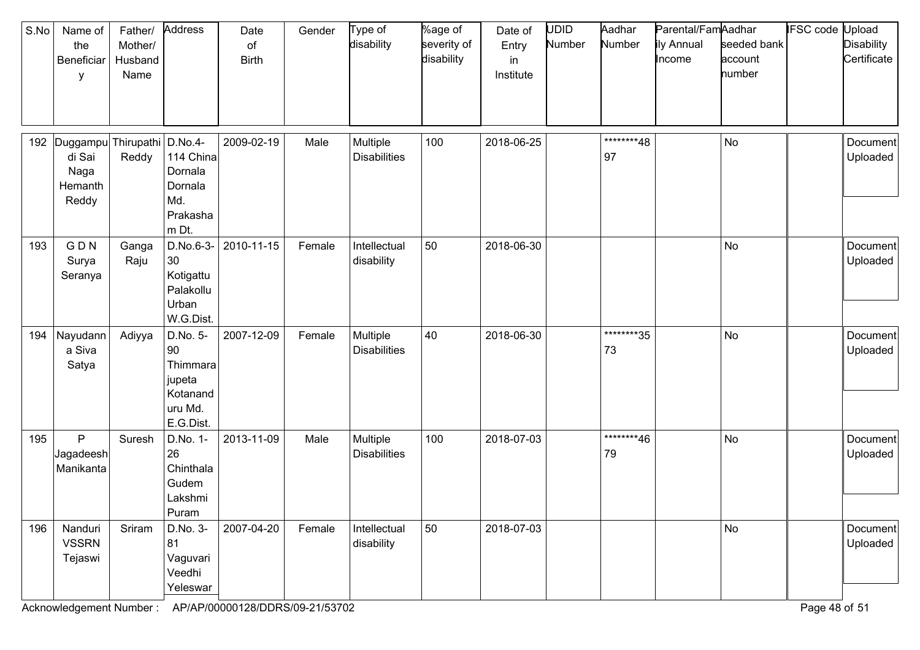| S.No | Name of<br>the<br>Beneficiar<br>y                         | Father/<br>Mother/<br>Husband<br>Name | Address                                                                  | Date<br>of<br><b>Birth</b> | Gender | Type of<br>disability           | %age of<br>severity of<br>disability | Date of<br>Entry<br>in<br>Institute | <b>UDID</b><br>Number | Aadhar<br>Number | Parental/FamAadhar<br>ily Annual<br>Income | seeded bank<br>account<br>number | <b>IFSC code Upload</b> | <b>Disability</b><br>Certificate |
|------|-----------------------------------------------------------|---------------------------------------|--------------------------------------------------------------------------|----------------------------|--------|---------------------------------|--------------------------------------|-------------------------------------|-----------------------|------------------|--------------------------------------------|----------------------------------|-------------------------|----------------------------------|
| 192  | Duggampu Thirupathi<br>di Sai<br>Naga<br>Hemanth<br>Reddy | Reddy                                 | $D.No.4-$<br>114 China<br>Dornala<br>Dornala<br>Md.<br>Prakasha<br>m Dt. | 2009-02-19                 | Male   | Multiple<br><b>Disabilities</b> | 100                                  | 2018-06-25                          |                       | ********48<br>97 |                                            | No                               |                         | Document<br>Uploaded             |
| 193  | GDN<br>Surya<br>Seranya                                   | Ganga<br>Raju                         | D.No.6-3-<br>30<br>Kotigattu<br>Palakollu<br>Urban<br>W.G.Dist.          | 2010-11-15                 | Female | Intellectual<br>disability      | 50                                   | 2018-06-30                          |                       |                  |                                            | No                               |                         | Document<br>Uploaded             |
| 194  | Nayudann<br>a Siva<br>Satya                               | Adiyya                                | D.No. 5-<br>90<br>Thimmara<br>jupeta<br>Kotanand<br>uru Md.<br>E.G.Dist. | 2007-12-09                 | Female | Multiple<br><b>Disabilities</b> | 40                                   | 2018-06-30                          |                       | ********35<br>73 |                                            | No                               |                         | Document<br>Uploaded             |
| 195  | P<br>Jagadeesh<br>Manikanta                               | Suresh                                | D.No. 1-<br>26<br>Chinthala<br>Gudem<br>Lakshmi<br>Puram                 | 2013-11-09                 | Male   | Multiple<br><b>Disabilities</b> | 100                                  | 2018-07-03                          |                       | ********46<br>79 |                                            | No                               |                         | Document<br>Uploaded             |
| 196  | Nanduri<br><b>VSSRN</b><br>Tejaswi                        | Sriram                                | D.No. 3-<br>81<br>Vaguvari<br>Veedhi<br>Yeleswar                         | 2007-04-20                 | Female | Intellectual<br>disability      | 50                                   | 2018-07-03                          |                       |                  |                                            | No                               |                         | Document<br>Uploaded             |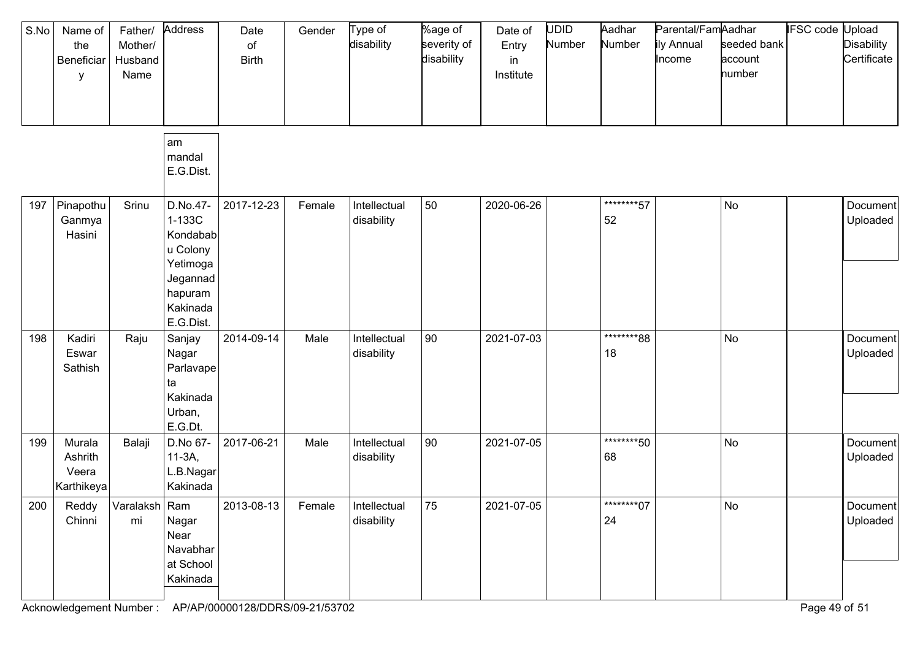| S.No | Name of<br>the<br>Beneficiar<br>у        | Father/<br>Mother/<br>Husband<br>Name | Address                                                                                                | Date<br>of<br><b>Birth</b> | Gender | Type of<br>disability      | %age of<br>severity of<br>disability | Date of<br>Entry<br>in<br>Institute | <b>UDID</b><br>Number | Aadhar<br>Number  | Parental/FamAadhar<br>ily Annual<br>Income | seeded bank<br>account<br>number | IFSC code | Jpload<br><b>Disability</b><br>Certificate |
|------|------------------------------------------|---------------------------------------|--------------------------------------------------------------------------------------------------------|----------------------------|--------|----------------------------|--------------------------------------|-------------------------------------|-----------------------|-------------------|--------------------------------------------|----------------------------------|-----------|--------------------------------------------|
|      |                                          |                                       | am<br>mandal<br>E.G.Dist.                                                                              |                            |        |                            |                                      |                                     |                       |                   |                                            |                                  |           |                                            |
| 197  | Pinapothu<br>Ganmya<br>Hasini            | Srinu                                 | D.No.47-<br>1-133C<br>Kondabab<br>u Colony<br>Yetimoga<br>Jegannad<br>hapuram<br>Kakinada<br>E.G.Dist. | 2017-12-23                 | Female | Intellectual<br>disability | 50                                   | 2020-06-26                          |                       | *********57<br>52 |                                            | No                               |           | Document<br>Uploaded                       |
| 198  | Kadiri<br>Eswar<br>Sathish               | Raju                                  | Sanjay<br>Nagar<br>Parlavape<br>ta<br>Kakinada<br>Urban,<br>E.G.Dt.                                    | 2014-09-14                 | Male   | Intellectual<br>disability | 90                                   | 2021-07-03                          |                       | ********88<br>18  |                                            | No                               |           | Document<br>Uploaded                       |
| 199  | Murala<br>Ashrith<br>Veera<br>Karthikeya | Balaji                                | D.No 67-<br>$11-3A$ ,<br>L.B.Nagar<br>Kakinada                                                         | 2017-06-21                 | Male   | Intellectual<br>disability | 90                                   | 2021-07-05                          |                       | ********50<br>68  |                                            | No                               |           | Document<br>Uploaded                       |
| 200  | Reddy<br>Chinni                          | Varalaksh Ram<br>mi                   | Nagar<br>Near<br>Navabhar<br>at School<br>Kakinada                                                     | 2013-08-13                 | Female | Intellectual<br>disability | 75                                   | 2021-07-05                          |                       | *********07<br>24 |                                            | No                               |           | Document<br>Uploaded                       |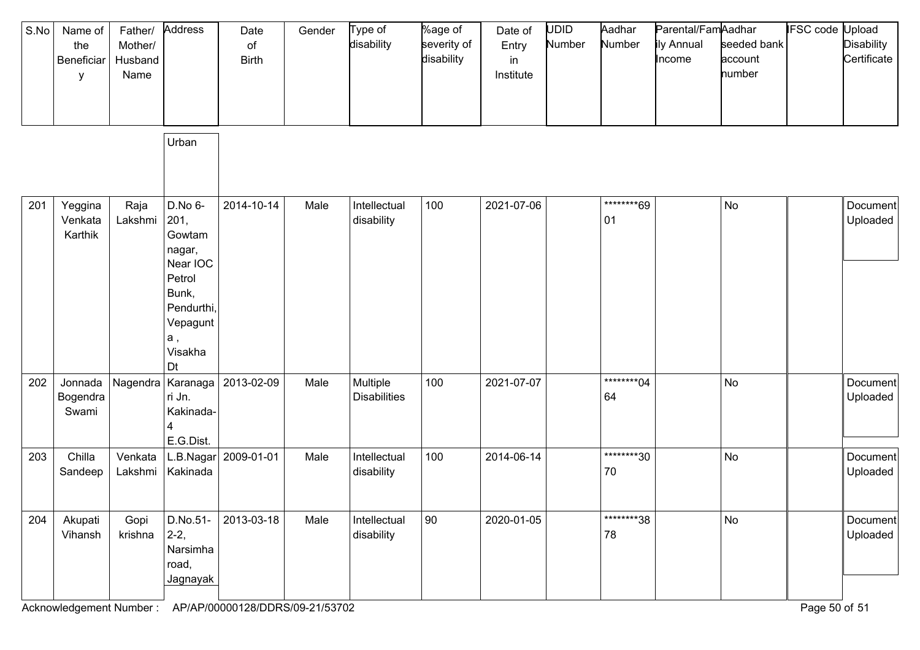| S.No | Name of<br>the<br>Beneficiar<br>у | Father/<br>Mother/<br>Husband<br>Name | Address                                                                                                             | Date<br>$\circ$ f<br><b>Birth</b> | Gender | Type of<br>disability           | %age of<br>severity of<br>disability | Date of<br>Entry<br>in<br>Institute | <b>UDID</b><br>Number | Aadhar<br>Number  | Parental/FamAadhar<br>ily Annual<br>Income | seeded bank<br>account<br>number | <b>IFSC code Upload</b> | Disability<br>Certificate |
|------|-----------------------------------|---------------------------------------|---------------------------------------------------------------------------------------------------------------------|-----------------------------------|--------|---------------------------------|--------------------------------------|-------------------------------------|-----------------------|-------------------|--------------------------------------------|----------------------------------|-------------------------|---------------------------|
|      |                                   |                                       | Urban                                                                                                               |                                   |        |                                 |                                      |                                     |                       |                   |                                            |                                  |                         |                           |
| 201  | Yeggina<br>Venkata<br>Karthik     | Raja<br>Lakshmi                       | D.No 6-<br>201,<br>Gowtam<br>nagar,<br>Near IOC<br>Petrol<br>Bunk,<br>Pendurthi,<br>Vepagunt<br>а,<br>Visakha<br>Dt | 2014-10-14                        | Male   | Intellectual<br>disability      | 100                                  | 2021-07-06                          |                       | ********69<br>01  |                                            | No                               |                         | Document<br>Uploaded      |
| 202  | Jonnada<br>Bogendra<br>Swami      | Nagendra                              | ri Jn.<br>Kakinada-<br>E.G.Dist.                                                                                    | Karanaga   2013-02-09             | Male   | Multiple<br><b>Disabilities</b> | 100                                  | 2021-07-07                          |                       | *********04<br>64 |                                            | <b>No</b>                        |                         | Document<br>Uploaded      |
| 203  | Chilla<br>Sandeep                 | Venkata<br>Lakshmi                    | L.B.Nagar<br>Kakinada                                                                                               | 2009-01-01                        | Male   | Intellectual<br>disability      | 100                                  | 2014-06-14                          |                       | ********30<br>70  |                                            | No                               |                         | Document<br>Uploaded      |
| 204  | Akupati<br>Vihansh                | Gopi<br>krishna                       | D.No.51-<br>$2-2,$<br>Narsimha<br>road,<br>Jagnayak                                                                 | 2013-03-18                        | Male   | Intellectual<br>disability      | 90                                   | 2020-01-05                          |                       | ********38<br>78  |                                            | No                               |                         | Document<br>Uploaded      |